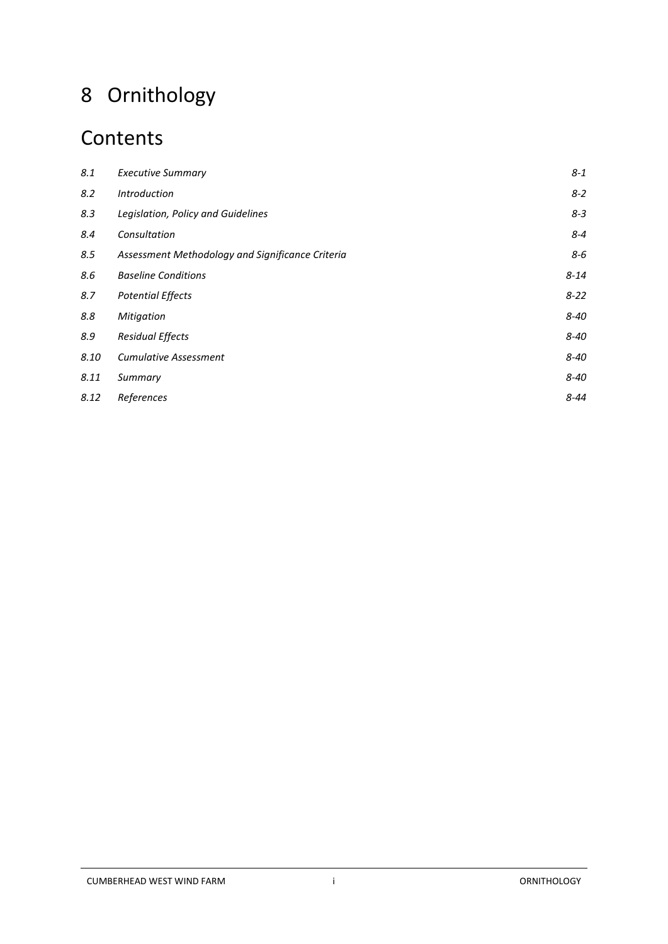# 8 Ornithology

# **Contents**

| 8.1  | <b>Executive Summary</b>                         | $8 - 1$  |
|------|--------------------------------------------------|----------|
| 8.2  | <b>Introduction</b>                              | $8 - 2$  |
| 8.3  | Legislation, Policy and Guidelines               | $8 - 3$  |
| 8.4  | Consultation                                     | $8 - 4$  |
| 8.5  | Assessment Methodology and Significance Criteria | 8-6      |
| 8.6  | <b>Baseline Conditions</b>                       | 8-14     |
| 8.7  | <b>Potential Effects</b>                         | $8 - 22$ |
| 8.8  | Mitigation                                       | 8-40     |
| 8.9  | <b>Residual Effects</b>                          | 8-40     |
| 8.10 | <b>Cumulative Assessment</b>                     | 8-40     |
| 8.11 | Summary                                          | 8-40     |
| 8.12 | References                                       | 8-44     |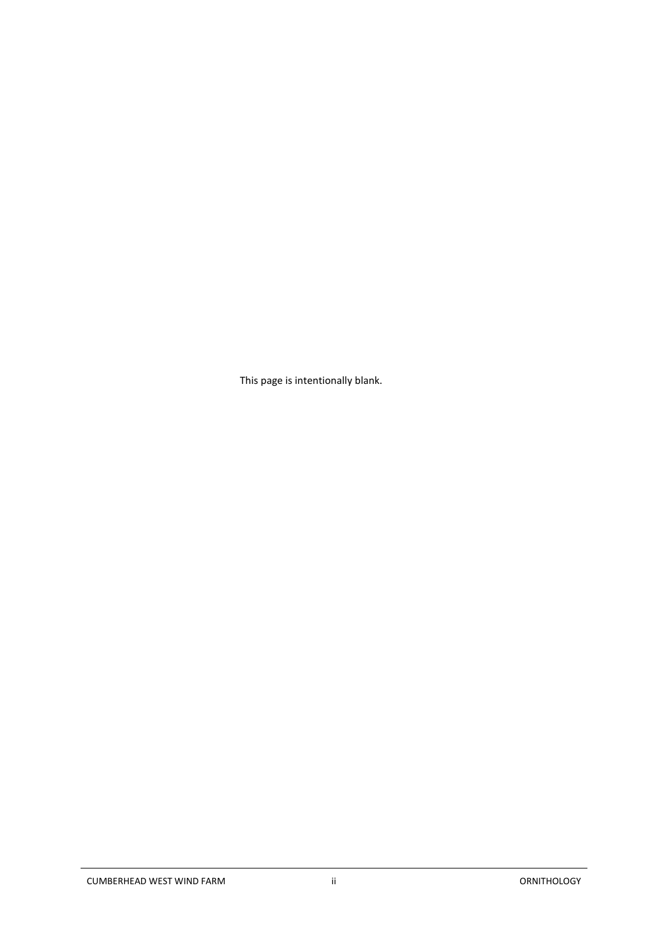This page is intentionally blank.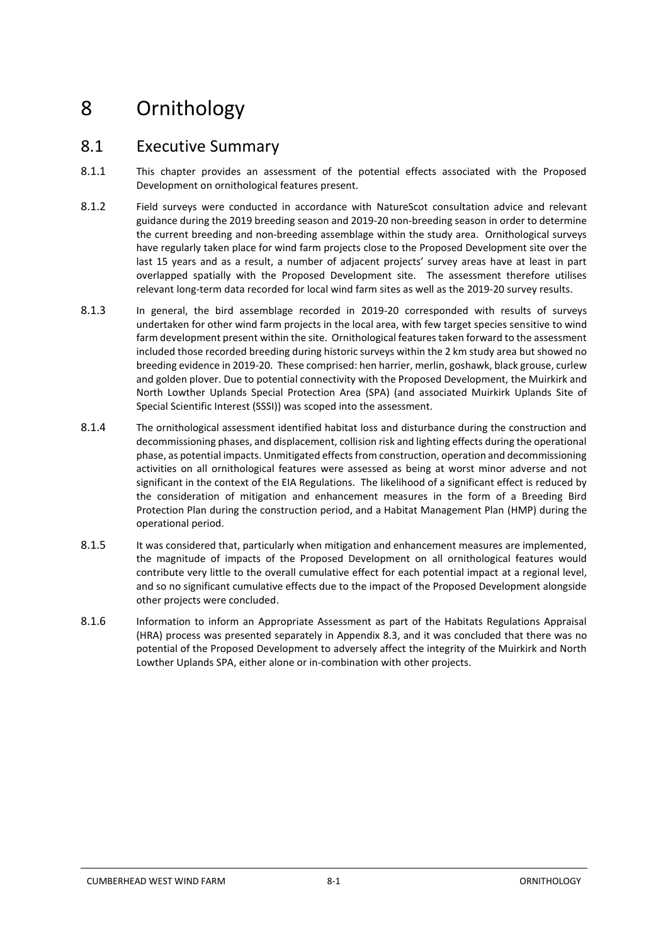# 8 Ornithology

### <span id="page-2-0"></span>8.1 Executive Summary

- 8.1.1 This chapter provides an assessment of the potential effects associated with the Proposed Development on ornithological features present.
- 8.1.2 Field surveys were conducted in accordance with NatureScot consultation advice and relevant guidance during the 2019 breeding season and 2019-20 non-breeding season in order to determine the current breeding and non-breeding assemblage within the study area. Ornithological surveys have regularly taken place for wind farm projects close to the Proposed Development site over the last 15 years and as a result, a number of adjacent projects' survey areas have at least in part overlapped spatially with the Proposed Development site. The assessment therefore utilises relevant long-term data recorded for local wind farm sites as well as the 2019-20 survey results.
- 8.1.3 In general, the bird assemblage recorded in 2019-20 corresponded with results of surveys undertaken for other wind farm projects in the local area, with few target species sensitive to wind farm development present within the site. Ornithological features taken forward to the assessment included those recorded breeding during historic surveys within the 2 km study area but showed no breeding evidence in 2019-20. These comprised: hen harrier, merlin, goshawk, black grouse, curlew and golden plover. Due to potential connectivity with the Proposed Development, the Muirkirk and North Lowther Uplands Special Protection Area (SPA) (and associated Muirkirk Uplands Site of Special Scientific Interest (SSSI)) was scoped into the assessment.
- 8.1.4 The ornithological assessment identified habitat loss and disturbance during the construction and decommissioning phases, and displacement, collision risk and lighting effects during the operational phase, as potential impacts. Unmitigated effects from construction, operation and decommissioning activities on all ornithological features were assessed as being at worst minor adverse and not significant in the context of the EIA Regulations. The likelihood of a significant effect is reduced by the consideration of mitigation and enhancement measures in the form of a Breeding Bird Protection Plan during the construction period, and a Habitat Management Plan (HMP) during the operational period.
- 8.1.5 It was considered that, particularly when mitigation and enhancement measures are implemented, the magnitude of impacts of the Proposed Development on all ornithological features would contribute very little to the overall cumulative effect for each potential impact at a regional level, and so no significant cumulative effects due to the impact of the Proposed Development alongside other projects were concluded.
- 8.1.6 Information to inform an Appropriate Assessment as part of the Habitats Regulations Appraisal (HRA) process was presented separately in Appendix 8.3, and it was concluded that there was no potential of the Proposed Development to adversely affect the integrity of the Muirkirk and North Lowther Uplands SPA, either alone or in-combination with other projects.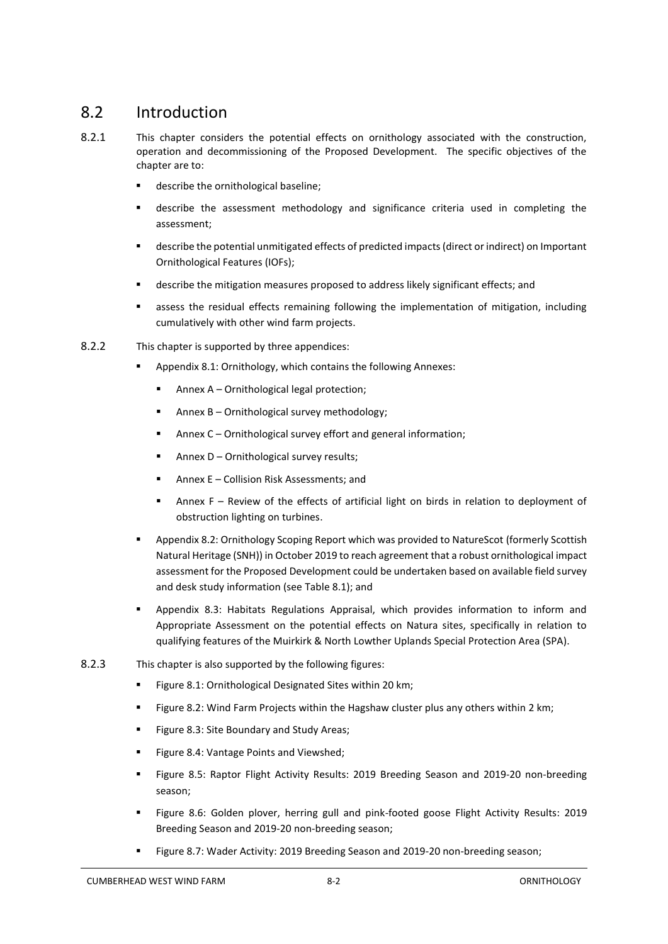### <span id="page-3-0"></span>8.2 Introduction

- 8.2.1 This chapter considers the potential effects on ornithology associated with the construction, operation and decommissioning of the Proposed Development. The specific objectives of the chapter are to:
	- describe the ornithological baseline:
	- describe the assessment methodology and significance criteria used in completing the assessment;
	- **■** describe the potential unmitigated effects of predicted impacts (direct or indirect) on Important Ornithological Features (IOFs);
	- describe the mitigation measures proposed to address likely significant effects; and
	- **•** assess the residual effects remaining following the implementation of mitigation, including cumulatively with other wind farm projects.
- 8.2.2 This chapter is supported by three appendices:
	- Appendix 8.1: Ornithology, which contains the following Annexes:
		- Annex A Ornithological legal protection:
		- Annex B Ornithological survey methodology;
		- Annex C Ornithological survey effort and general information;
		- Annex  $D$  Ornithological survey results;
		- Annex E Collision Risk Assessments: and
		- Annex F Review of the effects of artificial light on birds in relation to deployment of obstruction lighting on turbines.
	- Appendix 8.2: Ornithology Scoping Report which was provided to NatureScot (formerly Scottish Natural Heritage (SNH)) in October 2019 to reach agreement that a robust ornithological impact assessment for the Proposed Development could be undertaken based on available field survey and desk study information (see [Table 8.1\)](#page-5-1); and
	- Appendix 8.3: Habitats Regulations Appraisal, which provides information to inform and Appropriate Assessment on the potential effects on Natura sites, specifically in relation to qualifying features of the Muirkirk & North Lowther Uplands Special Protection Area (SPA).
- 8.2.3 This chapter is also supported by the following figures:
	- Figure 8.1: Ornithological Designated Sites within 20 km;
	- **EXECT:** Figure 8.2: Wind Farm Projects within the Hagshaw cluster plus any others within 2 km;
	- Figure 8.3: Site Boundary and Study Areas;
	- Figure 8.4: Vantage Points and Viewshed;
	- Figure 8.5: Raptor Flight Activity Results: 2019 Breeding Season and 2019-20 non-breeding season;
	- Figure 8.6: Golden plover, herring gull and pink-footed goose Flight Activity Results: 2019 Breeding Season and 2019-20 non-breeding season;
	- Figure 8.7: Wader Activity: 2019 Breeding Season and 2019-20 non-breeding season;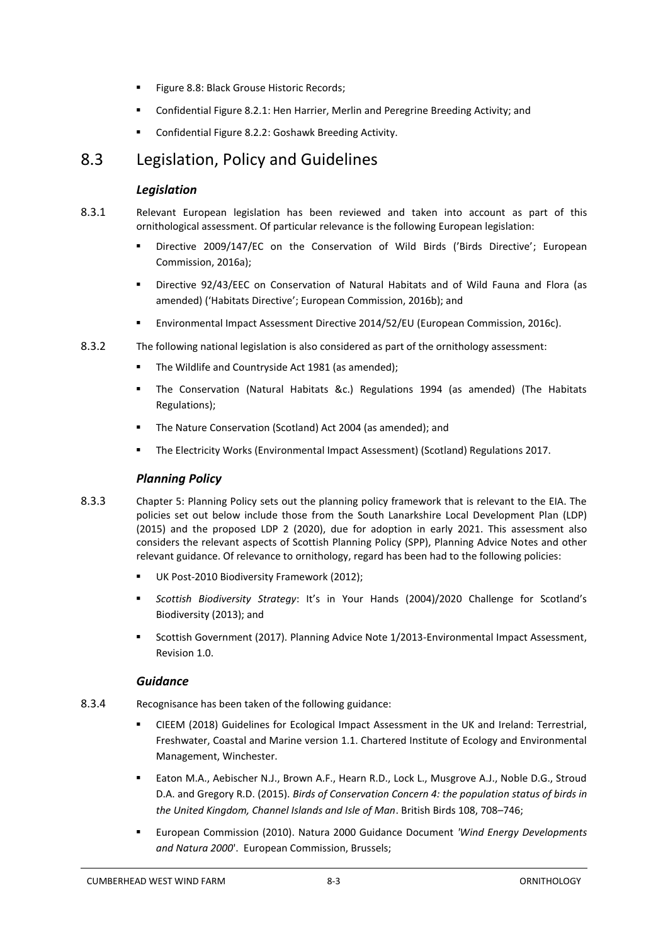- Figure 8.8: Black Grouse Historic Records;
- Confidential Figure 8.2.1: Hen Harrier, Merlin and Peregrine Breeding Activity; and
- Confidential Figure 8.2.2: Goshawk Breeding Activity.

### <span id="page-4-0"></span>8.3 Legislation, Policy and Guidelines

#### *Legislation*

- 8.3.1 Relevant European legislation has been reviewed and taken into account as part of this ornithological assessment. Of particular relevance is the following European legislation:
	- Directive 2009/147/EC on the Conservation of Wild Birds ('Birds Directive'; European Commission, 2016a);
	- Directive 92/43/EEC on Conservation of Natural Habitats and of Wild Fauna and Flora (as amended) ('Habitats Directive'; European Commission, 2016b); and
	- **Environmental Impact Assessment Directive 2014/52/EU (European Commission, 2016c).**
- 8.3.2 The following national legislation is also considered as part of the ornithology assessment:
	- The Wildlife and Countryside Act 1981 (as amended);
	- The Conservation (Natural Habitats &c.) Regulations 1994 (as amended) (The Habitats Regulations);
	- The Nature Conservation (Scotland) Act 2004 (as amended); and
	- The Electricity Works (Environmental Impact Assessment) (Scotland) Regulations 2017.

#### *Planning Policy*

- 8.3.3 Chapter 5: Planning Policy sets out the planning policy framework that is relevant to the EIA. The policies set out below include those from the South Lanarkshire Local Development Plan (LDP) (2015) and the proposed LDP 2 (2020), due for adoption in early 2021. This assessment also considers the relevant aspects of Scottish Planning Policy (SPP), Planning Advice Notes and other relevant guidance. Of relevance to ornithology, regard has been had to the following policies:
	- UK Post-2010 Biodiversity Framework (2012):
	- *Scottish Biodiversity Strategy*: It's in Your Hands (2004)/2020 Challenge for Scotland's Biodiversity (2013); and
	- Scottish Government (2017). Planning Advice Note 1/2013-Environmental Impact Assessment, Revision 1.0.

#### *Guidance*

- 8.3.4 Recognisance has been taken of the following guidance:
	- CIEEM (2018) Guidelines for Ecological Impact Assessment in the UK and Ireland: Terrestrial, Freshwater, Coastal and Marine version 1.1. Chartered Institute of Ecology and Environmental Management, Winchester.
	- Eaton M.A., Aebischer N.J., Brown A.F., Hearn R.D., Lock L., Musgrove A.J., Noble D.G., Stroud D.A. and Gregory R.D. (2015). *Birds of Conservation Concern 4: the population status of birds in the United Kingdom, Channel Islands and Isle of Man*. British Birds 108, 708–746;
	- European Commission (2010). Natura 2000 Guidance Document *'Wind Energy Developments and Natura 2000*'. European Commission, Brussels;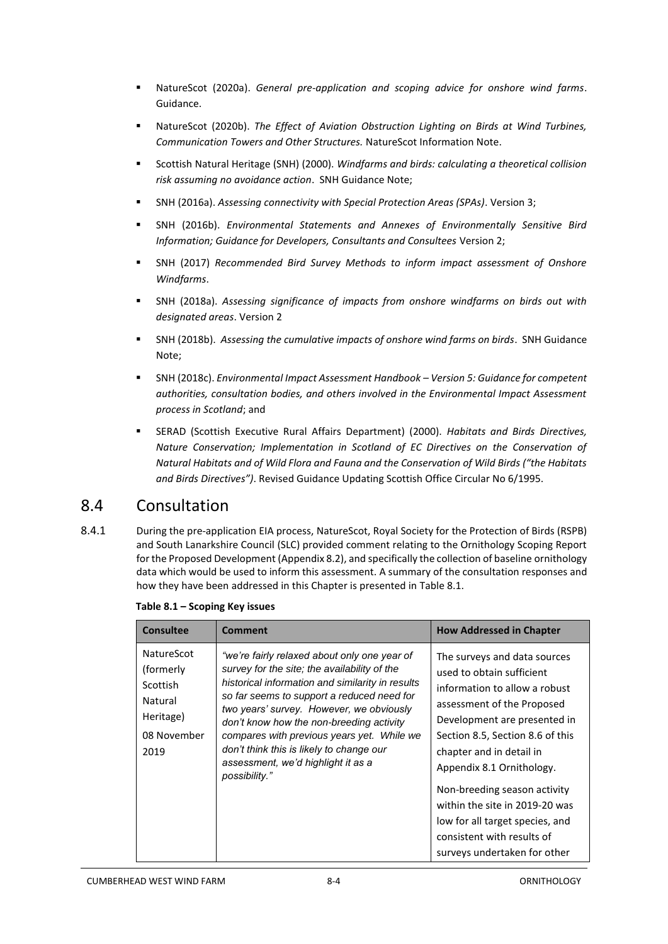- NatureScot (2020a). *General pre-application and scoping advice for onshore wind farms*. Guidance.
- NatureScot (2020b). *The Effect of Aviation Obstruction Lighting on Birds at Wind Turbines, Communication Towers and Other Structures.* NatureScot Information Note.
- Scottish Natural Heritage (SNH) (2000). *Windfarms and birds: calculating a theoretical collision risk assuming no avoidance action*. SNH Guidance Note;
- SNH (2016a). *Assessing connectivity with Special Protection Areas (SPAs)*. Version 3;
- SNH (2016b). *Environmental Statements and Annexes of Environmentally Sensitive Bird Information; Guidance for Developers, Consultants and Consultees* Version 2;
- SNH (2017) *Recommended Bird Survey Methods to inform impact assessment of Onshore Windfarms*.
- SNH (2018a). *Assessing significance of impacts from onshore windfarms on birds out with designated areas*. Version 2
- SNH (2018b). *Assessing the cumulative impacts of onshore wind farms on birds*. SNH Guidance Note;
- SNH (2018c). *Environmental Impact Assessment Handbook – Version 5: Guidance for competent authorities, consultation bodies, and others involved in the Environmental Impact Assessment process in Scotland*; and
- SERAD (Scottish Executive Rural Affairs Department) (2000). *Habitats and Birds Directives, Nature Conservation; Implementation in Scotland of EC Directives on the Conservation of Natural Habitats and of Wild Flora and Fauna and the Conservation of Wild Birds ("the Habitats and Birds Directives")*. Revised Guidance Updating Scottish Office Circular No 6/1995.

### <span id="page-5-0"></span>8.4 Consultation

8.4.1 During the pre-application EIA process, NatureScot, Royal Society for the Protection of Birds (RSPB) and South Lanarkshire Council (SLC) provided comment relating to the Ornithology Scoping Report for the Proposed Development (Appendix 8.2), and specifically the collection of baseline ornithology data which would be used to inform this assessment. A summary of the consultation responses and how they have been addressed in this Chapter is presented in [Table 8.1.](#page-5-1)

| <b>Consultee</b>                                                                          | <b>Comment</b>                                                                                                                                                                                                                                                                                                                                                                                                                          | <b>How Addressed in Chapter</b>                                                                                                                                                                                                                                                                                                                                                                                          |
|-------------------------------------------------------------------------------------------|-----------------------------------------------------------------------------------------------------------------------------------------------------------------------------------------------------------------------------------------------------------------------------------------------------------------------------------------------------------------------------------------------------------------------------------------|--------------------------------------------------------------------------------------------------------------------------------------------------------------------------------------------------------------------------------------------------------------------------------------------------------------------------------------------------------------------------------------------------------------------------|
| <b>NatureScot</b><br>(formerly<br>Scottish<br>Natural<br>Heritage)<br>08 November<br>2019 | "we're fairly relaxed about only one year of<br>survey for the site; the availability of the<br>historical information and similarity in results<br>so far seems to support a reduced need for<br>two years' survey. However, we obviously<br>don't know how the non-breeding activity<br>compares with previous years yet. While we<br>don't think this is likely to change our<br>assessment, we'd highlight it as a<br>possibility." | The surveys and data sources<br>used to obtain sufficient<br>information to allow a robust<br>assessment of the Proposed<br>Development are presented in<br>Section 8.5, Section 8.6 of this<br>chapter and in detail in<br>Appendix 8.1 Ornithology.<br>Non-breeding season activity<br>within the site in 2019-20 was<br>low for all target species, and<br>consistent with results of<br>surveys undertaken for other |

<span id="page-5-1"></span>**Table 8.1 – Scoping Key issues**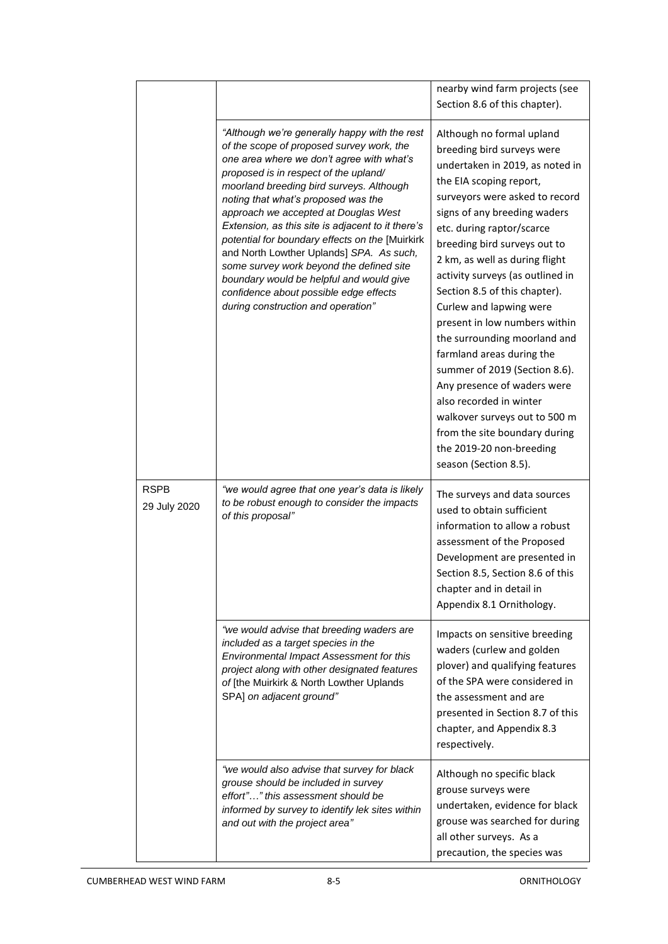|                             |                                                                                                                                                                                                                                                                                                                                                                                                                                                                                                                                                                                                                                         | nearby wind farm projects (see<br>Section 8.6 of this chapter).                                                                                                                                                                                                                                                                                                                                                                                                                                                                                                                                                                                                                                        |  |  |  |  |  |
|-----------------------------|-----------------------------------------------------------------------------------------------------------------------------------------------------------------------------------------------------------------------------------------------------------------------------------------------------------------------------------------------------------------------------------------------------------------------------------------------------------------------------------------------------------------------------------------------------------------------------------------------------------------------------------------|--------------------------------------------------------------------------------------------------------------------------------------------------------------------------------------------------------------------------------------------------------------------------------------------------------------------------------------------------------------------------------------------------------------------------------------------------------------------------------------------------------------------------------------------------------------------------------------------------------------------------------------------------------------------------------------------------------|--|--|--|--|--|
|                             | "Although we're generally happy with the rest<br>of the scope of proposed survey work, the<br>one area where we don't agree with what's<br>proposed is in respect of the upland/<br>moorland breeding bird surveys. Although<br>noting that what's proposed was the<br>approach we accepted at Douglas West<br>Extension, as this site is adjacent to it there's<br>potential for boundary effects on the [Muirkirk<br>and North Lowther Uplands] SPA. As such,<br>some survey work beyond the defined site<br>boundary would be helpful and would give<br>confidence about possible edge effects<br>during construction and operation" | Although no formal upland<br>breeding bird surveys were<br>undertaken in 2019, as noted in<br>the EIA scoping report,<br>surveyors were asked to record<br>signs of any breeding waders<br>etc. during raptor/scarce<br>breeding bird surveys out to<br>2 km, as well as during flight<br>activity surveys (as outlined in<br>Section 8.5 of this chapter).<br>Curlew and lapwing were<br>present in low numbers within<br>the surrounding moorland and<br>farmland areas during the<br>summer of 2019 (Section 8.6).<br>Any presence of waders were<br>also recorded in winter<br>walkover surveys out to 500 m<br>from the site boundary during<br>the 2019-20 non-breeding<br>season (Section 8.5). |  |  |  |  |  |
| <b>RSPB</b><br>29 July 2020 | "we would agree that one year's data is likely<br>to be robust enough to consider the impacts<br>of this proposal"                                                                                                                                                                                                                                                                                                                                                                                                                                                                                                                      | The surveys and data sources<br>used to obtain sufficient<br>information to allow a robust<br>assessment of the Proposed<br>Development are presented in<br>Section 8.5, Section 8.6 of this<br>chapter and in detail in<br>Appendix 8.1 Ornithology.                                                                                                                                                                                                                                                                                                                                                                                                                                                  |  |  |  |  |  |
|                             | "we would advise that breeding waders are<br>included as a target species in the<br>Environmental Impact Assessment for this<br>project along with other designated features<br>of [the Muirkirk & North Lowther Uplands<br>SPA] on adjacent ground"                                                                                                                                                                                                                                                                                                                                                                                    | Impacts on sensitive breeding<br>waders (curlew and golden<br>plover) and qualifying features<br>of the SPA were considered in<br>the assessment and are<br>presented in Section 8.7 of this<br>chapter, and Appendix 8.3<br>respectively.                                                                                                                                                                                                                                                                                                                                                                                                                                                             |  |  |  |  |  |
|                             | "we would also advise that survey for black<br>grouse should be included in survey<br>effort"" this assessment should be<br>informed by survey to identify lek sites within<br>and out with the project area"                                                                                                                                                                                                                                                                                                                                                                                                                           | Although no specific black<br>grouse surveys were<br>undertaken, evidence for black<br>grouse was searched for during<br>all other surveys. As a<br>precaution, the species was                                                                                                                                                                                                                                                                                                                                                                                                                                                                                                                        |  |  |  |  |  |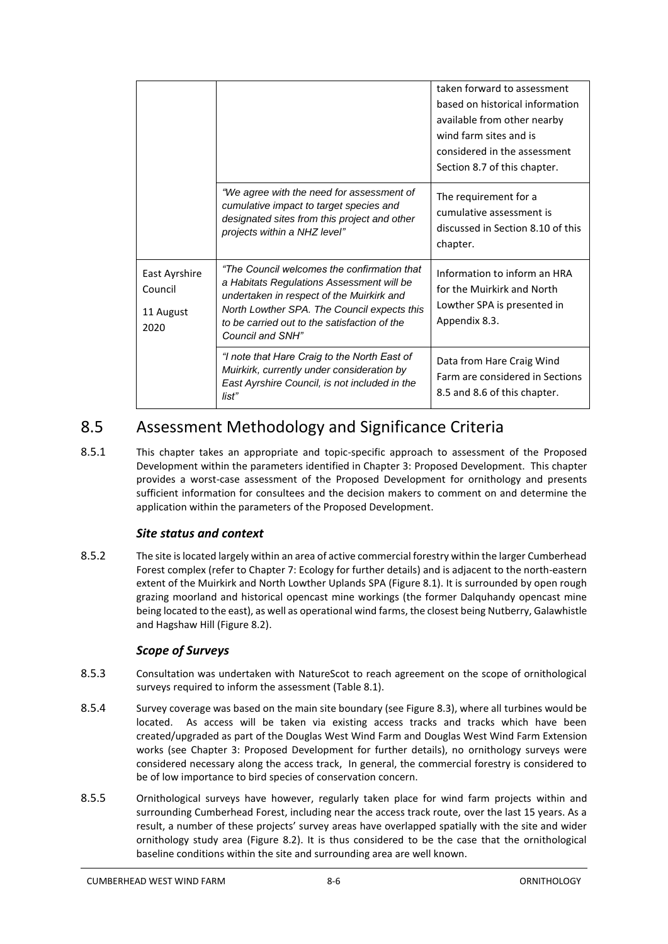|                                               |                                                                                                                                                                                                                                                          | taken forward to assessment<br>based on historical information<br>available from other nearby<br>wind farm sites and is<br>considered in the assessment<br>Section 8.7 of this chapter. |
|-----------------------------------------------|----------------------------------------------------------------------------------------------------------------------------------------------------------------------------------------------------------------------------------------------------------|-----------------------------------------------------------------------------------------------------------------------------------------------------------------------------------------|
|                                               | "We agree with the need for assessment of<br>cumulative impact to target species and<br>designated sites from this project and other<br>projects within a NHZ level"                                                                                     | The requirement for a<br>cumulative assessment is<br>discussed in Section 8.10 of this<br>chapter.                                                                                      |
| East Ayrshire<br>Council<br>11 August<br>2020 | "The Council welcomes the confirmation that<br>a Habitats Regulations Assessment will be<br>undertaken in respect of the Muirkirk and<br>North Lowther SPA. The Council expects this<br>to be carried out to the satisfaction of the<br>Council and SNH" | Information to inform an HRA<br>for the Muirkirk and North<br>Lowther SPA is presented in<br>Appendix 8.3.                                                                              |
|                                               | "I note that Hare Craig to the North East of<br>Muirkirk, currently under consideration by<br>East Ayrshire Council, is not included in the<br>list"                                                                                                     | Data from Hare Craig Wind<br>Farm are considered in Sections<br>8.5 and 8.6 of this chapter.                                                                                            |

## <span id="page-7-0"></span>8.5 Assessment Methodology and Significance Criteria

8.5.1 This chapter takes an appropriate and topic-specific approach to assessment of the Proposed Development within the parameters identified in Chapter 3: Proposed Development. This chapter provides a worst-case assessment of the Proposed Development for ornithology and presents sufficient information for consultees and the decision makers to comment on and determine the application within the parameters of the Proposed Development.

#### *Site status and context*

8.5.2 The site is located largely within an area of active commercial forestry within the larger Cumberhead Forest complex (refer to Chapter 7: Ecology for further details) and is adjacent to the north-eastern extent of the Muirkirk and North Lowther Uplands SPA (Figure 8.1). It is surrounded by open rough grazing moorland and historical opencast mine workings (the former Dalquhandy opencast mine being located to the east), as well as operational wind farms, the closest being Nutberry, Galawhistle and Hagshaw Hill (Figure 8.2).

### *Scope of Surveys*

- 8.5.3 Consultation was undertaken with NatureScot to reach agreement on the scope of ornithological surveys required to inform the assessment (Table 8.1).
- 8.5.4 Survey coverage was based on the main site boundary (see Figure 8.3), where all turbines would be located. As access will be taken via existing access tracks and tracks which have been created/upgraded as part of the Douglas West Wind Farm and Douglas West Wind Farm Extension works (see Chapter 3: Proposed Development for further details), no ornithology surveys were considered necessary along the access track, In general, the commercial forestry is considered to be of low importance to bird species of conservation concern.
- 8.5.5 Ornithological surveys have however, regularly taken place for wind farm projects within and surrounding Cumberhead Forest, including near the access track route, over the last 15 years. As a result, a number of these projects' survey areas have overlapped spatially with the site and wider ornithology study area (Figure 8.2). It is thus considered to be the case that the ornithological baseline conditions within the site and surrounding area are well known.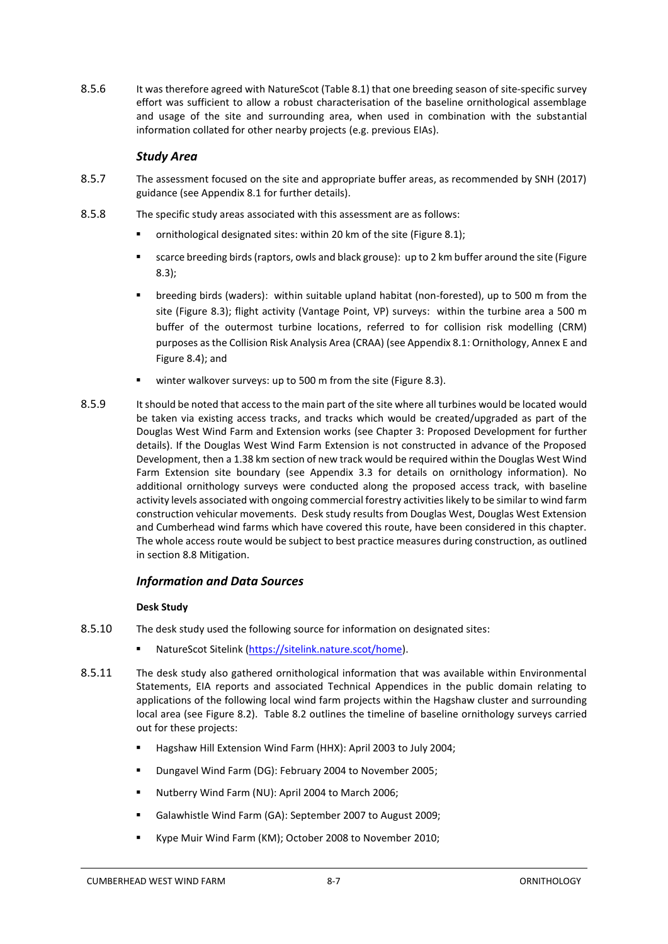8.5.6 It was therefore agreed with NatureScot (Table 8.1) that one breeding season of site-specific survey effort was sufficient to allow a robust characterisation of the baseline ornithological assemblage and usage of the site and surrounding area, when used in combination with the substantial information collated for other nearby projects (e.g. previous EIAs).

#### *Study Area*

- 8.5.7 The assessment focused on the site and appropriate buffer areas, as recommended by SNH (2017) guidance (see Appendix 8.1 for further details).
- 8.5.8 The specific study areas associated with this assessment are as follows:
	- ornithological designated sites: within 20 km of the site (Figure 8.1);
	- scarce breeding birds (raptors, owls and black grouse): up to 2 km buffer around the site (Figure 8.3);
	- breeding birds (waders): within suitable upland habitat (non-forested), up to 500 m from the site (Figure 8.3); flight activity (Vantage Point, VP) surveys: within the turbine area a 500 m buffer of the outermost turbine locations, referred to for collision risk modelling (CRM) purposes as the Collision Risk Analysis Area (CRAA) (see Appendix 8.1: Ornithology, Annex E and Figure 8.4); and
	- winter walkover surveys: up to 500 m from the site (Figure 8.3).
- 8.5.9 It should be noted that access to the main part of the site where all turbines would be located would be taken via existing access tracks, and tracks which would be created/upgraded as part of the Douglas West Wind Farm and Extension works (see Chapter 3: Proposed Development for further details). If the Douglas West Wind Farm Extension is not constructed in advance of the Proposed Development, then a 1.38 km section of new track would be required within the Douglas West Wind Farm Extension site boundary (see Appendix 3.3 for details on ornithology information). No additional ornithology surveys were conducted along the proposed access track, with baseline activity levels associated with ongoing commercial forestry activities likely to be similar to wind farm construction vehicular movements. Desk study results from Douglas West, Douglas West Extension and Cumberhead wind farms which have covered this route, have been considered in this chapter. The whole access route would be subject to best practice measures during construction, as outlined in section 8.8 Mitigation.

#### *Information and Data Sources*

#### **Desk Study**

- 8.5.10 The desk study used the following source for information on designated sites:
	- NatureScot Sitelink [\(https://sitelink.nature.scot/home\)](https://sitelink.nature.scot/home).
- 8.5.11 The desk study also gathered ornithological information that was available within Environmental Statements, EIA reports and associated Technical Appendices in the public domain relating to applications of the following local wind farm projects within the Hagshaw cluster and surrounding local area (see Figure 8.2). [Table 8.2](#page-9-0) outlines the timeline of baseline ornithology surveys carried out for these projects:
	- Hagshaw Hill Extension Wind Farm (HHX): April 2003 to July 2004;
	- Dungavel Wind Farm (DG): February 2004 to November 2005;
	- Nutberry Wind Farm (NU): April 2004 to March 2006;
	- Galawhistle Wind Farm (GA): September 2007 to August 2009;
	- Kype Muir Wind Farm (KM); October 2008 to November 2010;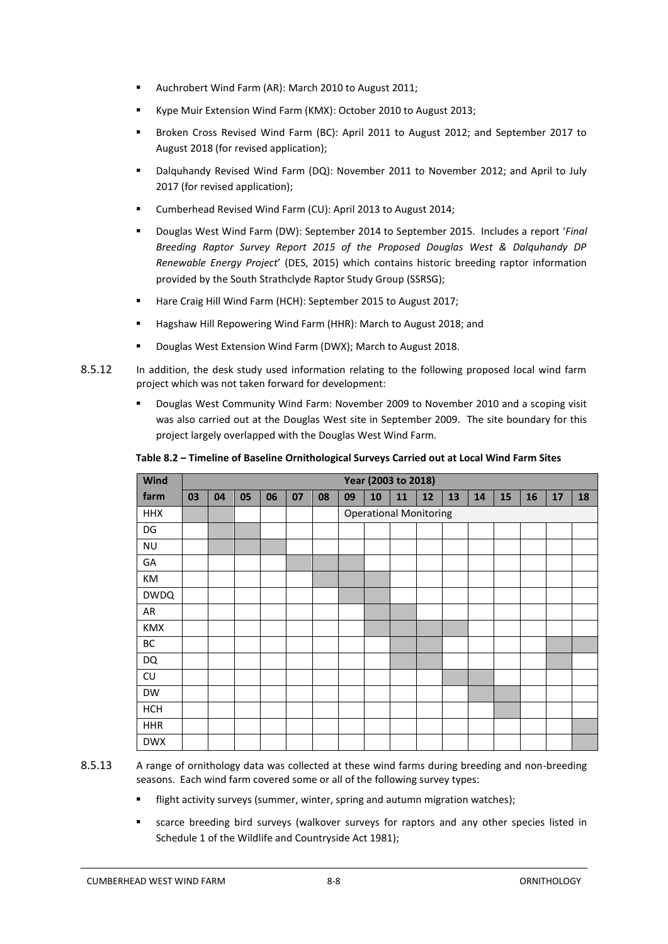- Auchrobert Wind Farm (AR): March 2010 to August 2011;
- Kype Muir Extension Wind Farm (KMX): October 2010 to August 2013;
- Broken Cross Revised Wind Farm (BC): April 2011 to August 2012; and September 2017 to August 2018 (for revised application);
- Dalquhandy Revised Wind Farm (DQ): November 2011 to November 2012; and April to July 2017 (for revised application);
- Cumberhead Revised Wind Farm (CU): April 2013 to August 2014;
- Douglas West Wind Farm (DW): September 2014 to September 2015. Includes a report '*Final Breeding Raptor Survey Report 2015 of the Proposed Douglas West & Dalquhandy DP Renewable Energy Project*' (DES, 2015) which contains historic breeding raptor information provided by the South Strathclyde Raptor Study Group (SSRSG);
- Hare Craig Hill Wind Farm (HCH): September 2015 to August 2017;
- Hagshaw Hill Repowering Wind Farm (HHR): March to August 2018; and
- Douglas West Extension Wind Farm (DWX); March to August 2018.
- 8.5.12 In addition, the desk study used information relating to the following proposed local wind farm project which was not taken forward for development:
	- Douglas West Community Wind Farm: November 2009 to November 2010 and a scoping visit was also carried out at the Douglas West site in September 2009. The site boundary for this project largely overlapped with the Douglas West Wind Farm.

| Wind        |    |    |    |    |    |    |    | Year (2003 to 2018) |    |                               |    |    |    |    |    |    |
|-------------|----|----|----|----|----|----|----|---------------------|----|-------------------------------|----|----|----|----|----|----|
| farm        | 03 | 04 | 05 | 06 | 07 | 08 | 09 | 10                  | 11 | 12                            | 13 | 14 | 15 | 16 | 17 | 18 |
| <b>HHX</b>  |    |    |    |    |    |    |    |                     |    | <b>Operational Monitoring</b> |    |    |    |    |    |    |
| DG          |    |    |    |    |    |    |    |                     |    |                               |    |    |    |    |    |    |
| <b>NU</b>   |    |    |    |    |    |    |    |                     |    |                               |    |    |    |    |    |    |
| GA          |    |    |    |    |    |    |    |                     |    |                               |    |    |    |    |    |    |
| KM          |    |    |    |    |    |    |    |                     |    |                               |    |    |    |    |    |    |
| <b>DWDQ</b> |    |    |    |    |    |    |    |                     |    |                               |    |    |    |    |    |    |
| AR          |    |    |    |    |    |    |    |                     |    |                               |    |    |    |    |    |    |
| KMX         |    |    |    |    |    |    |    |                     |    |                               |    |    |    |    |    |    |
| BC          |    |    |    |    |    |    |    |                     |    |                               |    |    |    |    |    |    |
| <b>DQ</b>   |    |    |    |    |    |    |    |                     |    |                               |    |    |    |    |    |    |
| CU          |    |    |    |    |    |    |    |                     |    |                               |    |    |    |    |    |    |
| <b>DW</b>   |    |    |    |    |    |    |    |                     |    |                               |    |    |    |    |    |    |

#### <span id="page-9-0"></span>**Table 8.2 – Timeline of Baseline Ornithological Surveys Carried out at Local Wind Farm Sites**

- 8.5.13 A range of ornithology data was collected at these wind farms during breeding and non-breeding seasons. Each wind farm covered some or all of the following survey types:
	- flight activity surveys (summer, winter, spring and autumn migration watches);
	- scarce breeding bird surveys (walkover surveys for raptors and any other species listed in Schedule 1 of the Wildlife and Countryside Act 1981);

**HCH** HHR DWX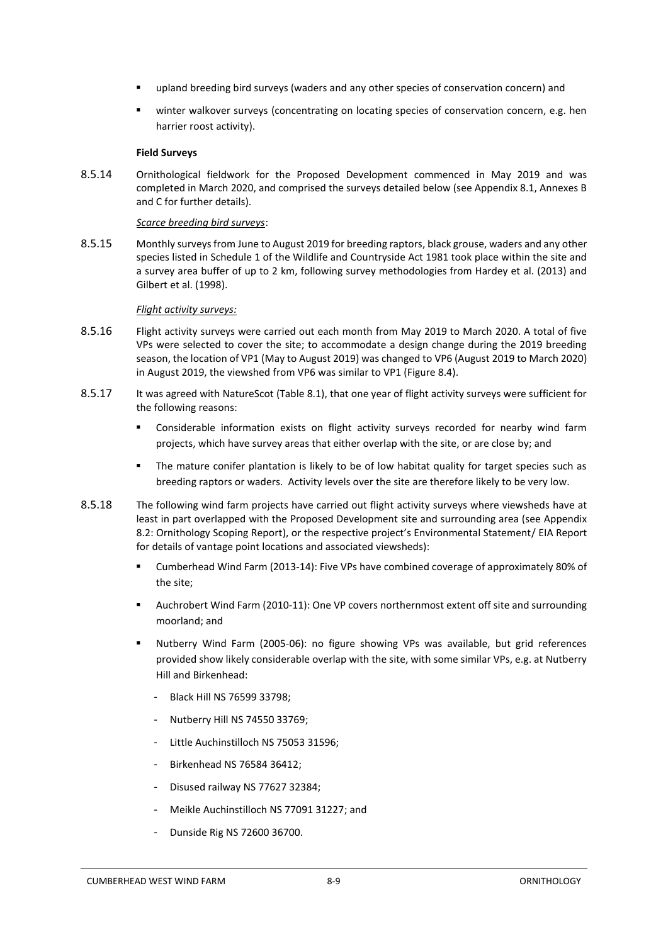- upland breeding bird surveys (waders and any other species of conservation concern) and
- **■** winter walkover surveys (concentrating on locating species of conservation concern, e.g. hen harrier roost activity).

#### **Field Surveys**

8.5.14 Ornithological fieldwork for the Proposed Development commenced in May 2019 and was completed in March 2020, and comprised the surveys detailed below (see Appendix 8.1, Annexes B and C for further details).

*Scarce breeding bird surveys*:

8.5.15 Monthly surveys from June to August 2019 for breeding raptors, black grouse, waders and any other species listed in Schedule 1 of the Wildlife and Countryside Act 1981 took place within the site and a survey area buffer of up to 2 km, following survey methodologies from Hardey et al. (2013) and Gilbert et al. (1998).

#### *Flight activity surveys:*

- 8.5.16 Flight activity surveys were carried out each month from May 2019 to March 2020. A total of five VPs were selected to cover the site; to accommodate a design change during the 2019 breeding season, the location of VP1 (May to August 2019) was changed to VP6 (August 2019 to March 2020) in August 2019, the viewshed from VP6 was similar to VP1 (Figure 8.4).
- 8.5.17 It was agreed with NatureScot [\(Table 8.1\)](#page-5-1), that one year of flight activity surveys were sufficient for the following reasons:
	- Considerable information exists on flight activity surveys recorded for nearby wind farm projects, which have survey areas that either overlap with the site, or are close by; and
	- The mature conifer plantation is likely to be of low habitat quality for target species such as breeding raptors or waders. Activity levels over the site are therefore likely to be very low.
- 8.5.18 The following wind farm projects have carried out flight activity surveys where viewsheds have at least in part overlapped with the Proposed Development site and surrounding area (see Appendix 8.2: Ornithology Scoping Report), or the respective project's Environmental Statement/ EIA Report for details of vantage point locations and associated viewsheds):
	- Cumberhead Wind Farm (2013-14): Five VPs have combined coverage of approximately 80% of the site;
	- Auchrobert Wind Farm (2010-11): One VP covers northernmost extent off site and surrounding moorland; and
	- Nutberry Wind Farm (2005-06): no figure showing VPs was available, but grid references provided show likely considerable overlap with the site, with some similar VPs, e.g. at Nutberry Hill and Birkenhead:
		- Black Hill NS 76599 33798;
		- Nutberry Hill NS 74550 33769;
		- Little Auchinstilloch NS 75053 31596:
		- Birkenhead NS 76584 36412;
		- Disused railway NS 77627 32384;
		- Meikle Auchinstilloch NS 77091 31227; and
		- Dunside Rig NS 72600 36700.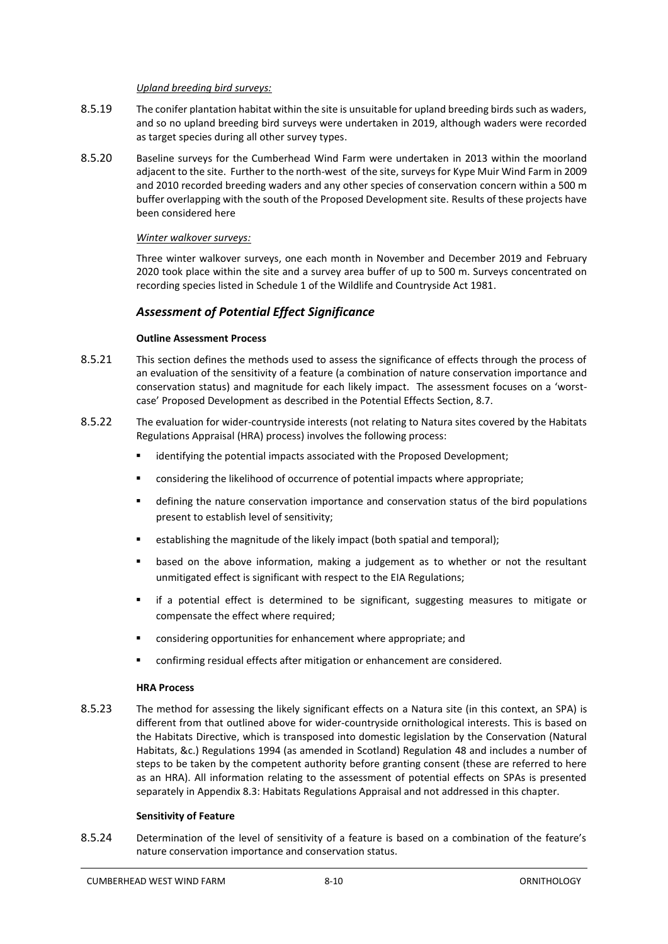#### *Upland breeding bird surveys:*

- 8.5.19 The conifer plantation habitat within the site is unsuitable for upland breeding birds such as waders, and so no upland breeding bird surveys were undertaken in 2019, although waders were recorded as target species during all other survey types.
- 8.5.20 Baseline surveys for the Cumberhead Wind Farm were undertaken in 2013 within the moorland adjacent to the site. Further to the north-west of the site, surveys for Kype Muir Wind Farm in 2009 and 2010 recorded breeding waders and any other species of conservation concern within a 500 m buffer overlapping with the south of the Proposed Development site. Results of these projects have been considered here

#### *Winter walkover surveys:*

Three winter walkover surveys, one each month in November and December 2019 and February 2020 took place within the site and a survey area buffer of up to 500 m. Surveys concentrated on recording species listed in Schedule 1 of the Wildlife and Countryside Act 1981.

#### *Assessment of Potential Effect Significance*

#### **Outline Assessment Process**

- 8.5.21 This section defines the methods used to assess the significance of effects through the process of an evaluation of the sensitivity of a feature (a combination of nature conservation importance and conservation status) and magnitude for each likely impact. The assessment focuses on a 'worstcase' Proposed Development as described in the Potential Effects Section, 8.7.
- 8.5.22 The evaluation for wider-countryside interests (not relating to Natura sites covered by the Habitats Regulations Appraisal (HRA) process) involves the following process:
	- identifying the potential impacts associated with the Proposed Development;
	- considering the likelihood of occurrence of potential impacts where appropriate;
	- **■** defining the nature conservation importance and conservation status of the bird populations present to establish level of sensitivity;
	- establishing the magnitude of the likely impact (both spatial and temporal);
	- based on the above information, making a judgement as to whether or not the resultant unmitigated effect is significant with respect to the EIA Regulations;
	- if a potential effect is determined to be significant, suggesting measures to mitigate or compensate the effect where required;
	- considering opportunities for enhancement where appropriate; and
	- confirming residual effects after mitigation or enhancement are considered.

#### **HRA Process**

8.5.23 The method for assessing the likely significant effects on a Natura site (in this context, an SPA) is different from that outlined above for wider-countryside ornithological interests. This is based on the Habitats Directive, which is transposed into domestic legislation by the Conservation (Natural Habitats, &c.) Regulations 1994 (as amended in Scotland) Regulation 48 and includes a number of steps to be taken by the competent authority before granting consent (these are referred to here as an HRA). All information relating to the assessment of potential effects on SPAs is presented separately in Appendix 8.3: Habitats Regulations Appraisal and not addressed in this chapter.

#### **Sensitivity of Feature**

8.5.24 Determination of the level of sensitivity of a feature is based on a combination of the feature's nature conservation importance and conservation status.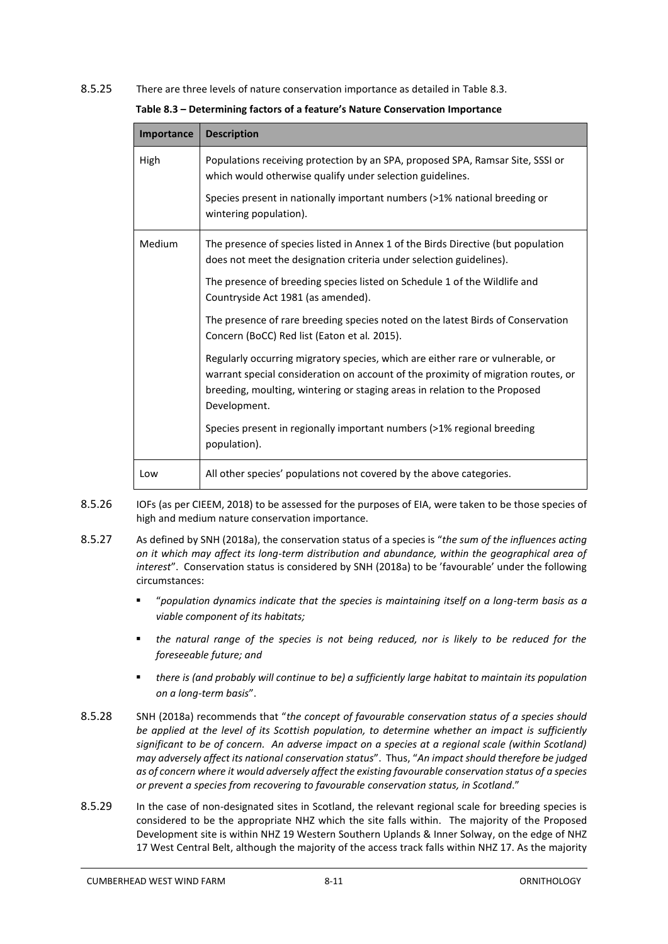<span id="page-12-0"></span>8.5.25 There are three levels of nature conservation importance as detailed i[n Table 8.3.](#page-12-0)

| Importance | <b>Description</b>                                                                                                                                                                                                                                                |
|------------|-------------------------------------------------------------------------------------------------------------------------------------------------------------------------------------------------------------------------------------------------------------------|
| High       | Populations receiving protection by an SPA, proposed SPA, Ramsar Site, SSSI or<br>which would otherwise qualify under selection guidelines.                                                                                                                       |
|            | Species present in nationally important numbers (>1% national breeding or<br>wintering population).                                                                                                                                                               |
| Medium     | The presence of species listed in Annex 1 of the Birds Directive (but population<br>does not meet the designation criteria under selection guidelines).                                                                                                           |
|            | The presence of breeding species listed on Schedule 1 of the Wildlife and<br>Countryside Act 1981 (as amended).                                                                                                                                                   |
|            | The presence of rare breeding species noted on the latest Birds of Conservation<br>Concern (BoCC) Red list (Eaton et al. 2015).                                                                                                                                   |
|            | Regularly occurring migratory species, which are either rare or vulnerable, or<br>warrant special consideration on account of the proximity of migration routes, or<br>breeding, moulting, wintering or staging areas in relation to the Proposed<br>Development. |
|            | Species present in regionally important numbers (>1% regional breeding<br>population).                                                                                                                                                                            |
| Low        | All other species' populations not covered by the above categories.                                                                                                                                                                                               |

**Table 8.3 – Determining factors of a feature's Nature Conservation Importance**

- 8.5.26 IOFs (as per CIEEM, 2018) to be assessed for the purposes of EIA, were taken to be those species of high and medium nature conservation importance.
- 8.5.27 As defined by SNH (2018a), the conservation status of a species is "*the sum of the influences acting on it which may affect its long-term distribution and abundance, within the geographical area of interest*". Conservation status is considered by SNH (2018a) to be 'favourable' under the following circumstances:
	- "*population dynamics indicate that the species is maintaining itself on a long-term basis as a viable component of its habitats;*
	- the natural range of the species is not being reduced, nor is likely to be reduced for the *foreseeable future; and*
	- *there is (and probably will continue to be) a sufficiently large habitat to maintain its population on a long-term basis*".
- 8.5.28 SNH (2018a) recommends that "*the concept of favourable conservation status of a species should be applied at the level of its Scottish population, to determine whether an impact is sufficiently significant to be of concern. An adverse impact on a species at a regional scale (within Scotland) may adversely affect its national conservation status*". Thus, "*An impact should therefore be judged as of concern where it would adversely affect the existing favourable conservation status of a species or prevent a species from recovering to favourable conservation status, in Scotland*."
- 8.5.29 In the case of non-designated sites in Scotland, the relevant regional scale for breeding species is considered to be the appropriate NHZ which the site falls within. The majority of the Proposed Development site is within NHZ 19 Western Southern Uplands & Inner Solway, on the edge of NHZ 17 West Central Belt, although the majority of the access track falls within NHZ 17. As the majority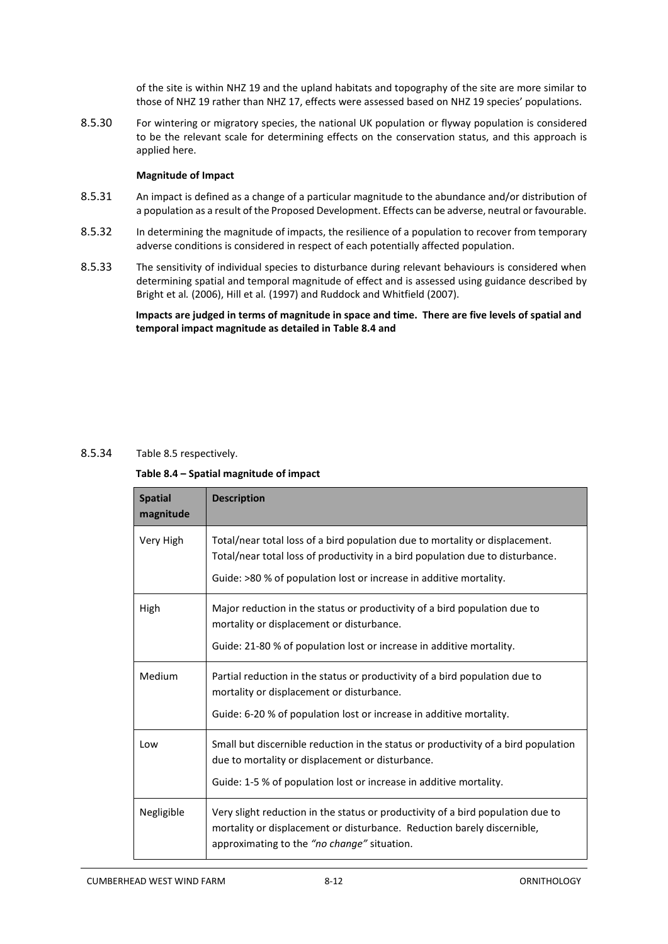of the site is within NHZ 19 and the upland habitats and topography of the site are more similar to those of NHZ 19 rather than NHZ 17, effects were assessed based on NHZ 19 species' populations.

8.5.30 For wintering or migratory species, the national UK population or flyway population is considered to be the relevant scale for determining effects on the conservation status, and this approach is applied here.

#### **Magnitude of Impact**

- 8.5.31 An impact is defined as a change of a particular magnitude to the abundance and/or distribution of a population as a result of the Proposed Development. Effects can be adverse, neutral or favourable.
- 8.5.32 In determining the magnitude of impacts, the resilience of a population to recover from temporary adverse conditions is considered in respect of each potentially affected population.
- 8.5.33 The sensitivity of individual species to disturbance during relevant behaviours is considered when determining spatial and temporal magnitude of effect and is assessed using guidance described by Bright et al*.* (2006), Hill et al*.* (1997) and Ruddock and Whitfield (2007).

**Impacts are judged in terms of magnitude in space and time. There are five levels of spatial and temporal impact magnitude as detailed in [Table 8.4](#page-13-0) an[d](#page-14-0)** 

#### <span id="page-13-0"></span>8.5.34 [Table 8.5](#page-14-0) respectively.

**Table 8.4 – Spatial magnitude of impact**

| <b>Spatial</b><br>magnitude | <b>Description</b>                                                                                                                                                                                                                   |
|-----------------------------|--------------------------------------------------------------------------------------------------------------------------------------------------------------------------------------------------------------------------------------|
| Very High                   | Total/near total loss of a bird population due to mortality or displacement.<br>Total/near total loss of productivity in a bird population due to disturbance.<br>Guide: >80 % of population lost or increase in additive mortality. |
| High                        | Major reduction in the status or productivity of a bird population due to<br>mortality or displacement or disturbance.<br>Guide: 21-80 % of population lost or increase in additive mortality.                                       |
| Medium                      | Partial reduction in the status or productivity of a bird population due to<br>mortality or displacement or disturbance.<br>Guide: 6-20 % of population lost or increase in additive mortality.                                      |
| Low                         | Small but discernible reduction in the status or productivity of a bird population<br>due to mortality or displacement or disturbance.<br>Guide: 1-5 % of population lost or increase in additive mortality.                         |
| Negligible                  | Very slight reduction in the status or productivity of a bird population due to<br>mortality or displacement or disturbance. Reduction barely discernible,<br>approximating to the "no change" situation.                            |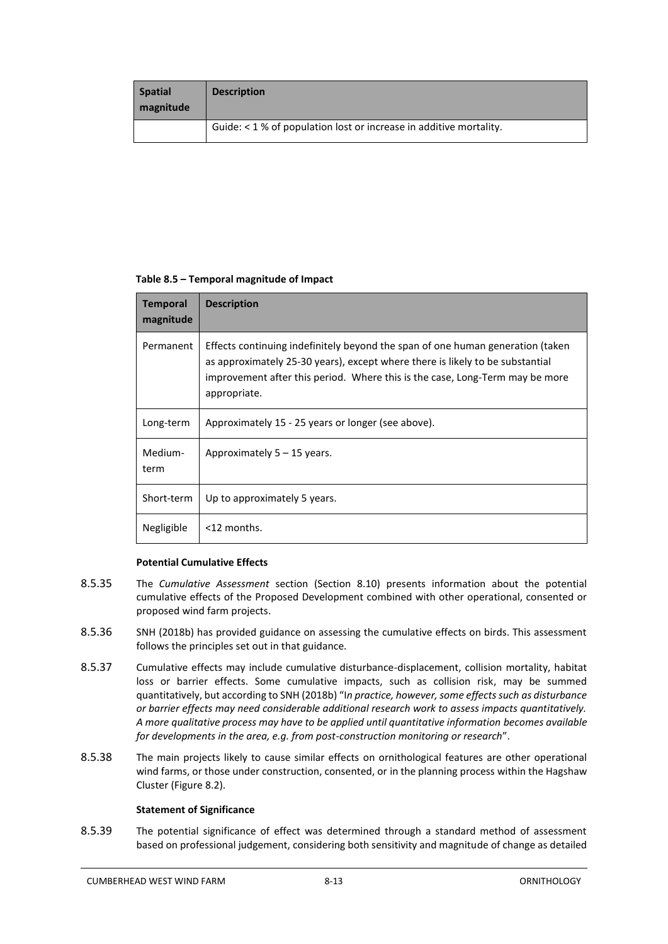<span id="page-14-0"></span>

| <b>Spatial</b><br>magnitude | <b>Description</b>                                                 |
|-----------------------------|--------------------------------------------------------------------|
|                             | Guide: < 1 % of population lost or increase in additive mortality. |

#### **Table 8.5 – Temporal magnitude of Impact**

| Temporal<br>magnitude | <b>Description</b>                                                                                                                                                                                                                                              |
|-----------------------|-----------------------------------------------------------------------------------------------------------------------------------------------------------------------------------------------------------------------------------------------------------------|
| Permanent             | Effects continuing indefinitely beyond the span of one human generation (taken<br>as approximately 25-30 years), except where there is likely to be substantial<br>improvement after this period. Where this is the case, Long-Term may be more<br>appropriate. |
| Long-term             | Approximately 15 - 25 years or longer (see above).                                                                                                                                                                                                              |
| Medium-<br>term       | Approximately $5 - 15$ years.                                                                                                                                                                                                                                   |
| Short-term            | Up to approximately 5 years.                                                                                                                                                                                                                                    |
| Negligible            | $<$ 12 months.                                                                                                                                                                                                                                                  |

#### **Potential Cumulative Effects**

- 8.5.35 The *Cumulative Assessment* section (Section 8.10) presents information about the potential cumulative effects of the Proposed Development combined with other operational, consented or proposed wind farm projects.
- 8.5.36 SNH (2018b) has provided guidance on assessing the cumulative effects on birds. This assessment follows the principles set out in that guidance.
- 8.5.37 Cumulative effects may include cumulative disturbance-displacement, collision mortality, habitat loss or barrier effects. Some cumulative impacts, such as collision risk, may be summed quantitatively, but according to SNH (2018b) "I*n practice, however, some effects such as disturbance or barrier effects may need considerable additional research work to assess impacts quantitatively. A more qualitative process may have to be applied until quantitative information becomes available for developments in the area, e.g. from post-construction monitoring or research*".
- 8.5.38 The main projects likely to cause similar effects on ornithological features are other operational wind farms, or those under construction, consented, or in the planning process within the Hagshaw Cluster (Figure 8.2).

#### **Statement of Significance**

8.5.39 The potential significance of effect was determined through a standard method of assessment based on professional judgement, considering both sensitivity and magnitude of change as detailed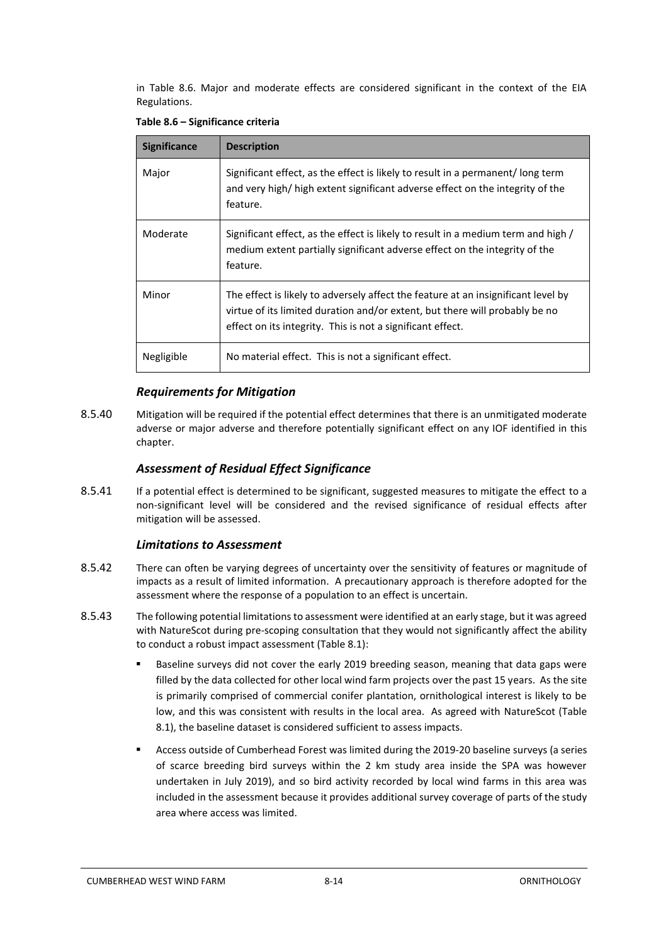in [Table 8.6.](#page-15-0) Major and moderate effects are considered significant in the context of the EIA Regulations.

| <b>Significance</b> | <b>Description</b>                                                                                                                                                                                                             |
|---------------------|--------------------------------------------------------------------------------------------------------------------------------------------------------------------------------------------------------------------------------|
| Major               | Significant effect, as the effect is likely to result in a permanent/long term<br>and very high/ high extent significant adverse effect on the integrity of the<br>feature.                                                    |
| Moderate            | Significant effect, as the effect is likely to result in a medium term and high /<br>medium extent partially significant adverse effect on the integrity of the<br>feature.                                                    |
| Minor               | The effect is likely to adversely affect the feature at an insignificant level by<br>virtue of its limited duration and/or extent, but there will probably be no<br>effect on its integrity. This is not a significant effect. |
| Negligible          | No material effect. This is not a significant effect.                                                                                                                                                                          |

<span id="page-15-0"></span>**Table 8.6 – Significance criteria**

#### *Requirements for Mitigation*

8.5.40 Mitigation will be required if the potential effect determines that there is an unmitigated moderate adverse or major adverse and therefore potentially significant effect on any IOF identified in this chapter.

#### *Assessment of Residual Effect Significance*

8.5.41 If a potential effect is determined to be significant, suggested measures to mitigate the effect to a non-significant level will be considered and the revised significance of residual effects after mitigation will be assessed.

#### *Limitations to Assessment*

- 8.5.42 There can often be varying degrees of uncertainty over the sensitivity of features or magnitude of impacts as a result of limited information. A precautionary approach is therefore adopted for the assessment where the response of a population to an effect is uncertain.
- 8.5.43 The following potential limitations to assessment were identified at an early stage, but it was agreed with NatureScot during pre-scoping consultation that they would not significantly affect the ability to conduct a robust impact assessment (Table 8.1):
	- Baseline surveys did not cover the early 2019 breeding season, meaning that data gaps were filled by the data collected for other local wind farm projects over the past 15 years. As the site is primarily comprised of commercial conifer plantation, ornithological interest is likely to be low, and this was consistent with results in the local area. As agreed with NatureScot (Table 8.1), the baseline dataset is considered sufficient to assess impacts.
	- **EXECCESS OUTSIDE OF CUMBER FOREST AT A LIMITED ASSETS ASSET ASSET ASSET A** Access outside of Cumberhead Forest was limited during the 2019-20 baseline surveys (a series of scarce breeding bird surveys within the 2 km study area inside the SPA was however undertaken in July 2019), and so bird activity recorded by local wind farms in this area was included in the assessment because it provides additional survey coverage of parts of the study area where access was limited.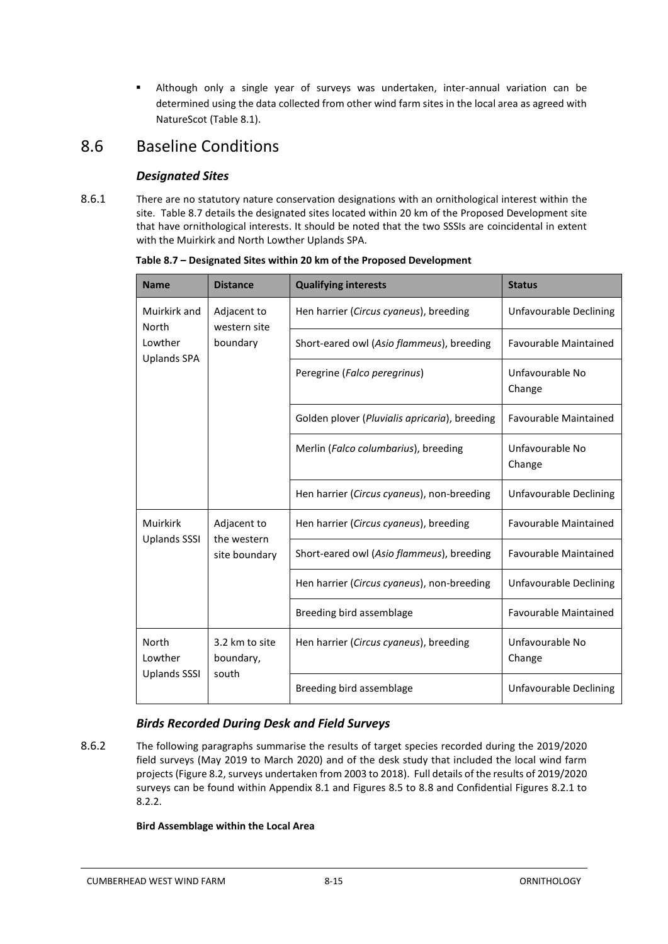▪ Although only a single year of surveys was undertaken, inter-annual variation can be determined using the data collected from other wind farm sites in the local area as agreed with NatureScot (Table 8.1).

### <span id="page-16-0"></span>8.6 Baseline Conditions

#### *Designated Sites*

8.6.1 There are no statutory nature conservation designations with an ornithological interest within the site. [Table 8.7](#page-16-1) details the designated sites located within 20 km of the Proposed Development site that have ornithological interests. It should be noted that the two SSSIs are coincidental in extent with the Muirkirk and North Lowther Uplands SPA.

| <b>Name</b>                             | <b>Distance</b>             | <b>Qualifying interests</b>                   | <b>Status</b>                 |  |  |  |
|-----------------------------------------|-----------------------------|-----------------------------------------------|-------------------------------|--|--|--|
| Muirkirk and<br>North                   | Adjacent to<br>western site | Hen harrier (Circus cyaneus), breeding        | <b>Unfavourable Declining</b> |  |  |  |
| Lowther<br>Uplands SPA                  | boundary                    | Short-eared owl (Asio flammeus), breeding     | <b>Favourable Maintained</b>  |  |  |  |
|                                         |                             | Peregrine (Falco peregrinus)                  | Unfavourable No<br>Change     |  |  |  |
|                                         |                             | Golden plover (Pluvialis apricaria), breeding | <b>Favourable Maintained</b>  |  |  |  |
|                                         |                             | Merlin (Falco columbarius), breeding          | Unfavourable No<br>Change     |  |  |  |
|                                         |                             | Hen harrier (Circus cyaneus), non-breeding    | <b>Unfavourable Declining</b> |  |  |  |
| Muirkirk<br><b>Uplands SSSI</b>         | Adjacent to<br>the western  | Hen harrier (Circus cyaneus), breeding        | <b>Favourable Maintained</b>  |  |  |  |
|                                         | site boundary               | Short-eared owl (Asio flammeus), breeding     | <b>Favourable Maintained</b>  |  |  |  |
|                                         |                             | Hen harrier (Circus cyaneus), non-breeding    | <b>Unfavourable Declining</b> |  |  |  |
|                                         |                             | Breeding bird assemblage                      | Favourable Maintained         |  |  |  |
| North<br>Lowther<br><b>Uplands SSSI</b> | 3.2 km to site<br>boundary, | Hen harrier (Circus cyaneus), breeding        | Unfavourable No<br>Change     |  |  |  |
|                                         | south                       | Breeding bird assemblage                      | <b>Unfavourable Declining</b> |  |  |  |

<span id="page-16-1"></span>**Table 8.7 – Designated Sites within 20 km of the Proposed Development**

#### *Birds Recorded During Desk and Field Surveys*

8.6.2 The following paragraphs summarise the results of target species recorded during the 2019/2020 field surveys (May 2019 to March 2020) and of the desk study that included the local wind farm projects (Figure 8.2, surveys undertaken from 2003 to 2018). Full details of the results of 2019/2020 surveys can be found within Appendix 8.1 and Figures 8.5 to 8.8 and Confidential Figures 8.2.1 to 8.2.2.

#### **Bird Assemblage within the Local Area**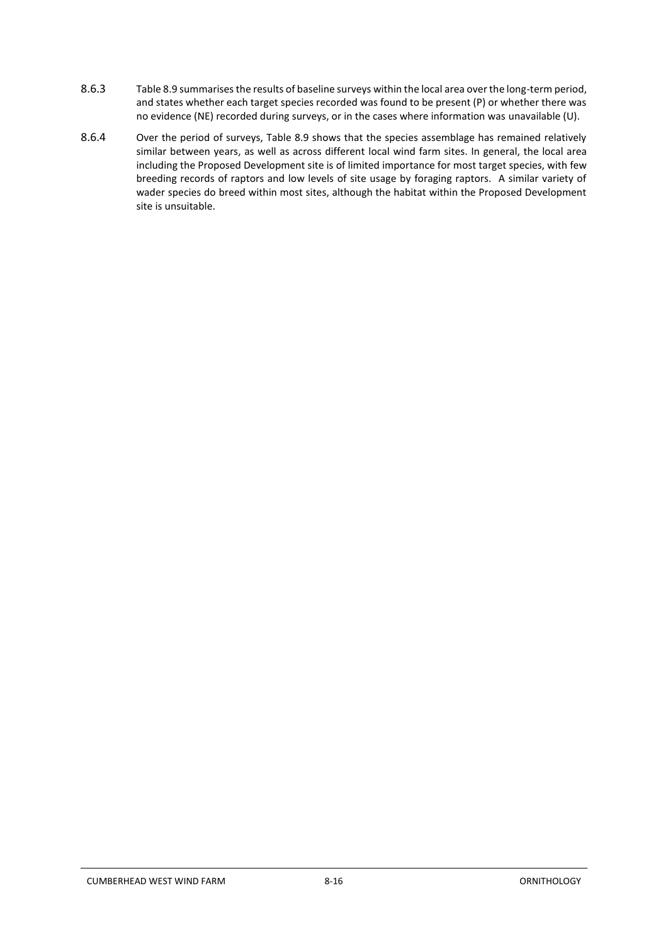- 8.6.3 Table 8.9 summarises the results of baseline surveys within the local area over the long-term period, and states whether each target species recorded was found to be present (P) or whether there was no evidence (NE) recorded during surveys, or in the cases where information was unavailable (U).
- 8.6.4 Over the period of surveys, Table 8.9 shows that the species assemblage has remained relatively similar between years, as well as across different local wind farm sites. In general, the local area including the Proposed Development site is of limited importance for most target species, with few breeding records of raptors and low levels of site usage by foraging raptors. A similar variety of wader species do breed within most sites, although the habitat within the Proposed Development site is unsuitable.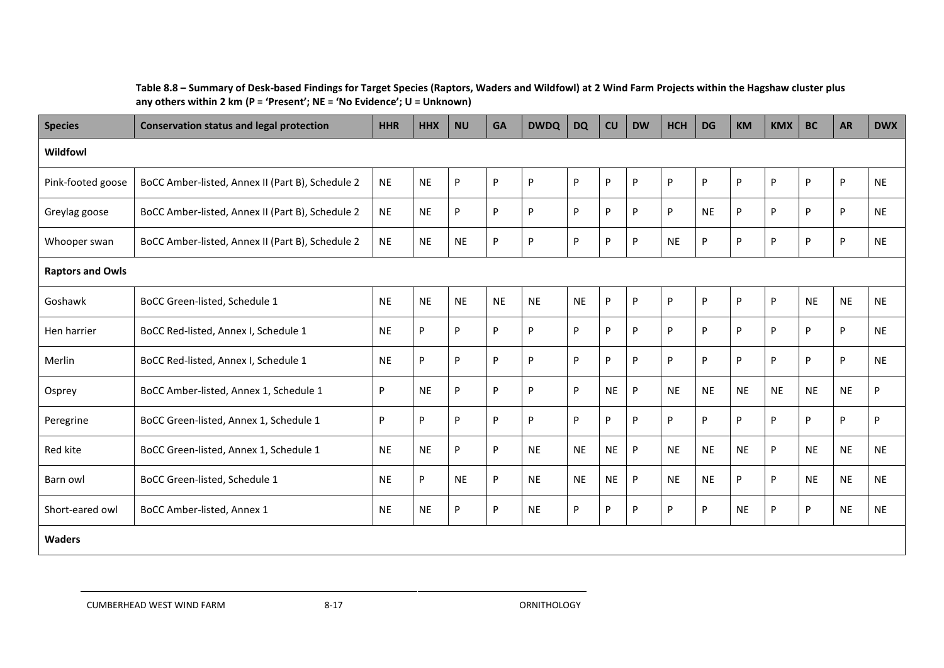| <b>Species</b>          | <b>Conservation status and legal protection</b>  | <b>HHR</b> | <b>HHX</b> | <b>NU</b> | <b>GA</b> | <b>DWDQ</b> | <b>DQ</b> | CU        | <b>DW</b> | <b>HCH</b> | <b>DG</b> | <b>KM</b> | <b>KMX</b> | <b>BC</b> | <b>AR</b> | <b>DWX</b> |
|-------------------------|--------------------------------------------------|------------|------------|-----------|-----------|-------------|-----------|-----------|-----------|------------|-----------|-----------|------------|-----------|-----------|------------|
| Wildfowl                |                                                  |            |            |           |           |             |           |           |           |            |           |           |            |           |           |            |
| Pink-footed goose       | BoCC Amber-listed, Annex II (Part B), Schedule 2 | <b>NE</b>  | <b>NE</b>  | P         | P         | P           | P         | P         | P         | P          | P         | P         | P          | P         | P         | <b>NE</b>  |
| Greylag goose           | BoCC Amber-listed, Annex II (Part B), Schedule 2 | <b>NE</b>  | <b>NE</b>  | P         | P         | P           | P         | P         | P         | P          | <b>NE</b> | P         | P          | P         | P         | <b>NE</b>  |
| Whooper swan            | BoCC Amber-listed, Annex II (Part B), Schedule 2 | <b>NE</b>  | <b>NE</b>  | <b>NE</b> | P         | P           | P         | P         | P         | <b>NE</b>  | P         | P         | P          | P         | P         | <b>NE</b>  |
| <b>Raptors and Owls</b> |                                                  |            |            |           |           |             |           |           |           |            |           |           |            |           |           |            |
| Goshawk                 | BoCC Green-listed, Schedule 1                    | <b>NE</b>  | <b>NE</b>  | <b>NE</b> | <b>NE</b> | <b>NE</b>   | <b>NE</b> | P         | P         | P          | P         | P         | P          | <b>NE</b> | <b>NE</b> | <b>NE</b>  |
| Hen harrier             | BoCC Red-listed, Annex I, Schedule 1             | <b>NE</b>  | P          | P         | P         | P           | P         | P         | P         | P          | P         | P         | P          | P         | P         | <b>NE</b>  |
| Merlin                  | BoCC Red-listed, Annex I, Schedule 1             | <b>NE</b>  | P          | P         | P         | P           | P         | P         | P         | P          | P         | P         | P          | P         | P         | <b>NE</b>  |
| Osprey                  | BoCC Amber-listed, Annex 1, Schedule 1           | P          | <b>NE</b>  | P         | P         | P           | P         | <b>NE</b> | P         | <b>NE</b>  | <b>NE</b> | <b>NE</b> | <b>NE</b>  | <b>NE</b> | <b>NE</b> | P          |
| Peregrine               | BoCC Green-listed, Annex 1, Schedule 1           | P          | P          | P         | P         | P           | P         | P         | P         | P          | P         | P         | P          | P         | P         | P          |
| Red kite                | BoCC Green-listed, Annex 1, Schedule 1           | <b>NE</b>  | <b>NE</b>  | P         | P         | <b>NE</b>   | <b>NE</b> | <b>NE</b> | P         | <b>NE</b>  | <b>NE</b> | <b>NE</b> | P          | <b>NE</b> | <b>NE</b> | <b>NE</b>  |
| Barn owl                | BoCC Green-listed, Schedule 1                    | <b>NE</b>  | P          | <b>NE</b> | P         | <b>NE</b>   | <b>NE</b> | <b>NE</b> | P         | <b>NE</b>  | <b>NE</b> | P         | P          | <b>NE</b> | <b>NE</b> | <b>NE</b>  |
| Short-eared owl         | BoCC Amber-listed, Annex 1                       | <b>NE</b>  | <b>NE</b>  | P         | P         | <b>NE</b>   | P         | P         | P         | P          | P         | <b>NE</b> | P          | P         | <b>NE</b> | <b>NE</b>  |
| <b>Waders</b>           |                                                  |            |            |           |           |             |           |           |           |            |           |           |            |           |           |            |

#### **Table 8.8 – Summary of Desk-based Findings for Target Species (Raptors, Waders and Wildfowl) at 2 Wind Farm Projects within the Hagshaw cluster plus any others within 2 km (P = 'Present'; NE = 'No Evidence'; U = Unknown)**

CUMBERHEAD WEST WIND FARM 8-17 8-17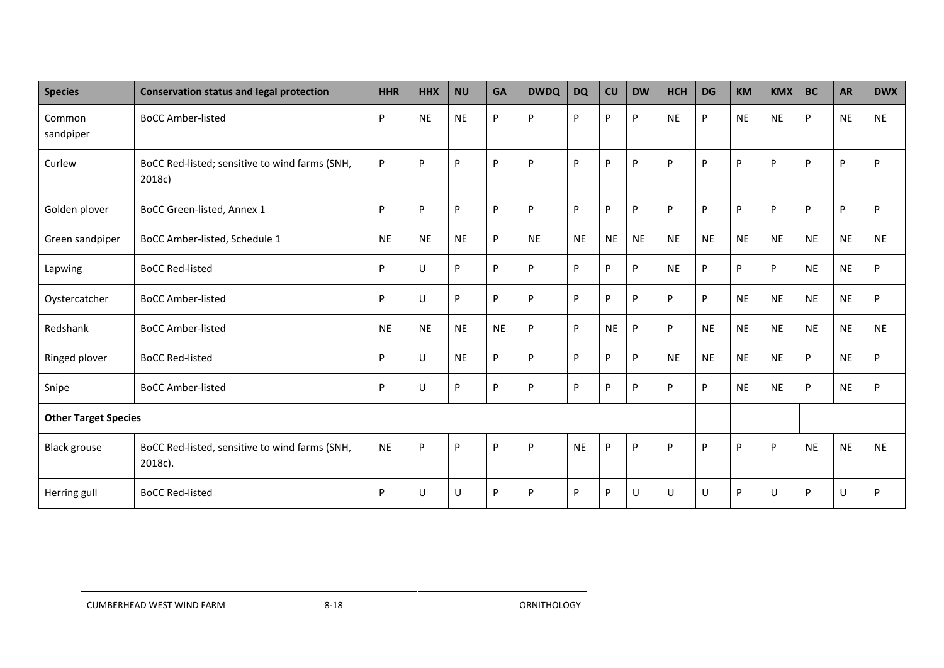| Species                     | <b>Conservation status and legal protection</b>           | <b>HHR</b> | <b>HHX</b> | <b>NU</b> | <b>GA</b> | <b>DWDQ</b> | <b>DQ</b> | CU        | <b>DW</b> | <b>HCH</b> | <b>DG</b> | <b>KM</b> | <b>KMX</b> | <b>BC</b> | <b>AR</b> | <b>DWX</b> |
|-----------------------------|-----------------------------------------------------------|------------|------------|-----------|-----------|-------------|-----------|-----------|-----------|------------|-----------|-----------|------------|-----------|-----------|------------|
| Common<br>sandpiper         | <b>BoCC Amber-listed</b>                                  | P          | <b>NE</b>  | <b>NE</b> | P         | P           | P         | P         | P         | <b>NE</b>  | P         | <b>NE</b> | <b>NE</b>  | P         | <b>NE</b> | <b>NE</b>  |
| Curlew                      | BoCC Red-listed; sensitive to wind farms (SNH,<br>2018c)  | P          | P          | P         | P         | P           | P         | P         | P         | P          | P         | P         | P          | P         | P         | P          |
| Golden plover               | BoCC Green-listed, Annex 1                                | P          | P          | P         | P         | P           | P         | P         | P         | P          | P         | P         | P          | P         | P         | P          |
| Green sandpiper             | BoCC Amber-listed, Schedule 1                             | <b>NE</b>  | <b>NE</b>  | <b>NE</b> | P         | <b>NE</b>   | <b>NE</b> | <b>NE</b> | <b>NE</b> | <b>NE</b>  | <b>NE</b> | <b>NE</b> | <b>NE</b>  | <b>NE</b> | <b>NE</b> | <b>NE</b>  |
| Lapwing                     | <b>BoCC Red-listed</b>                                    | P          | U          | P         | P         | P           | P         | P         | P         | <b>NE</b>  | P         | P         | P          | <b>NE</b> | <b>NE</b> | P          |
| Oystercatcher               | <b>BoCC Amber-listed</b>                                  | P          | U          | P         | P         | P           | P         | P         | P         | P          | P         | <b>NE</b> | <b>NE</b>  | <b>NE</b> | <b>NE</b> | P          |
| Redshank                    | <b>BoCC Amber-listed</b>                                  | <b>NE</b>  | <b>NE</b>  | <b>NE</b> | <b>NE</b> | P           | P         | <b>NE</b> | P         | P          | <b>NE</b> | <b>NE</b> | <b>NE</b>  | <b>NE</b> | <b>NE</b> | <b>NE</b>  |
| Ringed plover               | <b>BoCC Red-listed</b>                                    | P          | U          | <b>NE</b> | P         | P           | P         | P         | P         | <b>NE</b>  | <b>NE</b> | <b>NE</b> | <b>NE</b>  | P         | <b>NE</b> | P          |
| Snipe                       | <b>BoCC Amber-listed</b>                                  | P          | U          | P         | P         | P           | P         | P         | P         | P          | P         | <b>NE</b> | <b>NE</b>  | P         | <b>NE</b> | P          |
| <b>Other Target Species</b> |                                                           |            |            |           |           |             |           |           |           |            |           |           |            |           |           |            |
| <b>Black grouse</b>         | BoCC Red-listed, sensitive to wind farms (SNH,<br>2018c). | <b>NE</b>  | P          | P         | P         | P           | <b>NE</b> | P         | P         | P          | P         | P         | P          | <b>NE</b> | <b>NE</b> | <b>NE</b>  |
| Herring gull                | <b>BoCC Red-listed</b>                                    | P          | U          | U         | P         | P           | P         | P         | U         | U          | U         | P         | U          | P         | U         | P          |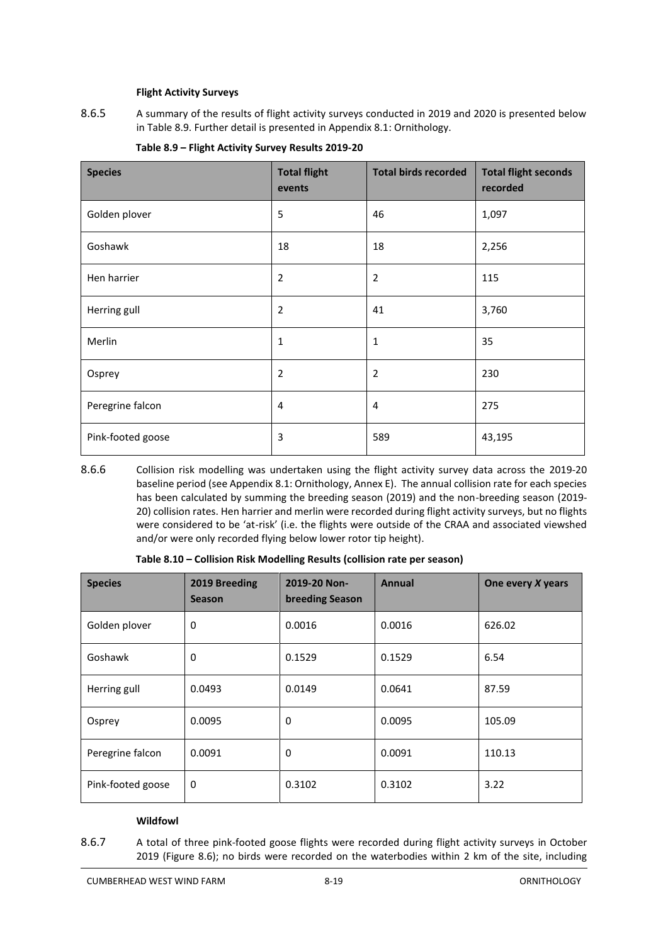#### **Flight Activity Surveys**

8.6.5 A summary of the results of flight activity surveys conducted in 2019 and 2020 is presented below i[n Table 8.9.](#page-20-0) Further detail is presented in Appendix 8.1: Ornithology.

<span id="page-20-0"></span>

| <b>Species</b>    | <b>Total flight</b><br>events | <b>Total birds recorded</b> | <b>Total flight seconds</b><br>recorded |
|-------------------|-------------------------------|-----------------------------|-----------------------------------------|
| Golden plover     | 5                             | 46                          | 1,097                                   |
| Goshawk           | 18                            | 18                          | 2,256                                   |
| Hen harrier       | 2                             | 2                           | 115                                     |
| Herring gull      | $\overline{2}$                | 41                          | 3,760                                   |
| Merlin            | $\mathbf{1}$                  | $\mathbf{1}$                | 35                                      |
| Osprey            | $\overline{2}$                | 2                           | 230                                     |
| Peregrine falcon  | $\overline{4}$                | 4                           | 275                                     |
| Pink-footed goose | 3                             | 589                         | 43,195                                  |

**Table 8.9 – Flight Activity Survey Results 2019-20**

8.6.6 Collision risk modelling was undertaken using the flight activity survey data across the 2019-20 baseline period (see Appendix 8.1: Ornithology, Annex E). The annual collision rate for each species has been calculated by summing the breeding season (2019) and the non-breeding season (2019- 20) collision rates. Hen harrier and merlin were recorded during flight activity surveys, but no flights were considered to be 'at-risk' (i.e. the flights were outside of the CRAA and associated viewshed and/or were only recorded flying below lower rotor tip height).

| Table 8.10 - Collision Risk Modelling Results (collision rate per season) |  |
|---------------------------------------------------------------------------|--|
|---------------------------------------------------------------------------|--|

<span id="page-20-1"></span>

| <b>Species</b>    | 2019 Breeding<br><b>Season</b> | 2019-20 Non-<br>breeding Season | <b>Annual</b> | One every X years |
|-------------------|--------------------------------|---------------------------------|---------------|-------------------|
| Golden plover     | 0                              | 0.0016                          | 0.0016        | 626.02            |
| Goshawk           | 0                              | 0.1529                          | 0.1529        | 6.54              |
| Herring gull      | 0.0493                         | 0.0149                          | 0.0641        | 87.59             |
| Osprey            | 0.0095                         | 0                               | 0.0095        | 105.09            |
| Peregrine falcon  | 0.0091                         | 0                               | 0.0091        | 110.13            |
| Pink-footed goose | 0                              | 0.3102                          | 0.3102        | 3.22              |

#### **Wildfowl**

8.6.7 A total of three pink-footed goose flights were recorded during flight activity surveys in October 2019 (Figure 8.6); no birds were recorded on the waterbodies within 2 km of the site, including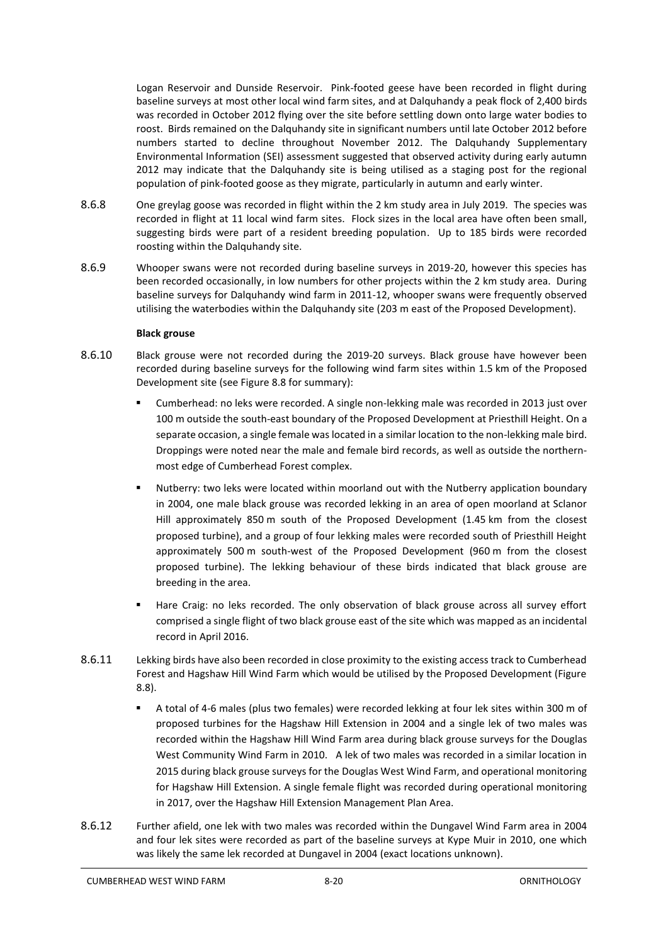Logan Reservoir and Dunside Reservoir. Pink-footed geese have been recorded in flight during baseline surveys at most other local wind farm sites, and at Dalquhandy a peak flock of 2,400 birds was recorded in October 2012 flying over the site before settling down onto large water bodies to roost. Birds remained on the Dalquhandy site in significant numbers until late October 2012 before numbers started to decline throughout November 2012. The Dalquhandy Supplementary Environmental Information (SEI) assessment suggested that observed activity during early autumn 2012 may indicate that the Dalquhandy site is being utilised as a staging post for the regional population of pink-footed goose as they migrate, particularly in autumn and early winter.

- 8.6.8 One greylag goose was recorded in flight within the 2 km study area in July 2019. The species was recorded in flight at 11 local wind farm sites. Flock sizes in the local area have often been small, suggesting birds were part of a resident breeding population. Up to 185 birds were recorded roosting within the Dalquhandy site.
- 8.6.9 Whooper swans were not recorded during baseline surveys in 2019-20, however this species has been recorded occasionally, in low numbers for other projects within the 2 km study area. During baseline surveys for Dalquhandy wind farm in 2011-12, whooper swans were frequently observed utilising the waterbodies within the Dalquhandy site (203 m east of the Proposed Development).

#### **Black grouse**

- 8.6.10 Black grouse were not recorded during the 2019-20 surveys. Black grouse have however been recorded during baseline surveys for the following wind farm sites within 1.5 km of the Proposed Development site (see Figure 8.8 for summary):
	- Cumberhead: no leks were recorded. A single non-lekking male was recorded in 2013 just over 100 m outside the south-east boundary of the Proposed Development at Priesthill Height. On a separate occasion, a single female was located in a similar location to the non-lekking male bird. Droppings were noted near the male and female bird records, as well as outside the northernmost edge of Cumberhead Forest complex.
	- Nutberry: two leks were located within moorland out with the Nutberry application boundary in 2004, one male black grouse was recorded lekking in an area of open moorland at Sclanor Hill approximately 850 m south of the Proposed Development (1.45 km from the closest proposed turbine), and a group of four lekking males were recorded south of Priesthill Height approximately 500 m south-west of the Proposed Development (960 m from the closest proposed turbine). The lekking behaviour of these birds indicated that black grouse are breeding in the area.
	- Hare Craig: no leks recorded. The only observation of black grouse across all survey effort comprised a single flight of two black grouse east of the site which was mapped as an incidental record in April 2016.
- 8.6.11 Lekking birds have also been recorded in close proximity to the existing access track to Cumberhead Forest and Hagshaw Hill Wind Farm which would be utilised by the Proposed Development (Figure 8.8).
	- A total of 4-6 males (plus two females) were recorded lekking at four lek sites within 300 m of proposed turbines for the Hagshaw Hill Extension in 2004 and a single lek of two males was recorded within the Hagshaw Hill Wind Farm area during black grouse surveys for the Douglas West Community Wind Farm in 2010. A lek of two males was recorded in a similar location in 2015 during black grouse surveys for the Douglas West Wind Farm, and operational monitoring for Hagshaw Hill Extension. A single female flight was recorded during operational monitoring in 2017, over the Hagshaw Hill Extension Management Plan Area.
- 8.6.12 Further afield, one lek with two males was recorded within the Dungavel Wind Farm area in 2004 and four lek sites were recorded as part of the baseline surveys at Kype Muir in 2010, one which was likely the same lek recorded at Dungavel in 2004 (exact locations unknown).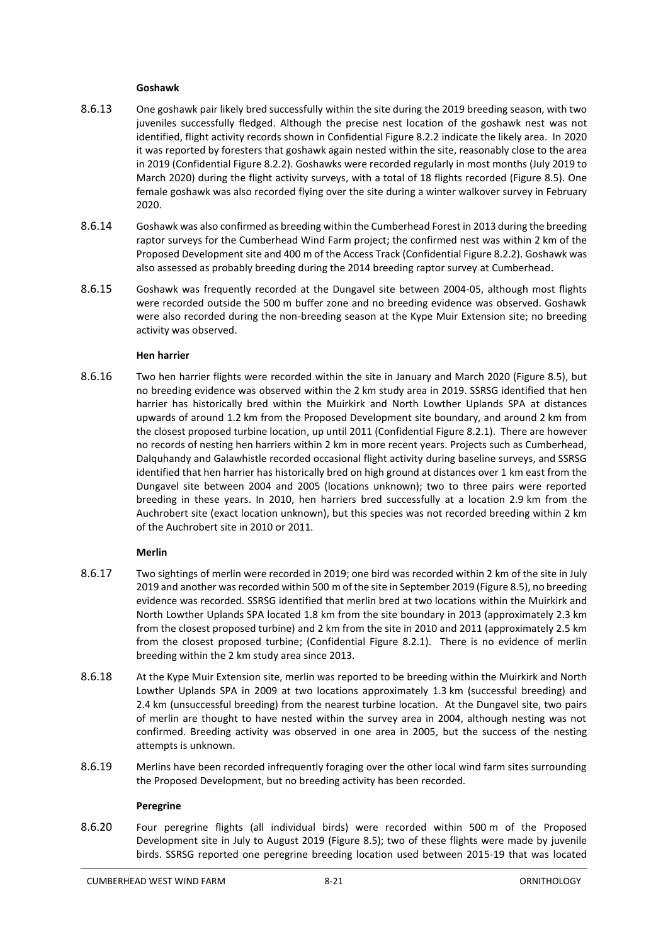#### **Goshawk**

- 8.6.13 One goshawk pair likely bred successfully within the site during the 2019 breeding season, with two juveniles successfully fledged. Although the precise nest location of the goshawk nest was not identified, flight activity records shown in Confidential Figure 8.2.2 indicate the likely area. In 2020 it was reported by foresters that goshawk again nested within the site, reasonably close to the area in 2019 (Confidential Figure 8.2.2). Goshawks were recorded regularly in most months (July 2019 to March 2020) during the flight activity surveys, with a total of 18 flights recorded (Figure 8.5). One female goshawk was also recorded flying over the site during a winter walkover survey in February 2020.
- 8.6.14 Goshawk was also confirmed as breeding within the Cumberhead Forest in 2013 during the breeding raptor surveys for the Cumberhead Wind Farm project; the confirmed nest was within 2 km of the Proposed Development site and 400 m of the Access Track (Confidential Figure 8.2.2). Goshawk was also assessed as probably breeding during the 2014 breeding raptor survey at Cumberhead.
- 8.6.15 Goshawk was frequently recorded at the Dungavel site between 2004-05, although most flights were recorded outside the 500 m buffer zone and no breeding evidence was observed. Goshawk were also recorded during the non-breeding season at the Kype Muir Extension site; no breeding activity was observed.

#### **Hen harrier**

8.6.16 Two hen harrier flights were recorded within the site in January and March 2020 (Figure 8.5), but no breeding evidence was observed within the 2 km study area in 2019. SSRSG identified that hen harrier has historically bred within the Muirkirk and North Lowther Uplands SPA at distances upwards of around 1.2 km from the Proposed Development site boundary, and around 2 km from the closest proposed turbine location, up until 2011 (Confidential Figure 8.2.1). There are however no records of nesting hen harriers within 2 km in more recent years. Projects such as Cumberhead, Dalquhandy and Galawhistle recorded occasional flight activity during baseline surveys, and SSRSG identified that hen harrier has historically bred on high ground at distances over 1 km east from the Dungavel site between 2004 and 2005 (locations unknown); two to three pairs were reported breeding in these years. In 2010, hen harriers bred successfully at a location 2.9 km from the Auchrobert site (exact location unknown), but this species was not recorded breeding within 2 km of the Auchrobert site in 2010 or 2011.

#### **Merlin**

- 8.6.17 Two sightings of merlin were recorded in 2019; one bird was recorded within 2 km of the site in July 2019 and another was recorded within 500 m of the site in September 2019 (Figure 8.5), no breeding evidence was recorded. SSRSG identified that merlin bred at two locations within the Muirkirk and North Lowther Uplands SPA located 1.8 km from the site boundary in 2013 (approximately 2.3 km from the closest proposed turbine) and 2 km from the site in 2010 and 2011 (approximately 2.5 km from the closest proposed turbine; (Confidential Figure 8.2.1). There is no evidence of merlin breeding within the 2 km study area since 2013.
- 8.6.18 At the Kype Muir Extension site, merlin was reported to be breeding within the Muirkirk and North Lowther Uplands SPA in 2009 at two locations approximately 1.3 km (successful breeding) and 2.4 km (unsuccessful breeding) from the nearest turbine location. At the Dungavel site, two pairs of merlin are thought to have nested within the survey area in 2004, although nesting was not confirmed. Breeding activity was observed in one area in 2005, but the success of the nesting attempts is unknown.
- 8.6.19 Merlins have been recorded infrequently foraging over the other local wind farm sites surrounding the Proposed Development, but no breeding activity has been recorded.

#### **Peregrine**

8.6.20 Four peregrine flights (all individual birds) were recorded within 500 m of the Proposed Development site in July to August 2019 (Figure 8.5); two of these flights were made by juvenile birds. SSRSG reported one peregrine breeding location used between 2015-19 that was located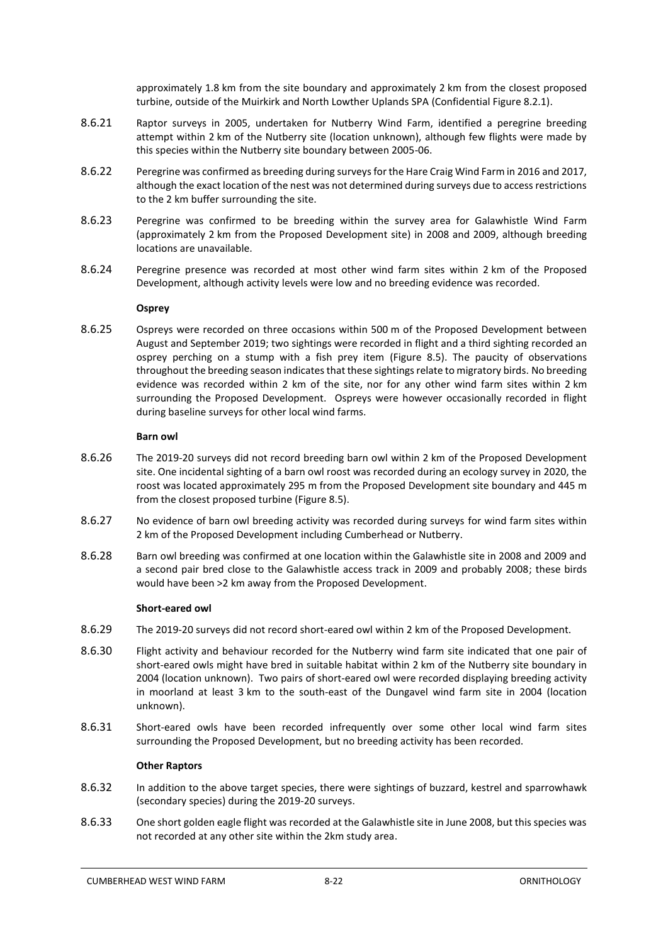approximately 1.8 km from the site boundary and approximately 2 km from the closest proposed turbine, outside of the Muirkirk and North Lowther Uplands SPA (Confidential Figure 8.2.1).

- 8.6.21 Raptor surveys in 2005, undertaken for Nutberry Wind Farm, identified a peregrine breeding attempt within 2 km of the Nutberry site (location unknown), although few flights were made by this species within the Nutberry site boundary between 2005-06.
- 8.6.22 Peregrine was confirmed as breeding during surveys for the Hare Craig Wind Farm in 2016 and 2017, although the exact location of the nest was not determined during surveys due to access restrictions to the 2 km buffer surrounding the site.
- 8.6.23 Peregrine was confirmed to be breeding within the survey area for Galawhistle Wind Farm (approximately 2 km from the Proposed Development site) in 2008 and 2009, although breeding locations are unavailable.
- 8.6.24 Peregrine presence was recorded at most other wind farm sites within 2 km of the Proposed Development, although activity levels were low and no breeding evidence was recorded.

#### **Osprey**

8.6.25 Ospreys were recorded on three occasions within 500 m of the Proposed Development between August and September 2019; two sightings were recorded in flight and a third sighting recorded an osprey perching on a stump with a fish prey item (Figure 8.5). The paucity of observations throughout the breeding season indicates that these sightings relate to migratory birds. No breeding evidence was recorded within 2 km of the site, nor for any other wind farm sites within 2 km surrounding the Proposed Development. Ospreys were however occasionally recorded in flight during baseline surveys for other local wind farms.

#### **Barn owl**

- 8.6.26 The 2019-20 surveys did not record breeding barn owl within 2 km of the Proposed Development site. One incidental sighting of a barn owl roost was recorded during an ecology survey in 2020, the roost was located approximately 295 m from the Proposed Development site boundary and 445 m from the closest proposed turbine (Figure 8.5).
- 8.6.27 No evidence of barn owl breeding activity was recorded during surveys for wind farm sites within 2 km of the Proposed Development including Cumberhead or Nutberry.
- 8.6.28 Barn owl breeding was confirmed at one location within the Galawhistle site in 2008 and 2009 and a second pair bred close to the Galawhistle access track in 2009 and probably 2008; these birds would have been >2 km away from the Proposed Development.

#### **Short-eared owl**

- 8.6.29 The 2019-20 surveys did not record short-eared owl within 2 km of the Proposed Development.
- 8.6.30 Flight activity and behaviour recorded for the Nutberry wind farm site indicated that one pair of short-eared owls might have bred in suitable habitat within 2 km of the Nutberry site boundary in 2004 (location unknown). Two pairs of short-eared owl were recorded displaying breeding activity in moorland at least 3 km to the south-east of the Dungavel wind farm site in 2004 (location unknown).
- 8.6.31 Short-eared owls have been recorded infrequently over some other local wind farm sites surrounding the Proposed Development, but no breeding activity has been recorded.

#### **Other Raptors**

- 8.6.32 In addition to the above target species, there were sightings of buzzard, kestrel and sparrowhawk (secondary species) during the 2019-20 surveys.
- 8.6.33 One short golden eagle flight was recorded at the Galawhistle site in June 2008, but this species was not recorded at any other site within the 2km study area.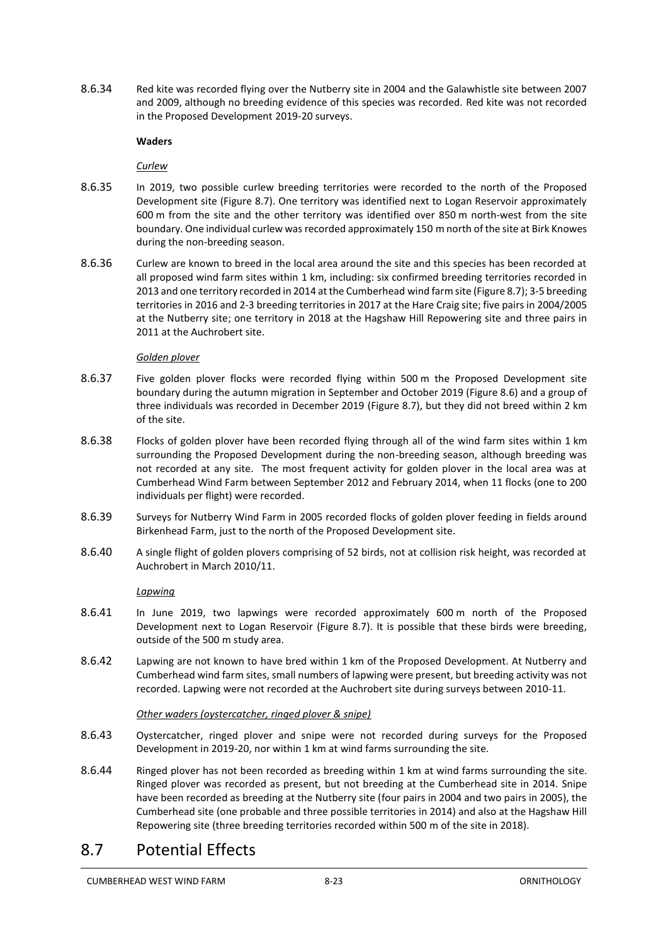8.6.34 Red kite was recorded flying over the Nutberry site in 2004 and the Galawhistle site between 2007 and 2009, although no breeding evidence of this species was recorded. Red kite was not recorded in the Proposed Development 2019-20 surveys.

#### **Waders**

*Curlew* 

- 8.6.35 In 2019, two possible curlew breeding territories were recorded to the north of the Proposed Development site (Figure 8.7). One territory was identified next to Logan Reservoir approximately 600 m from the site and the other territory was identified over 850 m north-west from the site boundary. One individual curlew was recorded approximately 150 m north of the site at Birk Knowes during the non-breeding season.
- 8.6.36 Curlew are known to breed in the local area around the site and this species has been recorded at all proposed wind farm sites within 1 km, including: six confirmed breeding territories recorded in 2013 and one territory recorded in 2014 at the Cumberhead wind farm site (Figure 8.7); 3-5 breeding territories in 2016 and 2-3 breeding territories in 2017 at the Hare Craig site; five pairs in 2004/2005 at the Nutberry site; one territory in 2018 at the Hagshaw Hill Repowering site and three pairs in 2011 at the Auchrobert site.

#### *Golden plover*

- 8.6.37 Five golden plover flocks were recorded flying within 500 m the Proposed Development site boundary during the autumn migration in September and October 2019 (Figure 8.6) and a group of three individuals was recorded in December 2019 (Figure 8.7), but they did not breed within 2 km of the site.
- 8.6.38 Flocks of golden plover have been recorded flying through all of the wind farm sites within 1 km surrounding the Proposed Development during the non-breeding season, although breeding was not recorded at any site. The most frequent activity for golden plover in the local area was at Cumberhead Wind Farm between September 2012 and February 2014, when 11 flocks (one to 200 individuals per flight) were recorded.
- 8.6.39 Surveys for Nutberry Wind Farm in 2005 recorded flocks of golden plover feeding in fields around Birkenhead Farm, just to the north of the Proposed Development site.
- 8.6.40 A single flight of golden plovers comprising of 52 birds, not at collision risk height, was recorded at Auchrobert in March 2010/11.

#### *Lapwing*

- 8.6.41 In June 2019, two lapwings were recorded approximately 600 m north of the Proposed Development next to Logan Reservoir (Figure 8.7). It is possible that these birds were breeding, outside of the 500 m study area.
- 8.6.42 Lapwing are not known to have bred within 1 km of the Proposed Development. At Nutberry and Cumberhead wind farm sites, small numbers of lapwing were present, but breeding activity was not recorded. Lapwing were not recorded at the Auchrobert site during surveys between 2010-11.

#### *Other waders (oystercatcher, ringed plover & snipe)*

- 8.6.43 Oystercatcher, ringed plover and snipe were not recorded during surveys for the Proposed Development in 2019-20, nor within 1 km at wind farms surrounding the site.
- 8.6.44 Ringed plover has not been recorded as breeding within 1 km at wind farms surrounding the site. Ringed plover was recorded as present, but not breeding at the Cumberhead site in 2014. Snipe have been recorded as breeding at the Nutberry site (four pairs in 2004 and two pairs in 2005), the Cumberhead site (one probable and three possible territories in 2014) and also at the Hagshaw Hill Repowering site (three breeding territories recorded within 500 m of the site in 2018).

### <span id="page-24-0"></span>8.7 Potential Effects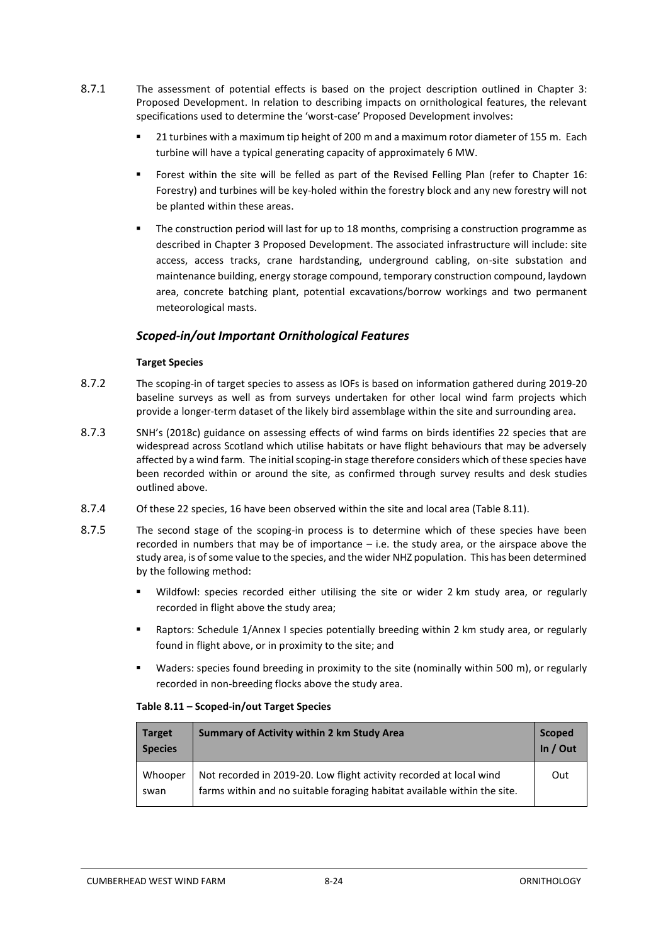- 8.7.1 The assessment of potential effects is based on the project description outlined in Chapter 3: Proposed Development. In relation to describing impacts on ornithological features, the relevant specifications used to determine the 'worst-case' Proposed Development involves:
	- 21 turbines with a maximum tip height of 200 m and a maximum rotor diameter of 155 m. Each turbine will have a typical generating capacity of approximately 6 MW.
	- Forest within the site will be felled as part of the Revised Felling Plan (refer to Chapter 16: Forestry) and turbines will be key-holed within the forestry block and any new forestry will not be planted within these areas.
	- The construction period will last for up to 18 months, comprising a construction programme as described in Chapter 3 Proposed Development. The associated infrastructure will include: site access, access tracks, crane hardstanding, underground cabling, on-site substation and maintenance building, energy storage compound, temporary construction compound, laydown area, concrete batching plant, potential excavations/borrow workings and two permanent meteorological masts.

#### *Scoped-in/out Important Ornithological Features*

#### **Target Species**

- 8.7.2 The scoping-in of target species to assess as IOFs is based on information gathered during 2019-20 baseline surveys as well as from surveys undertaken for other local wind farm projects which provide a longer-term dataset of the likely bird assemblage within the site and surrounding area.
- 8.7.3 SNH's (2018c) guidance on assessing effects of wind farms on birds identifies 22 species that are widespread across Scotland which utilise habitats or have flight behaviours that may be adversely affected by a wind farm. The initial scoping-in stage therefore considers which of these species have been recorded within or around the site, as confirmed through survey results and desk studies outlined above.
- 8.7.4 Of these 22 species, 16 have been observed within the site and local area [\(Table 8.11\)](#page-25-0).
- 8.7.5 The second stage of the scoping-in process is to determine which of these species have been recorded in numbers that may be of importance – i.e. the study area, or the airspace above the study area, is of some value to the species, and the wider NHZ population. This has been determined by the following method:
	- Wildfowl: species recorded either utilising the site or wider 2 km study area, or regularly recorded in flight above the study area;
	- Raptors: Schedule 1/Annex I species potentially breeding within 2 km study area, or regularly found in flight above, or in proximity to the site; and
	- Waders: species found breeding in proximity to the site (nominally within 500 m), or regularly recorded in non-breeding flocks above the study area.

#### <span id="page-25-0"></span>**Table 8.11 – Scoped-in/out Target Species**

| <b>Target</b><br><b>Species</b> | Summary of Activity within 2 km Study Area                                                                                                      | <b>Scoped</b><br>In / Out |
|---------------------------------|-------------------------------------------------------------------------------------------------------------------------------------------------|---------------------------|
| Whooper<br>swan                 | Not recorded in 2019-20. Low flight activity recorded at local wind<br>farms within and no suitable foraging habitat available within the site. | Out                       |

CUMBERHEAD WEST WIND FARM 8-24 ORNITHOLOGY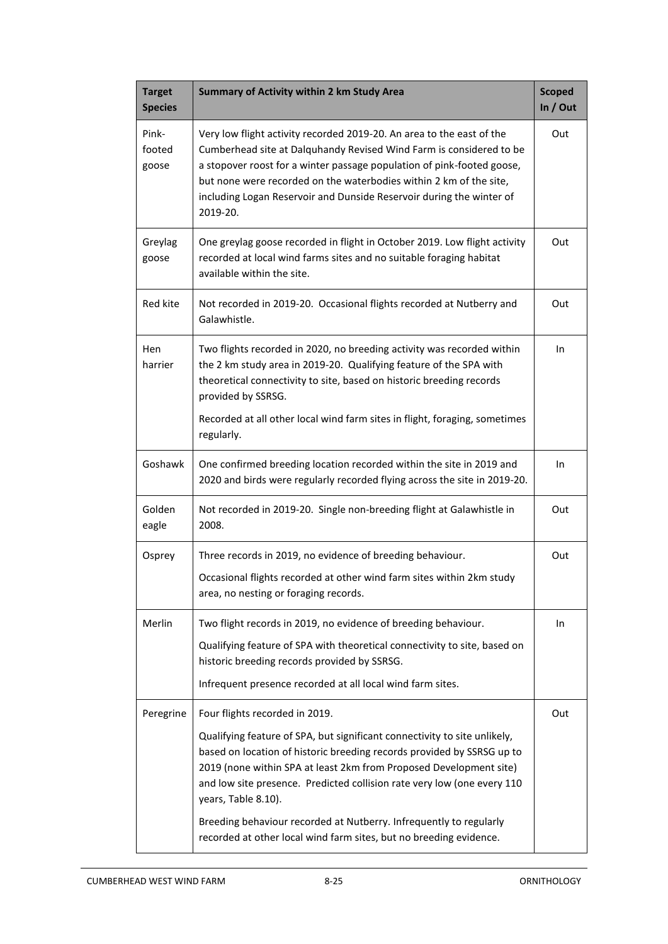| <b>Target</b><br><b>Species</b> | Summary of Activity within 2 km Study Area                                                                                                                                                                                                                                                                                                                                       | <b>Scoped</b><br>In / Out |
|---------------------------------|----------------------------------------------------------------------------------------------------------------------------------------------------------------------------------------------------------------------------------------------------------------------------------------------------------------------------------------------------------------------------------|---------------------------|
| Pink-<br>footed<br>goose        | Very low flight activity recorded 2019-20. An area to the east of the<br>Cumberhead site at Dalquhandy Revised Wind Farm is considered to be<br>a stopover roost for a winter passage population of pink-footed goose,<br>but none were recorded on the waterbodies within 2 km of the site,<br>including Logan Reservoir and Dunside Reservoir during the winter of<br>2019-20. | Out                       |
| Greylag<br>goose                | One greylag goose recorded in flight in October 2019. Low flight activity<br>recorded at local wind farms sites and no suitable foraging habitat<br>available within the site.                                                                                                                                                                                                   | Out                       |
| Red kite                        | Not recorded in 2019-20. Occasional flights recorded at Nutberry and<br>Galawhistle.                                                                                                                                                                                                                                                                                             | Out                       |
| Hen<br>harrier                  | Two flights recorded in 2020, no breeding activity was recorded within<br>the 2 km study area in 2019-20. Qualifying feature of the SPA with<br>theoretical connectivity to site, based on historic breeding records<br>provided by SSRSG.                                                                                                                                       | In                        |
|                                 | Recorded at all other local wind farm sites in flight, foraging, sometimes<br>regularly.                                                                                                                                                                                                                                                                                         |                           |
| Goshawk                         | One confirmed breeding location recorded within the site in 2019 and<br>2020 and birds were regularly recorded flying across the site in 2019-20.                                                                                                                                                                                                                                | In                        |
| Golden<br>eagle                 | Not recorded in 2019-20. Single non-breeding flight at Galawhistle in<br>2008.                                                                                                                                                                                                                                                                                                   | Out                       |
| Osprey                          | Three records in 2019, no evidence of breeding behaviour.                                                                                                                                                                                                                                                                                                                        | Out                       |
|                                 | Occasional flights recorded at other wind farm sites within 2km study<br>area, no nesting or foraging records.                                                                                                                                                                                                                                                                   |                           |
| Merlin                          | Two flight records in 2019, no evidence of breeding behaviour.                                                                                                                                                                                                                                                                                                                   | In                        |
|                                 | Qualifying feature of SPA with theoretical connectivity to site, based on<br>historic breeding records provided by SSRSG.                                                                                                                                                                                                                                                        |                           |
|                                 | Infrequent presence recorded at all local wind farm sites.                                                                                                                                                                                                                                                                                                                       |                           |
| Peregrine                       | Four flights recorded in 2019.                                                                                                                                                                                                                                                                                                                                                   | Out                       |
|                                 | Qualifying feature of SPA, but significant connectivity to site unlikely,<br>based on location of historic breeding records provided by SSRSG up to<br>2019 (none within SPA at least 2km from Proposed Development site)<br>and low site presence. Predicted collision rate very low (one every 110<br>years, Table 8.10).                                                      |                           |
|                                 | Breeding behaviour recorded at Nutberry. Infrequently to regularly<br>recorded at other local wind farm sites, but no breeding evidence.                                                                                                                                                                                                                                         |                           |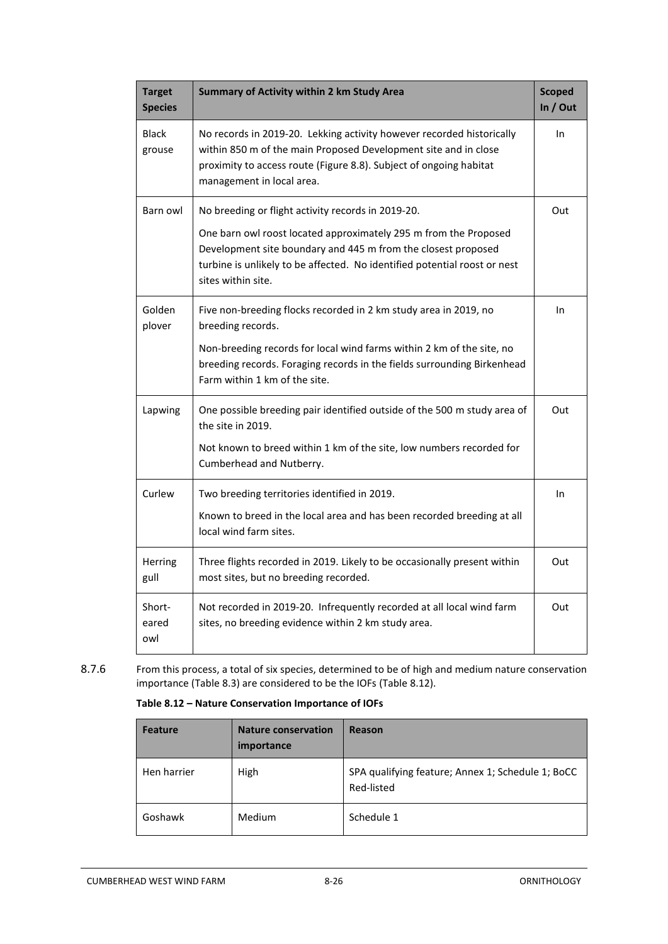| <b>Target</b><br><b>Species</b> | Summary of Activity within 2 km Study Area                                                                                                                                                                                                                                                 | <b>Scoped</b><br>In $/$ Out |
|---------------------------------|--------------------------------------------------------------------------------------------------------------------------------------------------------------------------------------------------------------------------------------------------------------------------------------------|-----------------------------|
| <b>Black</b><br>grouse          | No records in 2019-20. Lekking activity however recorded historically<br>within 850 m of the main Proposed Development site and in close<br>proximity to access route (Figure 8.8). Subject of ongoing habitat<br>management in local area.                                                | In                          |
| Barn owl                        | No breeding or flight activity records in 2019-20.<br>One barn owl roost located approximately 295 m from the Proposed<br>Development site boundary and 445 m from the closest proposed<br>turbine is unlikely to be affected. No identified potential roost or nest<br>sites within site. | Out                         |
| Golden<br>plover                | Five non-breeding flocks recorded in 2 km study area in 2019, no<br>breeding records.<br>Non-breeding records for local wind farms within 2 km of the site, no<br>breeding records. Foraging records in the fields surrounding Birkenhead<br>Farm within 1 km of the site.                 | In                          |
| Lapwing                         | One possible breeding pair identified outside of the 500 m study area of<br>the site in 2019.<br>Not known to breed within 1 km of the site, low numbers recorded for<br>Cumberhead and Nutberry.                                                                                          | Out                         |
| Curlew                          | Two breeding territories identified in 2019.<br>Known to breed in the local area and has been recorded breeding at all<br>local wind farm sites.                                                                                                                                           | In                          |
| Herring<br>gull                 | Three flights recorded in 2019. Likely to be occasionally present within<br>most sites, but no breeding recorded.                                                                                                                                                                          | Out                         |
| Short-<br>eared<br>owl          | Not recorded in 2019-20. Infrequently recorded at all local wind farm<br>sites, no breeding evidence within 2 km study area.                                                                                                                                                               | Out                         |

<span id="page-27-0"></span>8.7.6 From this process, a total of six species, determined to be of high and medium nature conservation importance [\(Table 8.3\)](#page-12-0) are considered to be the IOFs [\(Table 8.12\)](#page-27-0).

#### **Table 8.12 – Nature Conservation Importance of IOFs**

| <b>Feature</b> | <b>Nature conservation</b><br>importance | Reason                                                          |
|----------------|------------------------------------------|-----------------------------------------------------------------|
| Hen harrier    | High                                     | SPA qualifying feature; Annex 1; Schedule 1; BoCC<br>Red-listed |
| Goshawk        | Medium                                   | Schedule 1                                                      |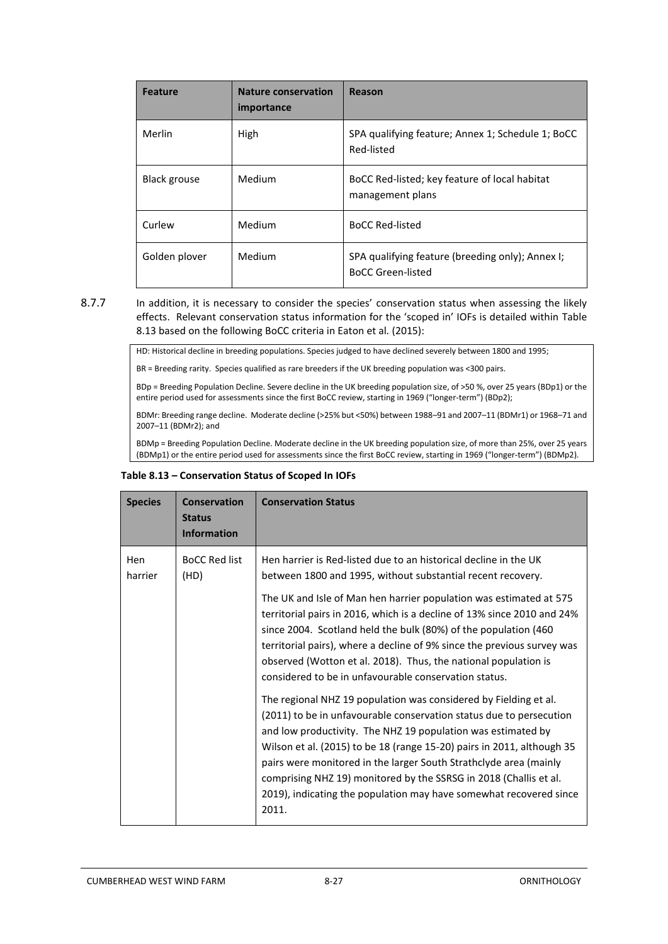| <b>Feature</b>      | <b>Nature conservation</b><br>importance | Reason                                                                       |
|---------------------|------------------------------------------|------------------------------------------------------------------------------|
| Merlin              | High                                     | SPA qualifying feature; Annex 1; Schedule 1; BoCC<br>Red-listed              |
| <b>Black grouse</b> | Medium                                   | BoCC Red-listed; key feature of local habitat<br>management plans            |
| Curlew              | Medium                                   | <b>BoCC Red-listed</b>                                                       |
| Golden plover       | <b>Medium</b>                            | SPA qualifying feature (breeding only); Annex I;<br><b>BoCC Green-listed</b> |

8.7.7 In addition, it is necessary to consider the species' conservation status when assessing the likely effects. Relevant conservation status information for the 'scoped in' IOFs is detailed within [Table](#page-28-0)  [8.13](#page-28-0) based on the following BoCC criteria in Eaton et al*.* (2015):

HD: Historical decline in breeding populations. Species judged to have declined severely between 1800 and 1995;

BR = Breeding rarity. Species qualified as rare breeders if the UK breeding population was <300 pairs.

BDp = Breeding Population Decline. Severe decline in the UK breeding population size, of >50 %, over 25 years (BDp1) or the entire period used for assessments since the first BoCC review, starting in 1969 ("longer-term") (BDp2);

BDMr: Breeding range decline. Moderate decline (>25% but <50%) between 1988–91 and 2007–11 (BDMr1) or 1968–71 and 2007–11 (BDMr2); and

BDMp = Breeding Population Decline. Moderate decline in the UK breeding population size, of more than 25%, over 25 years (BDMp1) or the entire period used for assessments since the first BoCC review, starting in 1969 ("longer-term") (BDMp2).

#### <span id="page-28-0"></span>**Table 8.13 – Conservation Status of Scoped In IOFs**

| <b>Species</b> | <b>Conservation</b><br><b>Status</b><br><b>Information</b> | <b>Conservation Status</b>                                                                                                                                                                                                                                                                                                                                                                                                                                                                                                                                                                                                                                                                                                                                                                                                                                                                                                                                                                                                                                               |
|----------------|------------------------------------------------------------|--------------------------------------------------------------------------------------------------------------------------------------------------------------------------------------------------------------------------------------------------------------------------------------------------------------------------------------------------------------------------------------------------------------------------------------------------------------------------------------------------------------------------------------------------------------------------------------------------------------------------------------------------------------------------------------------------------------------------------------------------------------------------------------------------------------------------------------------------------------------------------------------------------------------------------------------------------------------------------------------------------------------------------------------------------------------------|
| Hen<br>harrier | <b>BoCC Red list</b><br>(HD)                               | Hen harrier is Red-listed due to an historical decline in the UK<br>between 1800 and 1995, without substantial recent recovery.<br>The UK and Isle of Man hen harrier population was estimated at 575<br>territorial pairs in 2016, which is a decline of 13% since 2010 and 24%<br>since 2004. Scotland held the bulk (80%) of the population (460<br>territorial pairs), where a decline of 9% since the previous survey was<br>observed (Wotton et al. 2018). Thus, the national population is<br>considered to be in unfavourable conservation status.<br>The regional NHZ 19 population was considered by Fielding et al.<br>(2011) to be in unfavourable conservation status due to persecution<br>and low productivity. The NHZ 19 population was estimated by<br>Wilson et al. (2015) to be 18 (range 15-20) pairs in 2011, although 35<br>pairs were monitored in the larger South Strathclyde area (mainly<br>comprising NHZ 19) monitored by the SSRSG in 2018 (Challis et al.<br>2019), indicating the population may have somewhat recovered since<br>2011. |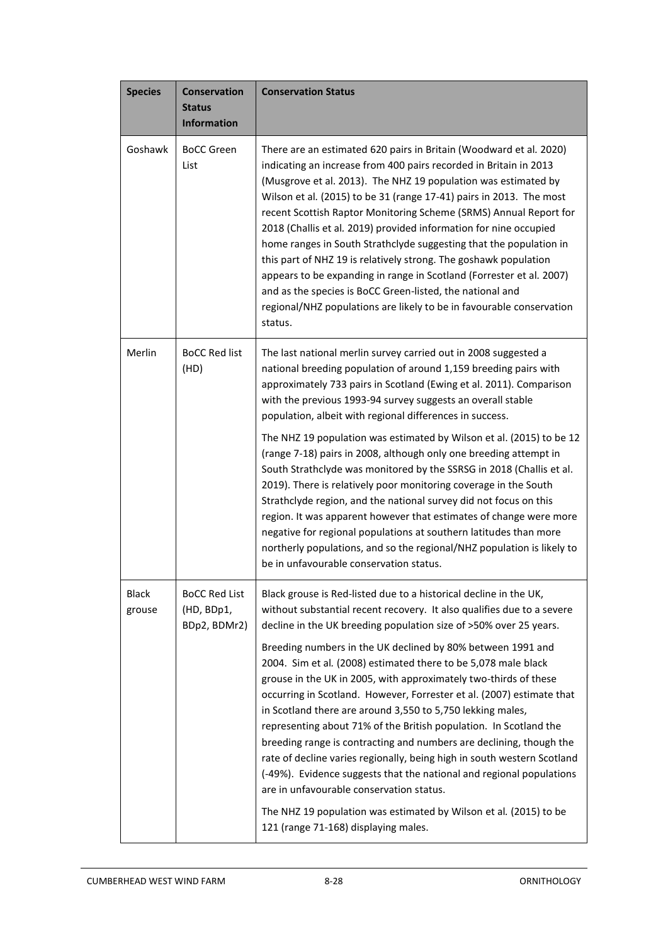| <b>Species</b>         | <b>Conservation</b><br><b>Status</b><br><b>Information</b> | <b>Conservation Status</b>                                                                                                                                                                                                                                                                                                                                                                                                                                                                                                                                                                                                                                                                                                                                                                   |
|------------------------|------------------------------------------------------------|----------------------------------------------------------------------------------------------------------------------------------------------------------------------------------------------------------------------------------------------------------------------------------------------------------------------------------------------------------------------------------------------------------------------------------------------------------------------------------------------------------------------------------------------------------------------------------------------------------------------------------------------------------------------------------------------------------------------------------------------------------------------------------------------|
| Goshawk                | <b>BoCC Green</b><br>List                                  | There are an estimated 620 pairs in Britain (Woodward et al. 2020)<br>indicating an increase from 400 pairs recorded in Britain in 2013<br>(Musgrove et al. 2013). The NHZ 19 population was estimated by<br>Wilson et al. (2015) to be 31 (range 17-41) pairs in 2013. The most<br>recent Scottish Raptor Monitoring Scheme (SRMS) Annual Report for<br>2018 (Challis et al. 2019) provided information for nine occupied<br>home ranges in South Strathclyde suggesting that the population in<br>this part of NHZ 19 is relatively strong. The goshawk population<br>appears to be expanding in range in Scotland (Forrester et al. 2007)<br>and as the species is BoCC Green-listed, the national and<br>regional/NHZ populations are likely to be in favourable conservation<br>status. |
| Merlin                 | <b>BoCC Red list</b><br>(HD)                               | The last national merlin survey carried out in 2008 suggested a<br>national breeding population of around 1,159 breeding pairs with<br>approximately 733 pairs in Scotland (Ewing et al. 2011). Comparison<br>with the previous 1993-94 survey suggests an overall stable<br>population, albeit with regional differences in success.                                                                                                                                                                                                                                                                                                                                                                                                                                                        |
|                        |                                                            | The NHZ 19 population was estimated by Wilson et al. (2015) to be 12<br>(range 7-18) pairs in 2008, although only one breeding attempt in<br>South Strathclyde was monitored by the SSRSG in 2018 (Challis et al.<br>2019). There is relatively poor monitoring coverage in the South<br>Strathclyde region, and the national survey did not focus on this<br>region. It was apparent however that estimates of change were more<br>negative for regional populations at southern latitudes than more<br>northerly populations, and so the regional/NHZ population is likely to<br>be in unfavourable conservation status.                                                                                                                                                                   |
| <b>Black</b><br>grouse | <b>BoCC Red List</b><br>(HD, BDp1,<br>BDp2, BDMr2)         | Black grouse is Red-listed due to a historical decline in the UK,<br>without substantial recent recovery. It also qualifies due to a severe<br>decline in the UK breeding population size of >50% over 25 years.                                                                                                                                                                                                                                                                                                                                                                                                                                                                                                                                                                             |
|                        |                                                            | Breeding numbers in the UK declined by 80% between 1991 and<br>2004. Sim et al. (2008) estimated there to be 5,078 male black<br>grouse in the UK in 2005, with approximately two-thirds of these<br>occurring in Scotland. However, Forrester et al. (2007) estimate that<br>in Scotland there are around 3,550 to 5,750 lekking males,<br>representing about 71% of the British population. In Scotland the<br>breeding range is contracting and numbers are declining, though the<br>rate of decline varies regionally, being high in south western Scotland<br>(-49%). Evidence suggests that the national and regional populations<br>are in unfavourable conservation status.                                                                                                          |
|                        |                                                            | The NHZ 19 population was estimated by Wilson et al. (2015) to be<br>121 (range 71-168) displaying males.                                                                                                                                                                                                                                                                                                                                                                                                                                                                                                                                                                                                                                                                                    |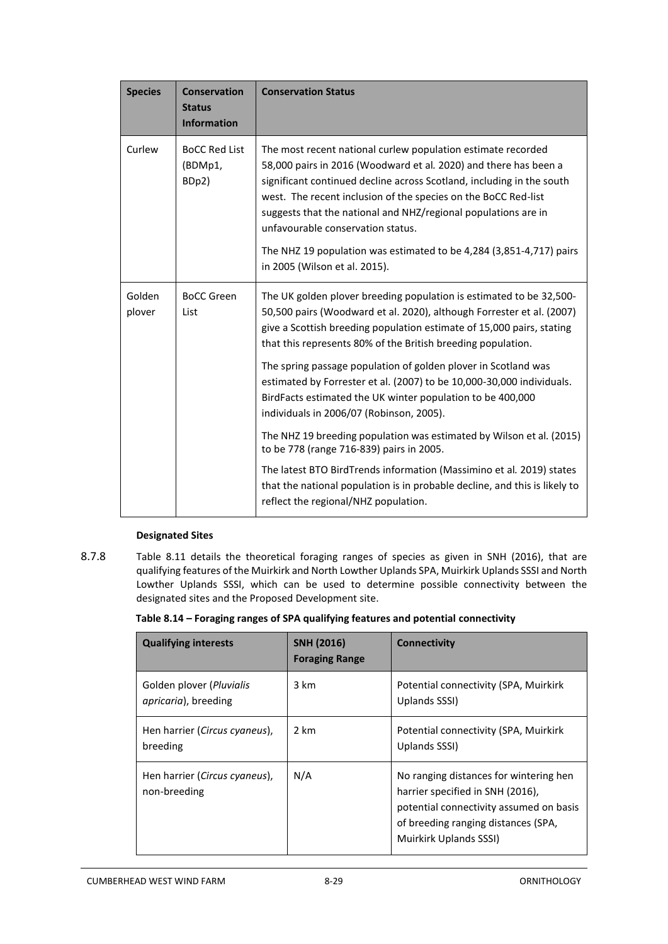| <b>Species</b>                                | <b>Conservation</b><br><b>Status</b><br><b>Information</b>                                                                                                                                                                                                                                                                                              | <b>Conservation Status</b>                                                                                                                                                                                                                                                                                                                                                                                                                                                                 |
|-----------------------------------------------|---------------------------------------------------------------------------------------------------------------------------------------------------------------------------------------------------------------------------------------------------------------------------------------------------------------------------------------------------------|--------------------------------------------------------------------------------------------------------------------------------------------------------------------------------------------------------------------------------------------------------------------------------------------------------------------------------------------------------------------------------------------------------------------------------------------------------------------------------------------|
| Curlew                                        | <b>BoCC Red List</b><br>(BDMp1,<br>BDp2)                                                                                                                                                                                                                                                                                                                | The most recent national curlew population estimate recorded<br>58,000 pairs in 2016 (Woodward et al. 2020) and there has been a<br>significant continued decline across Scotland, including in the south<br>west. The recent inclusion of the species on the BoCC Red-list<br>suggests that the national and NHZ/regional populations are in<br>unfavourable conservation status.<br>The NHZ 19 population was estimated to be 4,284 (3,851-4,717) pairs<br>in 2005 (Wilson et al. 2015). |
| Golden<br><b>BoCC Green</b><br>plover<br>List | The UK golden plover breeding population is estimated to be 32,500-<br>50,500 pairs (Woodward et al. 2020), although Forrester et al. (2007)<br>give a Scottish breeding population estimate of 15,000 pairs, stating<br>that this represents 80% of the British breeding population.<br>The spring passage population of golden plover in Scotland was |                                                                                                                                                                                                                                                                                                                                                                                                                                                                                            |
|                                               |                                                                                                                                                                                                                                                                                                                                                         | estimated by Forrester et al. (2007) to be 10,000-30,000 individuals.<br>BirdFacts estimated the UK winter population to be 400,000<br>individuals in 2006/07 (Robinson, 2005).                                                                                                                                                                                                                                                                                                            |
|                                               |                                                                                                                                                                                                                                                                                                                                                         | The NHZ 19 breeding population was estimated by Wilson et al. (2015)<br>to be 778 (range 716-839) pairs in 2005.                                                                                                                                                                                                                                                                                                                                                                           |
|                                               |                                                                                                                                                                                                                                                                                                                                                         | The latest BTO BirdTrends information (Massimino et al. 2019) states<br>that the national population is in probable decline, and this is likely to<br>reflect the regional/NHZ population.                                                                                                                                                                                                                                                                                                 |

#### **Designated Sites**

8.7.8 [Table 8.11](#page-25-0) details the theoretical foraging ranges of species as given in SNH (2016), that are qualifying features of the Muirkirk and North Lowther Uplands SPA, Muirkirk Uplands SSSI and North Lowther Uplands SSSI, which can be used to determine possible connectivity between the designated sites and the Proposed Development site.

| Table 8.14 – Foraging ranges of SPA qualifying features and potential connectivity |  |  |
|------------------------------------------------------------------------------------|--|--|
|------------------------------------------------------------------------------------|--|--|

| <b>Qualifying interests</b>                                      | SNH (2016)<br><b>Foraging Range</b> | Connectivity                                                                                                                                                                           |
|------------------------------------------------------------------|-------------------------------------|----------------------------------------------------------------------------------------------------------------------------------------------------------------------------------------|
| Golden plover ( <i>Pluvialis</i><br><i>apricaria</i> ), breeding | 3 km                                | Potential connectivity (SPA, Muirkirk<br>Uplands SSSI)                                                                                                                                 |
| Hen harrier (Circus cyaneus),<br>breeding                        | 2 km                                | Potential connectivity (SPA, Muirkirk<br>Uplands SSSI)                                                                                                                                 |
| Hen harrier (Circus cyaneus),<br>non-breeding                    | N/A                                 | No ranging distances for wintering hen<br>harrier specified in SNH (2016),<br>potential connectivity assumed on basis<br>of breeding ranging distances (SPA,<br>Muirkirk Uplands SSSI) |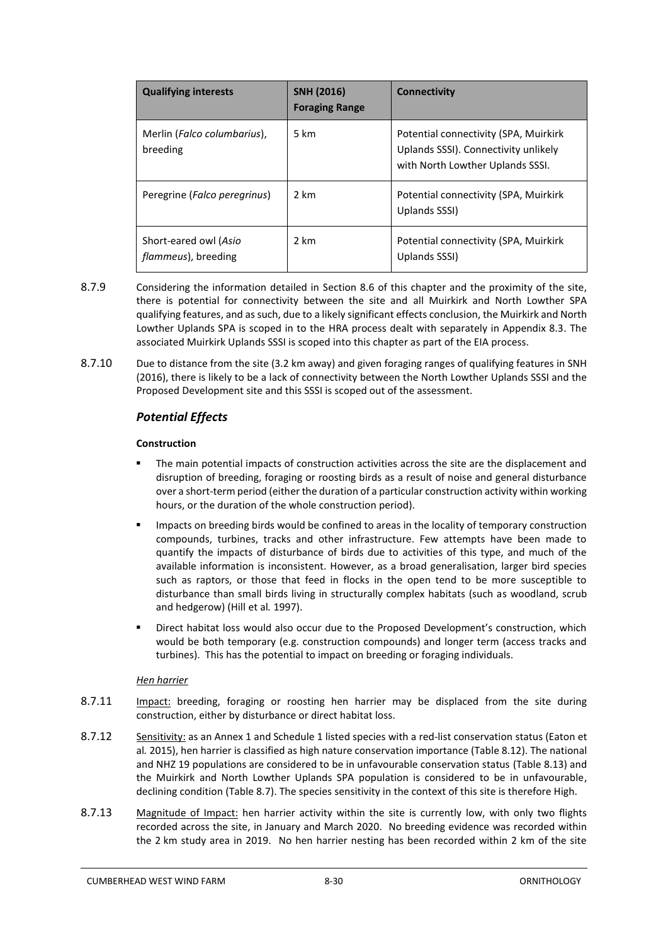| <b>Qualifying interests</b>                          | SNH (2016)<br><b>Foraging Range</b> | Connectivity                                                                                                      |
|------------------------------------------------------|-------------------------------------|-------------------------------------------------------------------------------------------------------------------|
| Merlin (Falco columbarius),<br>breeding              | 5 km                                | Potential connectivity (SPA, Muirkirk<br>Uplands SSSI). Connectivity unlikely<br>with North Lowther Uplands SSSI. |
| Peregrine ( <i>Falco peregrinus</i> )                | 2 km                                | Potential connectivity (SPA, Muirkirk<br>Uplands SSSI)                                                            |
| Short-eared owl (Asio<br><i>flammeus</i> ), breeding | 2 km                                | Potential connectivity (SPA, Muirkirk<br>Uplands SSSI)                                                            |

- 8.7.9 Considering the information detailed in Section 8.6 of this chapter and the proximity of the site, there is potential for connectivity between the site and all Muirkirk and North Lowther SPA qualifying features, and as such, due to a likely significant effects conclusion, the Muirkirk and North Lowther Uplands SPA is scoped in to the HRA process dealt with separately in Appendix 8.3. The associated Muirkirk Uplands SSSI is scoped into this chapter as part of the EIA process.
- 8.7.10 Due to distance from the site (3.2 km away) and given foraging ranges of qualifying features in SNH (2016), there is likely to be a lack of connectivity between the North Lowther Uplands SSSI and the Proposed Development site and this SSSI is scoped out of the assessment.

### *Potential Effects*

#### **Construction**

- The main potential impacts of construction activities across the site are the displacement and disruption of breeding, foraging or roosting birds as a result of noise and general disturbance over a short-term period (either the duration of a particular construction activity within working hours, or the duration of the whole construction period).
- **E** Impacts on breeding birds would be confined to areas in the locality of temporary construction compounds, turbines, tracks and other infrastructure. Few attempts have been made to quantify the impacts of disturbance of birds due to activities of this type, and much of the available information is inconsistent. However, as a broad generalisation, larger bird species such as raptors, or those that feed in flocks in the open tend to be more susceptible to disturbance than small birds living in structurally complex habitats (such as woodland, scrub and hedgerow) (Hill et al*.* 1997).
- Direct habitat loss would also occur due to the Proposed Development's construction, which would be both temporary (e.g. construction compounds) and longer term (access tracks and turbines). This has the potential to impact on breeding or foraging individuals.

#### *Hen harrier*

- 8.7.11 Impact: breeding, foraging or roosting hen harrier may be displaced from the site during construction, either by disturbance or direct habitat loss.
- 8.7.12 Sensitivity: as an Annex 1 and Schedule 1 listed species with a red-list conservation status (Eaton et al*.* 2015), hen harrier is classified as high nature conservation importance [\(Table 8.12\)](#page-27-0). The national and NHZ 19 populations are considered to be in unfavourable conservation status [\(Table 8.13\)](#page-28-0) and the Muirkirk and North Lowther Uplands SPA population is considered to be in unfavourable, declining condition [\(Table 8.7\)](#page-16-1). The species sensitivity in the context of this site is therefore High.
- 8.7.13 Magnitude of Impact: hen harrier activity within the site is currently low, with only two flights recorded across the site, in January and March 2020. No breeding evidence was recorded within the 2 km study area in 2019. No hen harrier nesting has been recorded within 2 km of the site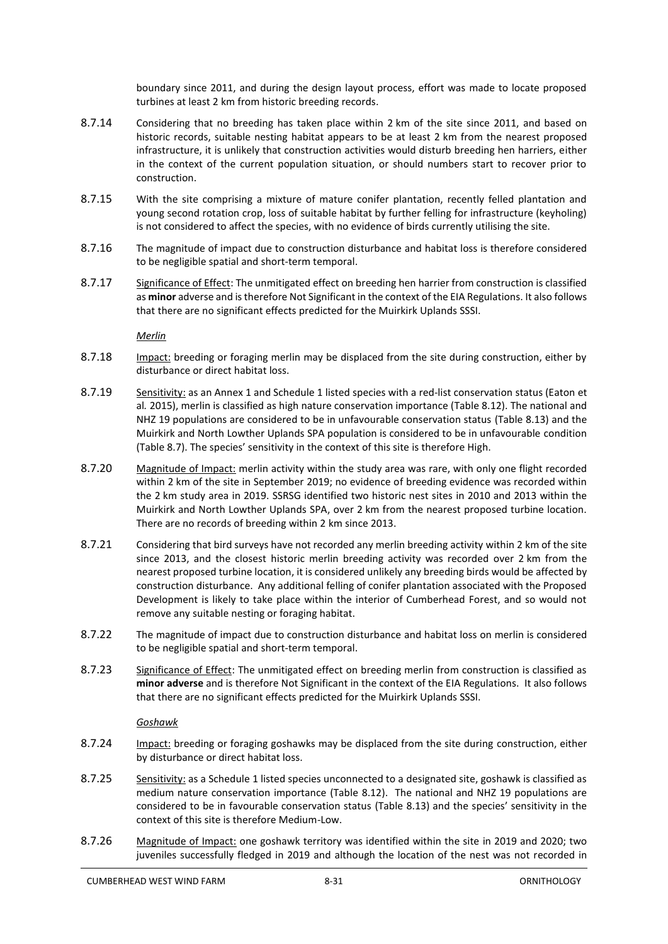boundary since 2011, and during the design layout process, effort was made to locate proposed turbines at least 2 km from historic breeding records.

- 8.7.14 Considering that no breeding has taken place within 2 km of the site since 2011, and based on historic records, suitable nesting habitat appears to be at least 2 km from the nearest proposed infrastructure, it is unlikely that construction activities would disturb breeding hen harriers, either in the context of the current population situation, or should numbers start to recover prior to construction.
- 8.7.15 With the site comprising a mixture of mature conifer plantation, recently felled plantation and young second rotation crop, loss of suitable habitat by further felling for infrastructure (keyholing) is not considered to affect the species, with no evidence of birds currently utilising the site.
- 8.7.16 The magnitude of impact due to construction disturbance and habitat loss is therefore considered to be negligible spatial and short-term temporal.
- 8.7.17 Significance of Effect: The unmitigated effect on breeding hen harrier from construction is classified as **minor** adverse and is therefore Not Significant in the context of the EIA Regulations. It also follows that there are no significant effects predicted for the Muirkirk Uplands SSSI.

*Merlin*

- 8.7.18 Impact: breeding or foraging merlin may be displaced from the site during construction, either by disturbance or direct habitat loss.
- 8.7.19 Sensitivity: as an Annex 1 and Schedule 1 listed species with a red-list conservation status (Eaton et al*.* 2015), merlin is classified as high nature conservation importance [\(Table 8.12\)](#page-27-0). The national and NHZ 19 populations are considered to be in unfavourable conservation status [\(Table 8.13\)](#page-28-0) and the Muirkirk and North Lowther Uplands SPA population is considered to be in unfavourable condition [\(Table 8.7\)](#page-16-1). The species' sensitivity in the context of this site is therefore High.
- 8.7.20 Magnitude of Impact: merlin activity within the study area was rare, with only one flight recorded within 2 km of the site in September 2019; no evidence of breeding evidence was recorded within the 2 km study area in 2019. SSRSG identified two historic nest sites in 2010 and 2013 within the Muirkirk and North Lowther Uplands SPA, over 2 km from the nearest proposed turbine location. There are no records of breeding within 2 km since 2013.
- 8.7.21 Considering that bird surveys have not recorded any merlin breeding activity within 2 km of the site since 2013, and the closest historic merlin breeding activity was recorded over 2 km from the nearest proposed turbine location, it is considered unlikely any breeding birds would be affected by construction disturbance. Any additional felling of conifer plantation associated with the Proposed Development is likely to take place within the interior of Cumberhead Forest, and so would not remove any suitable nesting or foraging habitat.
- 8.7.22 The magnitude of impact due to construction disturbance and habitat loss on merlin is considered to be negligible spatial and short-term temporal.
- 8.7.23 Significance of Effect: The unmitigated effect on breeding merlin from construction is classified as **minor adverse** and is therefore Not Significant in the context of the EIA Regulations. It also follows that there are no significant effects predicted for the Muirkirk Uplands SSSI.

*Goshawk*

- 8.7.24 Impact: breeding or foraging goshawks may be displaced from the site during construction, either by disturbance or direct habitat loss.
- 8.7.25 Sensitivity: as a Schedule 1 listed species unconnected to a designated site, goshawk is classified as medium nature conservation importance [\(Table 8.12\)](#page-27-0). The national and NHZ 19 populations are considered to be in favourable conservation status [\(Table 8.13\)](#page-28-0) and the species' sensitivity in the context of this site is therefore Medium-Low.
- 8.7.26 Magnitude of Impact: one goshawk territory was identified within the site in 2019 and 2020; two juveniles successfully fledged in 2019 and although the location of the nest was not recorded in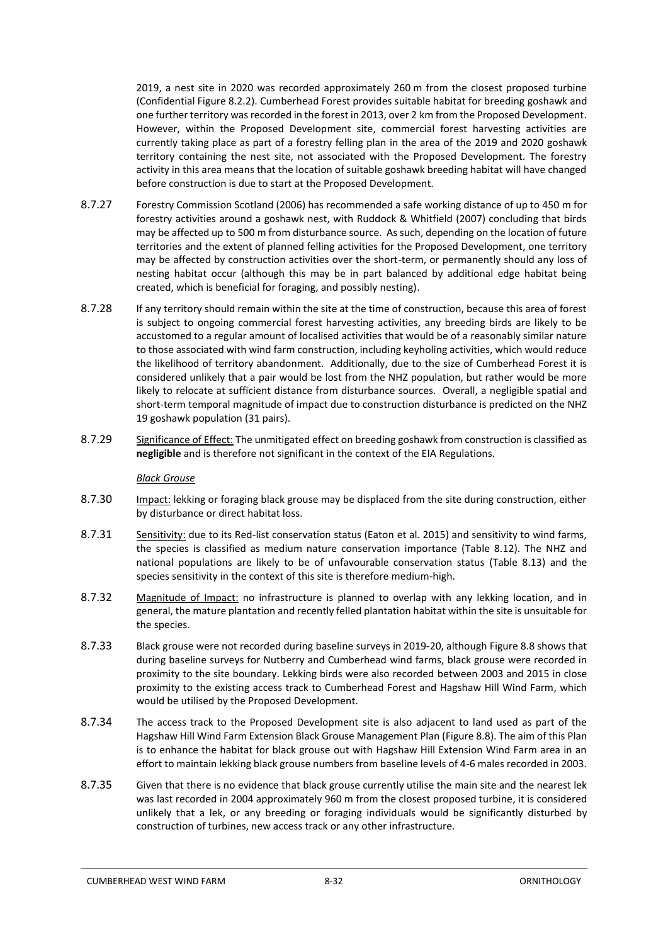2019, a nest site in 2020 was recorded approximately 260 m from the closest proposed turbine (Confidential Figure 8.2.2). Cumberhead Forest provides suitable habitat for breeding goshawk and one further territory was recorded in the forest in 2013, over 2 km from the Proposed Development. However, within the Proposed Development site, commercial forest harvesting activities are currently taking place as part of a forestry felling plan in the area of the 2019 and 2020 goshawk territory containing the nest site, not associated with the Proposed Development. The forestry activity in this area means that the location of suitable goshawk breeding habitat will have changed before construction is due to start at the Proposed Development.

- 8.7.27 Forestry Commission Scotland (2006) has recommended a safe working distance of up to 450 m for forestry activities around a goshawk nest, with Ruddock & Whitfield (2007) concluding that birds may be affected up to 500 m from disturbance source. As such, depending on the location of future territories and the extent of planned felling activities for the Proposed Development, one territory may be affected by construction activities over the short-term, or permanently should any loss of nesting habitat occur (although this may be in part balanced by additional edge habitat being created, which is beneficial for foraging, and possibly nesting).
- 8.7.28 If any territory should remain within the site at the time of construction, because this area of forest is subject to ongoing commercial forest harvesting activities, any breeding birds are likely to be accustomed to a regular amount of localised activities that would be of a reasonably similar nature to those associated with wind farm construction, including keyholing activities, which would reduce the likelihood of territory abandonment. Additionally, due to the size of Cumberhead Forest it is considered unlikely that a pair would be lost from the NHZ population, but rather would be more likely to relocate at sufficient distance from disturbance sources. Overall, a negligible spatial and short-term temporal magnitude of impact due to construction disturbance is predicted on the NHZ 19 goshawk population (31 pairs).
- 8.7.29 Significance of Effect: The unmitigated effect on breeding goshawk from construction is classified as **negligible** and is therefore not significant in the context of the EIA Regulations.

#### *Black Grouse*

- 8.7.30 Impact: lekking or foraging black grouse may be displaced from the site during construction, either by disturbance or direct habitat loss.
- 8.7.31 Sensitivity: due to its Red-list conservation status (Eaton et al*.* 2015) and sensitivity to wind farms, the species is classified as medium nature conservation importance [\(Table 8.12\)](#page-27-0). The NHZ and national populations are likely to be of unfavourable conservation status [\(Table 8.13\)](#page-28-0) and the species sensitivity in the context of this site is therefore medium-high.
- 8.7.32 Magnitude of Impact: no infrastructure is planned to overlap with any lekking location, and in general, the mature plantation and recently felled plantation habitat within the site is unsuitable for the species.
- 8.7.33 Black grouse were not recorded during baseline surveys in 2019-20, although Figure 8.8 shows that during baseline surveys for Nutberry and Cumberhead wind farms, black grouse were recorded in proximity to the site boundary. Lekking birds were also recorded between 2003 and 2015 in close proximity to the existing access track to Cumberhead Forest and Hagshaw Hill Wind Farm, which would be utilised by the Proposed Development.
- 8.7.34 The access track to the Proposed Development site is also adjacent to land used as part of the Hagshaw Hill Wind Farm Extension Black Grouse Management Plan (Figure 8.8). The aim of this Plan is to enhance the habitat for black grouse out with Hagshaw Hill Extension Wind Farm area in an effort to maintain lekking black grouse numbers from baseline levels of 4-6 males recorded in 2003.
- 8.7.35 Given that there is no evidence that black grouse currently utilise the main site and the nearest lek was last recorded in 2004 approximately 960 m from the closest proposed turbine, it is considered unlikely that a lek, or any breeding or foraging individuals would be significantly disturbed by construction of turbines, new access track or any other infrastructure.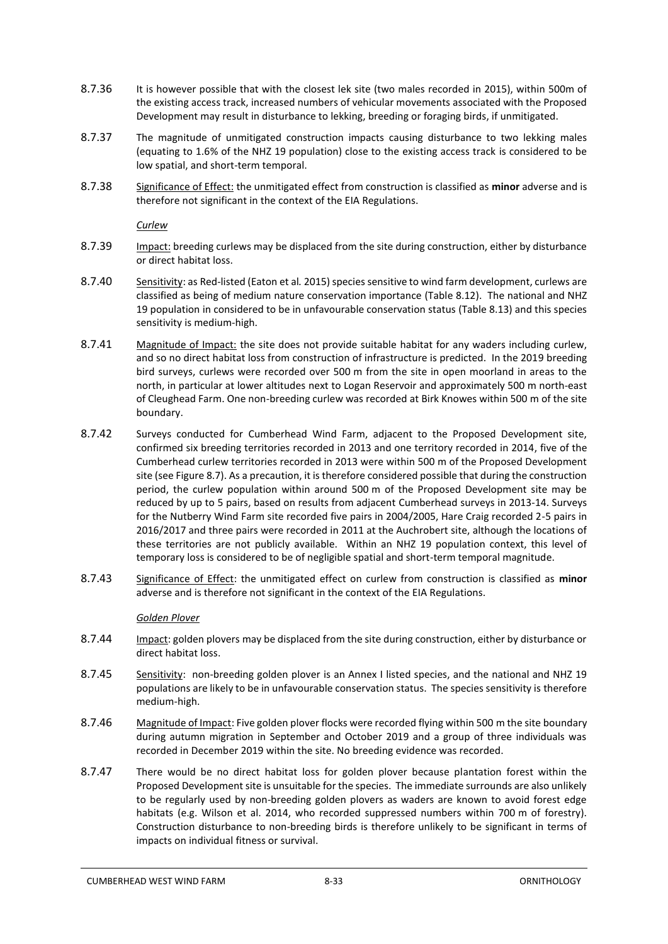- 8.7.36 It is however possible that with the closest lek site (two males recorded in 2015), within 500m of the existing access track, increased numbers of vehicular movements associated with the Proposed Development may result in disturbance to lekking, breeding or foraging birds, if unmitigated.
- 8.7.37 The magnitude of unmitigated construction impacts causing disturbance to two lekking males (equating to 1.6% of the NHZ 19 population) close to the existing access track is considered to be low spatial, and short-term temporal.
- 8.7.38 Significance of Effect: the unmitigated effect from construction is classified as **minor** adverse and is therefore not significant in the context of the EIA Regulations.

*Curlew*

- 8.7.39 Impact: breeding curlews may be displaced from the site during construction, either by disturbance or direct habitat loss.
- 8.7.40 Sensitivity: as Red-listed (Eaton et al*.* 2015) species sensitive to wind farm development, curlews are classified as being of medium nature conservation importance [\(Table 8.12\)](#page-27-0). The national and NHZ 19 population in considered to be in unfavourable conservation status [\(Table 8.13\)](#page-28-0) and this species sensitivity is medium-high.
- 8.7.41 Magnitude of Impact: the site does not provide suitable habitat for any waders including curlew, and so no direct habitat loss from construction of infrastructure is predicted. In the 2019 breeding bird surveys, curlews were recorded over 500 m from the site in open moorland in areas to the north, in particular at lower altitudes next to Logan Reservoir and approximately 500 m north-east of Cleughead Farm. One non-breeding curlew was recorded at Birk Knowes within 500 m of the site boundary.
- 8.7.42 Surveys conducted for Cumberhead Wind Farm, adjacent to the Proposed Development site, confirmed six breeding territories recorded in 2013 and one territory recorded in 2014, five of the Cumberhead curlew territories recorded in 2013 were within 500 m of the Proposed Development site (see Figure 8.7). As a precaution, it is therefore considered possible that during the construction period, the curlew population within around 500 m of the Proposed Development site may be reduced by up to 5 pairs, based on results from adjacent Cumberhead surveys in 2013-14. Surveys for the Nutberry Wind Farm site recorded five pairs in 2004/2005, Hare Craig recorded 2-5 pairs in 2016/2017 and three pairs were recorded in 2011 at the Auchrobert site, although the locations of these territories are not publicly available. Within an NHZ 19 population context, this level of temporary loss is considered to be of negligible spatial and short-term temporal magnitude.
- 8.7.43 Significance of Effect: the unmitigated effect on curlew from construction is classified as **minor** adverse and is therefore not significant in the context of the EIA Regulations.

#### *Golden Plover*

- 8.7.44 Impact: golden plovers may be displaced from the site during construction, either by disturbance or direct habitat loss.
- 8.7.45 Sensitivity: non-breeding golden plover is an Annex I listed species, and the national and NHZ 19 populations are likely to be in unfavourable conservation status. The species sensitivity is therefore medium-high.
- 8.7.46 Magnitude of Impact: Five golden plover flocks were recorded flying within 500 m the site boundary during autumn migration in September and October 2019 and a group of three individuals was recorded in December 2019 within the site. No breeding evidence was recorded.
- 8.7.47 There would be no direct habitat loss for golden plover because plantation forest within the Proposed Development site is unsuitable for the species. The immediate surrounds are also unlikely to be regularly used by non-breeding golden plovers as waders are known to avoid forest edge habitats (e.g. Wilson et al. 2014, who recorded suppressed numbers within 700 m of forestry). Construction disturbance to non-breeding birds is therefore unlikely to be significant in terms of impacts on individual fitness or survival.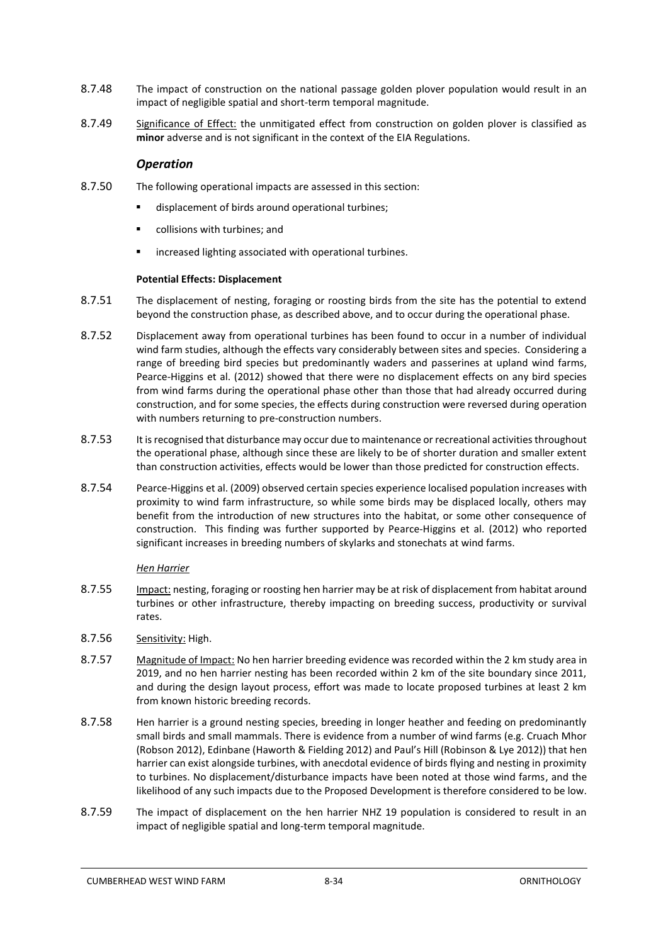- 8.7.48 The impact of construction on the national passage golden plover population would result in an impact of negligible spatial and short-term temporal magnitude.
- 8.7.49 Significance of Effect: the unmitigated effect from construction on golden plover is classified as **minor** adverse and is not significant in the context of the EIA Regulations.

#### *Operation*

- 8.7.50 The following operational impacts are assessed in this section:
	- displacement of birds around operational turbines;
	- collisions with turbines; and
	- increased lighting associated with operational turbines.

#### **Potential Effects: Displacement**

- 8.7.51 The displacement of nesting, foraging or roosting birds from the site has the potential to extend beyond the construction phase, as described above, and to occur during the operational phase.
- 8.7.52 Displacement away from operational turbines has been found to occur in a number of individual wind farm studies, although the effects vary considerably between sites and species. Considering a range of breeding bird species but predominantly waders and passerines at upland wind farms, Pearce-Higgins et al. (2012) showed that there were no displacement effects on any bird species from wind farms during the operational phase other than those that had already occurred during construction, and for some species, the effects during construction were reversed during operation with numbers returning to pre-construction numbers.
- 8.7.53 It is recognised that disturbance may occur due to maintenance or recreational activities throughout the operational phase, although since these are likely to be of shorter duration and smaller extent than construction activities, effects would be lower than those predicted for construction effects.
- 8.7.54 Pearce-Higgins et al. (2009) observed certain species experience localised population increases with proximity to wind farm infrastructure, so while some birds may be displaced locally, others may benefit from the introduction of new structures into the habitat, or some other consequence of construction. This finding was further supported by Pearce-Higgins et al. (2012) who reported significant increases in breeding numbers of skylarks and stonechats at wind farms.

#### *Hen Harrier*

- 8.7.55 Impact: nesting, foraging or roosting hen harrier may be at risk of displacement from habitat around turbines or other infrastructure, thereby impacting on breeding success, productivity or survival rates.
- 8.7.56 Sensitivity: High.
- 8.7.57 Magnitude of Impact: No hen harrier breeding evidence was recorded within the 2 km study area in 2019, and no hen harrier nesting has been recorded within 2 km of the site boundary since 2011, and during the design layout process, effort was made to locate proposed turbines at least 2 km from known historic breeding records.
- 8.7.58 Hen harrier is a ground nesting species, breeding in longer heather and feeding on predominantly small birds and small mammals. There is evidence from a number of wind farms (e.g. Cruach Mhor (Robson 2012), Edinbane (Haworth & Fielding 2012) and Paul's Hill (Robinson & Lye 2012)) that hen harrier can exist alongside turbines, with anecdotal evidence of birds flying and nesting in proximity to turbines. No displacement/disturbance impacts have been noted at those wind farms, and the likelihood of any such impacts due to the Proposed Development is therefore considered to be low.
- 8.7.59 The impact of displacement on the hen harrier NHZ 19 population is considered to result in an impact of negligible spatial and long-term temporal magnitude.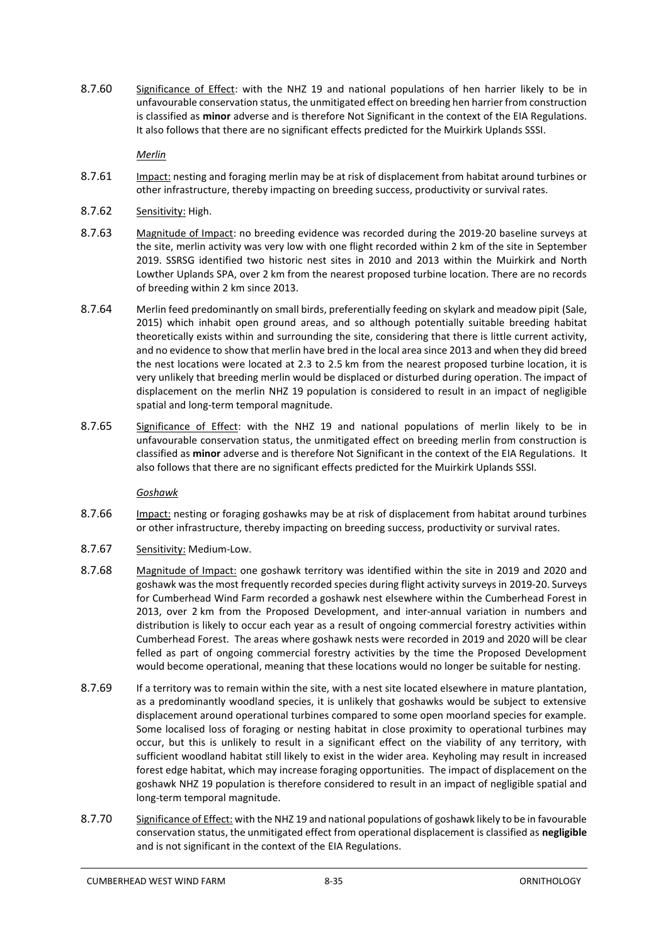8.7.60 Significance of Effect: with the NHZ 19 and national populations of hen harrier likely to be in unfavourable conservation status, the unmitigated effect on breeding hen harrier from construction is classified as **minor** adverse and is therefore Not Significant in the context of the EIA Regulations. It also follows that there are no significant effects predicted for the Muirkirk Uplands SSSI.

*Merlin*

- 8.7.61 Impact: nesting and foraging merlin may be at risk of displacement from habitat around turbines or other infrastructure, thereby impacting on breeding success, productivity or survival rates.
- 8.7.62 Sensitivity: High.
- 8.7.63 Magnitude of Impact: no breeding evidence was recorded during the 2019-20 baseline surveys at the site, merlin activity was very low with one flight recorded within 2 km of the site in September 2019. SSRSG identified two historic nest sites in 2010 and 2013 within the Muirkirk and North Lowther Uplands SPA, over 2 km from the nearest proposed turbine location. There are no records of breeding within 2 km since 2013.
- 8.7.64 Merlin feed predominantly on small birds, preferentially feeding on skylark and meadow pipit (Sale, 2015) which inhabit open ground areas, and so although potentially suitable breeding habitat theoretically exists within and surrounding the site, considering that there is little current activity, and no evidence to show that merlin have bred in the local area since 2013 and when they did breed the nest locations were located at 2.3 to 2.5 km from the nearest proposed turbine location, it is very unlikely that breeding merlin would be displaced or disturbed during operation. The impact of displacement on the merlin NHZ 19 population is considered to result in an impact of negligible spatial and long-term temporal magnitude.
- 8.7.65 Significance of Effect: with the NHZ 19 and national populations of merlin likely to be in unfavourable conservation status, the unmitigated effect on breeding merlin from construction is classified as **minor** adverse and is therefore Not Significant in the context of the EIA Regulations. It also follows that there are no significant effects predicted for the Muirkirk Uplands SSSI.

*Goshawk*

- 8.7.66 Impact: nesting or foraging goshawks may be at risk of displacement from habitat around turbines or other infrastructure, thereby impacting on breeding success, productivity or survival rates.
- 8.7.67 Sensitivity: Medium-Low.
- 8.7.68 Magnitude of Impact: one goshawk territory was identified within the site in 2019 and 2020 and goshawk was the most frequently recorded species during flight activity surveys in 2019-20. Surveys for Cumberhead Wind Farm recorded a goshawk nest elsewhere within the Cumberhead Forest in 2013, over 2 km from the Proposed Development, and inter-annual variation in numbers and distribution is likely to occur each year as a result of ongoing commercial forestry activities within Cumberhead Forest. The areas where goshawk nests were recorded in 2019 and 2020 will be clear felled as part of ongoing commercial forestry activities by the time the Proposed Development would become operational, meaning that these locations would no longer be suitable for nesting.
- 8.7.69 If a territory was to remain within the site, with a nest site located elsewhere in mature plantation, as a predominantly woodland species, it is unlikely that goshawks would be subject to extensive displacement around operational turbines compared to some open moorland species for example. Some localised loss of foraging or nesting habitat in close proximity to operational turbines may occur, but this is unlikely to result in a significant effect on the viability of any territory, with sufficient woodland habitat still likely to exist in the wider area. Keyholing may result in increased forest edge habitat, which may increase foraging opportunities. The impact of displacement on the goshawk NHZ 19 population is therefore considered to result in an impact of negligible spatial and long-term temporal magnitude.
- 8.7.70 Significance of Effect: with the NHZ 19 and national populations of goshawk likely to be in favourable conservation status, the unmitigated effect from operational displacement is classified as **negligible** and is not significant in the context of the EIA Regulations.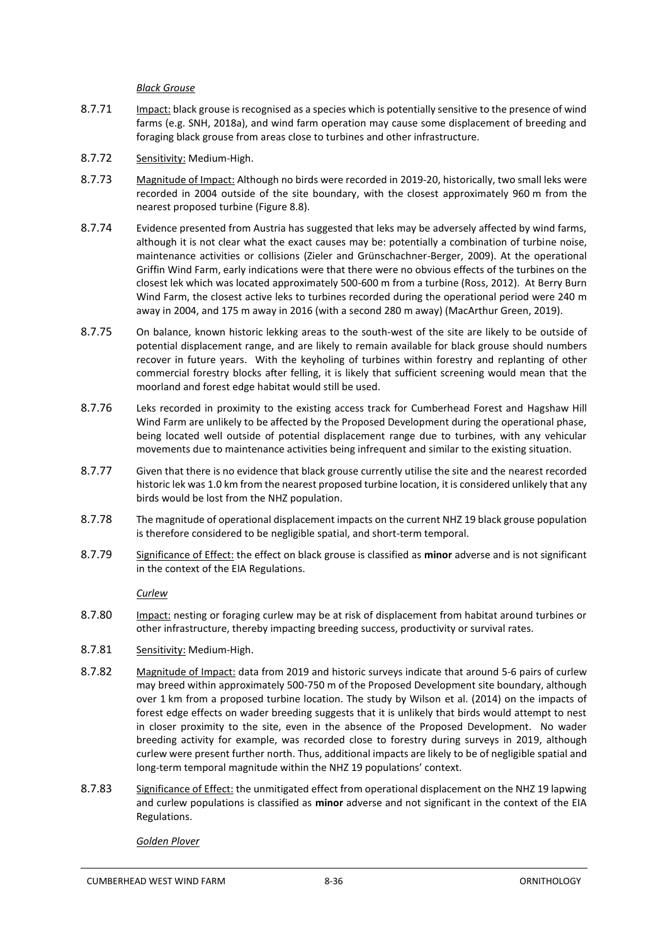*Black Grouse*

- 8.7.71 Impact: black grouse is recognised as a species which is potentially sensitive to the presence of wind farms (e.g. SNH, 2018a), and wind farm operation may cause some displacement of breeding and foraging black grouse from areas close to turbines and other infrastructure.
- 8.7.72 Sensitivity: Medium-High.
- 8.7.73 Magnitude of Impact: Although no birds were recorded in 2019-20, historically, two small leks were recorded in 2004 outside of the site boundary, with the closest approximately 960 m from the nearest proposed turbine (Figure 8.8).
- 8.7.74 Evidence presented from Austria has suggested that leks may be adversely affected by wind farms, although it is not clear what the exact causes may be: potentially a combination of turbine noise, maintenance activities or collisions (Zieler and Grünschachner-Berger, 2009). At the operational Griffin Wind Farm, early indications were that there were no obvious effects of the turbines on the closest lek which was located approximately 500-600 m from a turbine (Ross, 2012). At Berry Burn Wind Farm, the closest active leks to turbines recorded during the operational period were 240 m away in 2004, and 175 m away in 2016 (with a second 280 m away) (MacArthur Green, 2019).
- 8.7.75 On balance, known historic lekking areas to the south-west of the site are likely to be outside of potential displacement range, and are likely to remain available for black grouse should numbers recover in future years. With the keyholing of turbines within forestry and replanting of other commercial forestry blocks after felling, it is likely that sufficient screening would mean that the moorland and forest edge habitat would still be used.
- 8.7.76 Leks recorded in proximity to the existing access track for Cumberhead Forest and Hagshaw Hill Wind Farm are unlikely to be affected by the Proposed Development during the operational phase, being located well outside of potential displacement range due to turbines, with any vehicular movements due to maintenance activities being infrequent and similar to the existing situation.
- 8.7.77 Given that there is no evidence that black grouse currently utilise the site and the nearest recorded historic lek was 1.0 km from the nearest proposed turbine location, it is considered unlikely that any birds would be lost from the NHZ population.
- 8.7.78 The magnitude of operational displacement impacts on the current NHZ 19 black grouse population is therefore considered to be negligible spatial, and short-term temporal.
- 8.7.79 Significance of Effect: the effect on black grouse is classified as **minor** adverse and is not significant in the context of the EIA Regulations.

*Curlew*

- 8.7.80 Impact: nesting or foraging curlew may be at risk of displacement from habitat around turbines or other infrastructure, thereby impacting breeding success, productivity or survival rates.
- 8.7.81 Sensitivity: Medium-High.
- 8.7.82 Magnitude of Impact: data from 2019 and historic surveys indicate that around 5-6 pairs of curlew may breed within approximately 500-750 m of the Proposed Development site boundary, although over 1 km from a proposed turbine location. The study by Wilson et al. (2014) on the impacts of forest edge effects on wader breeding suggests that it is unlikely that birds would attempt to nest in closer proximity to the site, even in the absence of the Proposed Development. No wader breeding activity for example, was recorded close to forestry during surveys in 2019, although curlew were present further north. Thus, additional impacts are likely to be of negligible spatial and long-term temporal magnitude within the NHZ 19 populations' context.
- 8.7.83 Significance of Effect: the unmitigated effect from operational displacement on the NHZ 19 lapwing and curlew populations is classified as **minor** adverse and not significant in the context of the EIA Regulations.

*Golden Plover*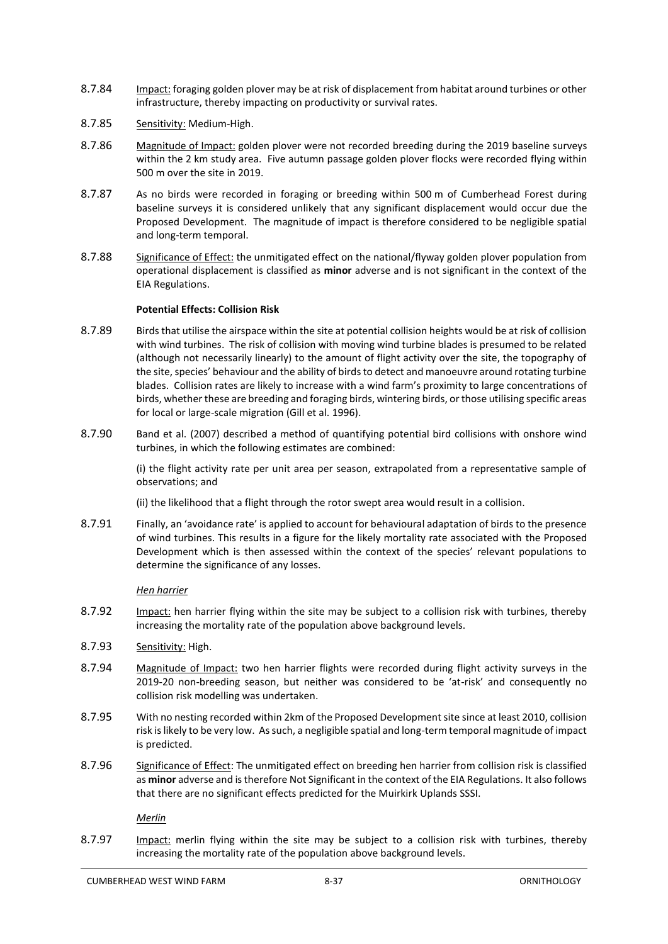- 8.7.84 Impact: foraging golden plover may be at risk of displacement from habitat around turbines or other infrastructure, thereby impacting on productivity or survival rates.
- 8.7.85 Sensitivity: Medium-High.
- 8.7.86 Magnitude of Impact: golden plover were not recorded breeding during the 2019 baseline surveys within the 2 km study area. Five autumn passage golden plover flocks were recorded flying within 500 m over the site in 2019.
- 8.7.87 As no birds were recorded in foraging or breeding within 500 m of Cumberhead Forest during baseline surveys it is considered unlikely that any significant displacement would occur due the Proposed Development. The magnitude of impact is therefore considered to be negligible spatial and long-term temporal.
- 8.7.88 Significance of Effect: the unmitigated effect on the national/flyway golden plover population from operational displacement is classified as **minor** adverse and is not significant in the context of the EIA Regulations.

#### **Potential Effects: Collision Risk**

- 8.7.89 Birds that utilise the airspace within the site at potential collision heights would be at risk of collision with wind turbines. The risk of collision with moving wind turbine blades is presumed to be related (although not necessarily linearly) to the amount of flight activity over the site, the topography of the site, species' behaviour and the ability of birds to detect and manoeuvre around rotating turbine blades. Collision rates are likely to increase with a wind farm's proximity to large concentrations of birds, whether these are breeding and foraging birds, wintering birds, or those utilising specific areas for local or large-scale migration (Gill et al. 1996).
- 8.7.90 Band et al. (2007) described a method of quantifying potential bird collisions with onshore wind turbines, in which the following estimates are combined:

(i) the flight activity rate per unit area per season, extrapolated from a representative sample of observations; and

(ii) the likelihood that a flight through the rotor swept area would result in a collision.

8.7.91 Finally, an 'avoidance rate' is applied to account for behavioural adaptation of birds to the presence of wind turbines. This results in a figure for the likely mortality rate associated with the Proposed Development which is then assessed within the context of the species' relevant populations to determine the significance of any losses.

#### *Hen harrier*

- 8.7.92 Impact: hen harrier flying within the site may be subject to a collision risk with turbines, thereby increasing the mortality rate of the population above background levels.
- 8.7.93 Sensitivity: High.
- 8.7.94 Magnitude of Impact: two hen harrier flights were recorded during flight activity surveys in the 2019-20 non-breeding season, but neither was considered to be 'at-risk' and consequently no collision risk modelling was undertaken.
- 8.7.95 With no nesting recorded within 2km of the Proposed Development site since at least 2010, collision risk is likely to be very low. As such, a negligible spatial and long-term temporal magnitude of impact is predicted.
- 8.7.96 Significance of Effect: The unmitigated effect on breeding hen harrier from collision risk is classified as **minor** adverse and is therefore Not Significant in the context of the EIA Regulations. It also follows that there are no significant effects predicted for the Muirkirk Uplands SSSI.

*Merlin* 

8.7.97 Impact: merlin flying within the site may be subject to a collision risk with turbines, thereby increasing the mortality rate of the population above background levels.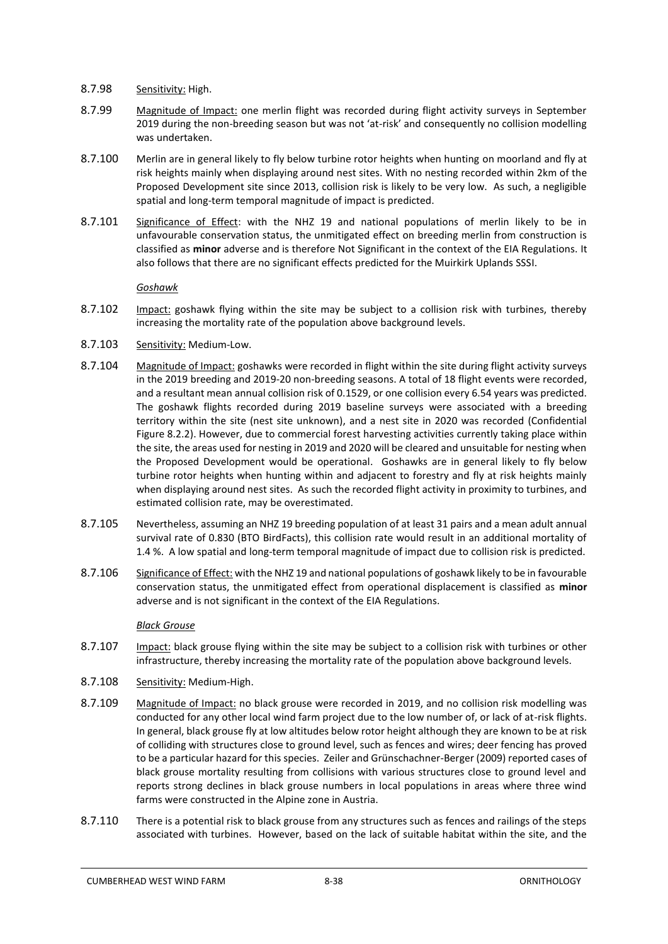- 8.7.98 Sensitivity: High.
- 8.7.99 Magnitude of Impact: one merlin flight was recorded during flight activity surveys in September 2019 during the non-breeding season but was not 'at-risk' and consequently no collision modelling was undertaken.
- 8.7.100 Merlin are in general likely to fly below turbine rotor heights when hunting on moorland and fly at risk heights mainly when displaying around nest sites. With no nesting recorded within 2km of the Proposed Development site since 2013, collision risk is likely to be very low. As such, a negligible spatial and long-term temporal magnitude of impact is predicted.
- 8.7.101 Significance of Effect: with the NHZ 19 and national populations of merlin likely to be in unfavourable conservation status, the unmitigated effect on breeding merlin from construction is classified as **minor** adverse and is therefore Not Significant in the context of the EIA Regulations. It also follows that there are no significant effects predicted for the Muirkirk Uplands SSSI.

#### *Goshawk*

- 8.7.102 Impact: goshawk flying within the site may be subject to a collision risk with turbines, thereby increasing the mortality rate of the population above background levels.
- 8.7.103 Sensitivity: Medium-Low.
- 8.7.104 Magnitude of Impact: goshawks were recorded in flight within the site during flight activity surveys in the 2019 breeding and 2019-20 non-breeding seasons. A total of 18 flight events were recorded, and a resultant mean annual collision risk of 0.1529, or one collision every 6.54 years was predicted. The goshawk flights recorded during 2019 baseline surveys were associated with a breeding territory within the site (nest site unknown), and a nest site in 2020 was recorded (Confidential Figure 8.2.2). However, due to commercial forest harvesting activities currently taking place within the site, the areas used for nesting in 2019 and 2020 will be cleared and unsuitable for nesting when the Proposed Development would be operational. Goshawks are in general likely to fly below turbine rotor heights when hunting within and adjacent to forestry and fly at risk heights mainly when displaying around nest sites. As such the recorded flight activity in proximity to turbines, and estimated collision rate, may be overestimated.
- 8.7.105 Nevertheless, assuming an NHZ 19 breeding population of at least 31 pairs and a mean adult annual survival rate of 0.830 (BTO BirdFacts), this collision rate would result in an additional mortality of 1.4 %. A low spatial and long-term temporal magnitude of impact due to collision risk is predicted.
- 8.7.106 Significance of Effect: with the NHZ 19 and national populations of goshawk likely to be in favourable conservation status, the unmitigated effect from operational displacement is classified as **minor** adverse and is not significant in the context of the EIA Regulations.

#### *Black Grouse*

- 8.7.107 Impact: black grouse flying within the site may be subject to a collision risk with turbines or other infrastructure, thereby increasing the mortality rate of the population above background levels.
- 8.7.108 Sensitivity: Medium-High.
- 8.7.109 Magnitude of Impact: no black grouse were recorded in 2019, and no collision risk modelling was conducted for any other local wind farm project due to the low number of, or lack of at-risk flights. In general, black grouse fly at low altitudes below rotor height although they are known to be at risk of colliding with structures close to ground level, such as fences and wires; deer fencing has proved to be a particular hazard for this species. Zeiler and Grünschachner-Berger (2009) reported cases of black grouse mortality resulting from collisions with various structures close to ground level and reports strong declines in black grouse numbers in local populations in areas where three wind farms were constructed in the Alpine zone in Austria.
- 8.7.110 There is a potential risk to black grouse from any structures such as fences and railings of the steps associated with turbines. However, based on the lack of suitable habitat within the site, and the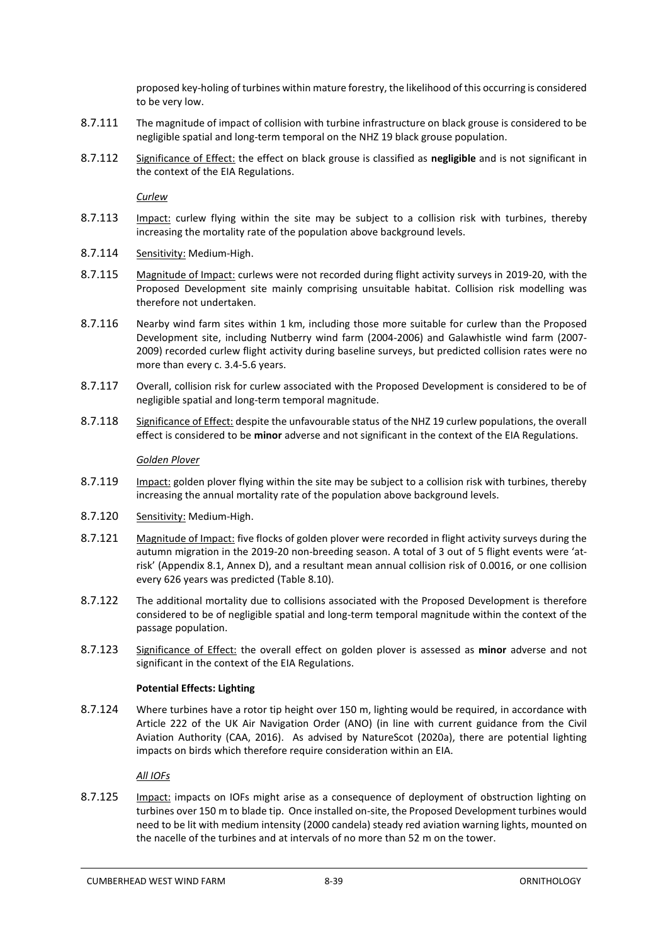proposed key-holing of turbines within mature forestry, the likelihood of this occurring is considered to be very low.

- 8.7.111 The magnitude of impact of collision with turbine infrastructure on black grouse is considered to be negligible spatial and long-term temporal on the NHZ 19 black grouse population.
- 8.7.112 Significance of Effect: the effect on black grouse is classified as **negligible** and is not significant in the context of the EIA Regulations.

*Curlew* 

- 8.7.113 Impact: curlew flying within the site may be subject to a collision risk with turbines, thereby increasing the mortality rate of the population above background levels.
- 8.7.114 Sensitivity: Medium-High.
- 8.7.115 Magnitude of Impact: curlews were not recorded during flight activity surveys in 2019-20, with the Proposed Development site mainly comprising unsuitable habitat. Collision risk modelling was therefore not undertaken.
- 8.7.116 Nearby wind farm sites within 1 km, including those more suitable for curlew than the Proposed Development site, including Nutberry wind farm (2004-2006) and Galawhistle wind farm (2007- 2009) recorded curlew flight activity during baseline surveys, but predicted collision rates were no more than every c. 3.4-5.6 years.
- 8.7.117 Overall, collision risk for curlew associated with the Proposed Development is considered to be of negligible spatial and long-term temporal magnitude.
- 8.7.118 Significance of Effect: despite the unfavourable status of the NHZ 19 curlew populations, the overall effect is considered to be **minor** adverse and not significant in the context of the EIA Regulations.

#### *Golden Plover*

- 8.7.119 Impact: golden plover flying within the site may be subject to a collision risk with turbines, thereby increasing the annual mortality rate of the population above background levels.
- 8.7.120 Sensitivity: Medium-High.
- 8.7.121 Magnitude of Impact: five flocks of golden plover were recorded in flight activity surveys during the autumn migration in the 2019-20 non-breeding season. A total of 3 out of 5 flight events were 'atrisk' (Appendix 8.1, Annex D), and a resultant mean annual collision risk of 0.0016, or one collision every 626 years was predicted [\(Table 8.10\)](#page-20-1).
- 8.7.122 The additional mortality due to collisions associated with the Proposed Development is therefore considered to be of negligible spatial and long-term temporal magnitude within the context of the passage population.
- 8.7.123 Significance of Effect: the overall effect on golden plover is assessed as **minor** adverse and not significant in the context of the EIA Regulations.

#### **Potential Effects: Lighting**

8.7.124 Where turbines have a rotor tip height over 150 m, lighting would be required, in accordance with Article 222 of the UK Air Navigation Order (ANO) (in line with current guidance from the Civil Aviation Authority (CAA, 2016). As advised by NatureScot (2020a), there are potential lighting impacts on birds which therefore require consideration within an EIA.

*All IOFs*

8.7.125 Impact: impacts on IOFs might arise as a consequence of deployment of obstruction lighting on turbines over 150 m to blade tip. Once installed on-site, the Proposed Development turbines would need to be lit with medium intensity (2000 candela) steady red aviation warning lights, mounted on the nacelle of the turbines and at intervals of no more than 52 m on the tower.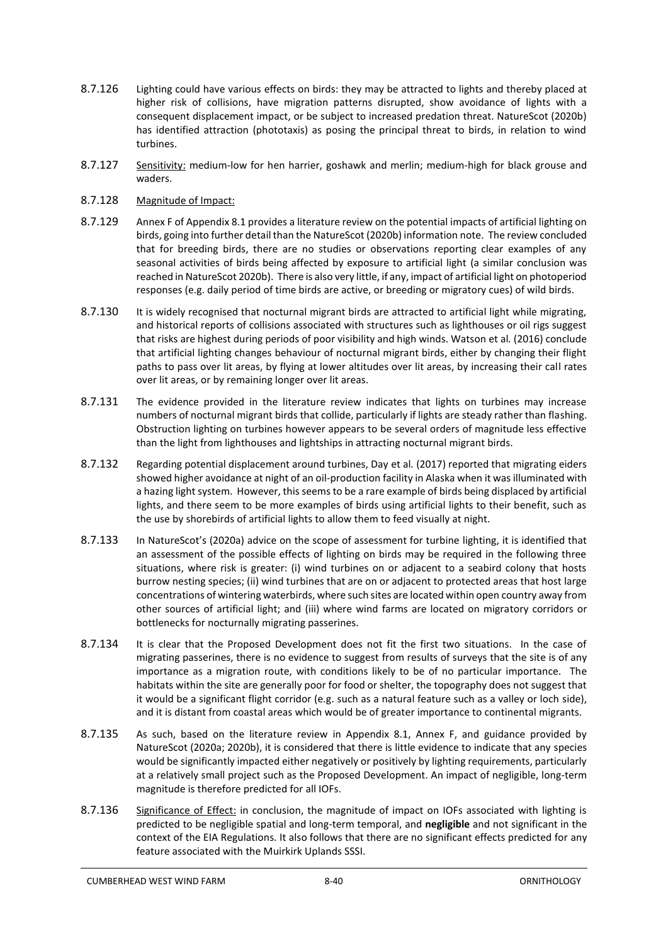- 8.7.126 Lighting could have various effects on birds: they may be attracted to lights and thereby placed at higher risk of collisions, have migration patterns disrupted, show avoidance of lights with a consequent displacement impact, or be subject to increased predation threat. NatureScot (2020b) has identified attraction (phototaxis) as posing the principal threat to birds, in relation to wind turbines.
- 8.7.127 Sensitivity: medium-low for hen harrier, goshawk and merlin; medium-high for black grouse and waders.
- 8.7.128 Magnitude of Impact:
- 8.7.129 Annex F of Appendix 8.1 provides a literature review on the potential impacts of artificial lighting on birds, going into further detail than the NatureScot (2020b) information note. The review concluded that for breeding birds, there are no studies or observations reporting clear examples of any seasonal activities of birds being affected by exposure to artificial light (a similar conclusion was reached in NatureScot 2020b). There is also very little, if any, impact of artificial light on photoperiod responses (e.g. daily period of time birds are active, or breeding or migratory cues) of wild birds.
- 8.7.130 It is widely recognised that nocturnal migrant birds are attracted to artificial light while migrating, and historical reports of collisions associated with structures such as lighthouses or oil rigs suggest that risks are highest during periods of poor visibility and high winds. Watson et al*.* (2016) conclude that artificial lighting changes behaviour of nocturnal migrant birds, either by changing their flight paths to pass over lit areas, by flying at lower altitudes over lit areas, by increasing their call rates over lit areas, or by remaining longer over lit areas.
- 8.7.131 The evidence provided in the literature review indicates that lights on turbines may increase numbers of nocturnal migrant birds that collide, particularly if lights are steady rather than flashing. Obstruction lighting on turbines however appears to be several orders of magnitude less effective than the light from lighthouses and lightships in attracting nocturnal migrant birds.
- 8.7.132 Regarding potential displacement around turbines, Day et al*.* (2017) reported that migrating eiders showed higher avoidance at night of an oil-production facility in Alaska when it was illuminated with a hazing light system. However, this seems to be a rare example of birds being displaced by artificial lights, and there seem to be more examples of birds using artificial lights to their benefit, such as the use by shorebirds of artificial lights to allow them to feed visually at night.
- 8.7.133 In NatureScot's (2020a) advice on the scope of assessment for turbine lighting, it is identified that an assessment of the possible effects of lighting on birds may be required in the following three situations, where risk is greater: (i) wind turbines on or adjacent to a seabird colony that hosts burrow nesting species; (ii) wind turbines that are on or adjacent to protected areas that host large concentrations of wintering waterbirds, where such sites are located within open country away from other sources of artificial light; and (iii) where wind farms are located on migratory corridors or bottlenecks for nocturnally migrating passerines.
- 8.7.134 It is clear that the Proposed Development does not fit the first two situations. In the case of migrating passerines, there is no evidence to suggest from results of surveys that the site is of any importance as a migration route, with conditions likely to be of no particular importance. The habitats within the site are generally poor for food or shelter, the topography does not suggest that it would be a significant flight corridor (e.g. such as a natural feature such as a valley or loch side), and it is distant from coastal areas which would be of greater importance to continental migrants.
- 8.7.135 As such, based on the literature review in Appendix 8.1, Annex F, and guidance provided by NatureScot (2020a; 2020b), it is considered that there is little evidence to indicate that any species would be significantly impacted either negatively or positively by lighting requirements, particularly at a relatively small project such as the Proposed Development. An impact of negligible, long-term magnitude is therefore predicted for all IOFs.
- 8.7.136 Significance of Effect: in conclusion, the magnitude of impact on IOFs associated with lighting is predicted to be negligible spatial and long-term temporal, and **negligible** and not significant in the context of the EIA Regulations. It also follows that there are no significant effects predicted for any feature associated with the Muirkirk Uplands SSSI.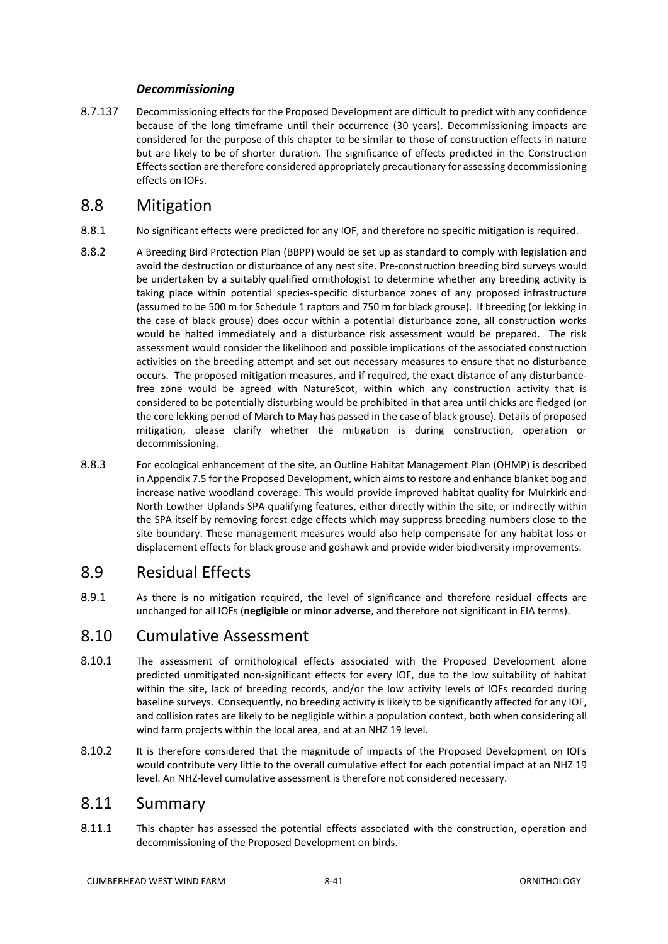#### *Decommissioning*

8.7.137 Decommissioning effects for the Proposed Development are difficult to predict with any confidence because of the long timeframe until their occurrence (30 years). Decommissioning impacts are considered for the purpose of this chapter to be similar to those of construction effects in nature but are likely to be of shorter duration. The significance of effects predicted in the Construction Effects section are therefore considered appropriately precautionary for assessing decommissioning effects on IOFs.

### <span id="page-42-0"></span>8.8 Mitigation

- 8.8.1 No significant effects were predicted for any IOF, and therefore no specific mitigation is required.
- 8.8.2 A Breeding Bird Protection Plan (BBPP) would be set up as standard to comply with legislation and avoid the destruction or disturbance of any nest site. Pre-construction breeding bird surveys would be undertaken by a suitably qualified ornithologist to determine whether any breeding activity is taking place within potential species-specific disturbance zones of any proposed infrastructure (assumed to be 500 m for Schedule 1 raptors and 750 m for black grouse). If breeding (or lekking in the case of black grouse) does occur within a potential disturbance zone, all construction works would be halted immediately and a disturbance risk assessment would be prepared. The risk assessment would consider the likelihood and possible implications of the associated construction activities on the breeding attempt and set out necessary measures to ensure that no disturbance occurs. The proposed mitigation measures, and if required, the exact distance of any disturbancefree zone would be agreed with NatureScot, within which any construction activity that is considered to be potentially disturbing would be prohibited in that area until chicks are fledged (or the core lekking period of March to May has passed in the case of black grouse). Details of proposed mitigation, please clarify whether the mitigation is during construction, operation or decommissioning.
- 8.8.3 For ecological enhancement of the site, an Outline Habitat Management Plan (OHMP) is described in Appendix 7.5 for the Proposed Development, which aims to restore and enhance blanket bog and increase native woodland coverage. This would provide improved habitat quality for Muirkirk and North Lowther Uplands SPA qualifying features, either directly within the site, or indirectly within the SPA itself by removing forest edge effects which may suppress breeding numbers close to the site boundary. These management measures would also help compensate for any habitat loss or displacement effects for black grouse and goshawk and provide wider biodiversity improvements.

### <span id="page-42-1"></span>8.9 Residual Effects

8.9.1 As there is no mitigation required, the level of significance and therefore residual effects are unchanged for all IOFs (**negligible** or **minor adverse**, and therefore not significant in EIA terms).

### <span id="page-42-2"></span>8.10 Cumulative Assessment

- 8.10.1 The assessment of ornithological effects associated with the Proposed Development alone predicted unmitigated non-significant effects for every IOF, due to the low suitability of habitat within the site, lack of breeding records, and/or the low activity levels of IOFs recorded during baseline surveys. Consequently, no breeding activity is likely to be significantly affected for any IOF, and collision rates are likely to be negligible within a population context, both when considering all wind farm projects within the local area, and at an NHZ 19 level.
- 8.10.2 It is therefore considered that the magnitude of impacts of the Proposed Development on IOFs would contribute very little to the overall cumulative effect for each potential impact at an NHZ 19 level. An NHZ-level cumulative assessment is therefore not considered necessary.

### <span id="page-42-3"></span>8.11 Summary

8.11.1 This chapter has assessed the potential effects associated with the construction, operation and decommissioning of the Proposed Development on birds.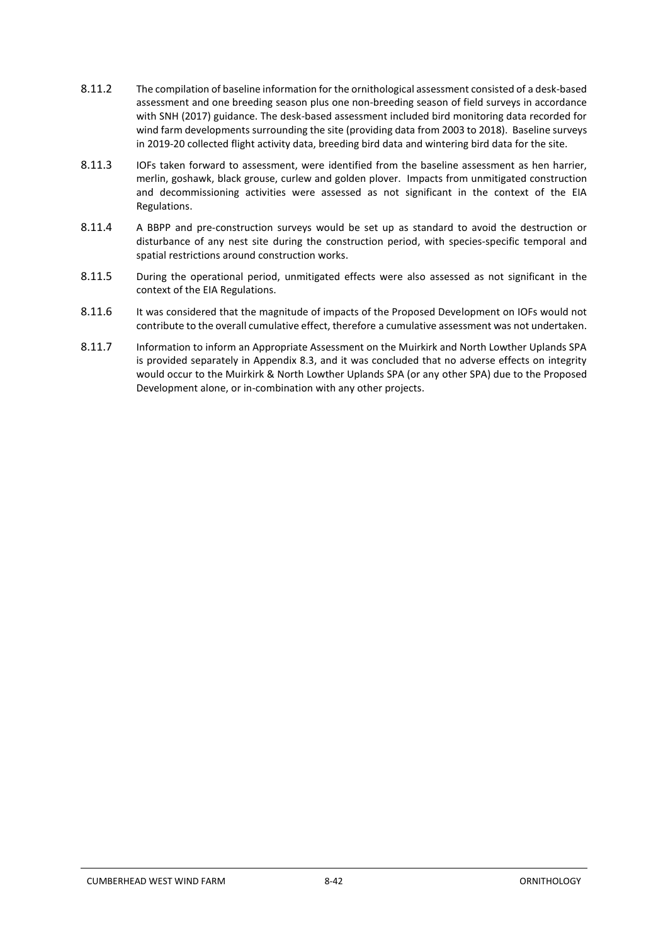- 8.11.2 The compilation of baseline information for the ornithological assessment consisted of a desk-based assessment and one breeding season plus one non-breeding season of field surveys in accordance with SNH (2017) guidance. The desk-based assessment included bird monitoring data recorded for wind farm developments surrounding the site (providing data from 2003 to 2018). Baseline surveys in 2019-20 collected flight activity data, breeding bird data and wintering bird data for the site.
- 8.11.3 IOFs taken forward to assessment, were identified from the baseline assessment as hen harrier, merlin, goshawk, black grouse, curlew and golden plover. Impacts from unmitigated construction and decommissioning activities were assessed as not significant in the context of the EIA Regulations.
- 8.11.4 A BBPP and pre-construction surveys would be set up as standard to avoid the destruction or disturbance of any nest site during the construction period, with species-specific temporal and spatial restrictions around construction works.
- 8.11.5 During the operational period, unmitigated effects were also assessed as not significant in the context of the EIA Regulations.
- 8.11.6 It was considered that the magnitude of impacts of the Proposed Development on IOFs would not contribute to the overall cumulative effect, therefore a cumulative assessment was not undertaken.
- 8.11.7 Information to inform an Appropriate Assessment on the Muirkirk and North Lowther Uplands SPA is provided separately in Appendix 8.3, and it was concluded that no adverse effects on integrity would occur to the Muirkirk & North Lowther Uplands SPA (or any other SPA) due to the Proposed Development alone, or in-combination with any other projects.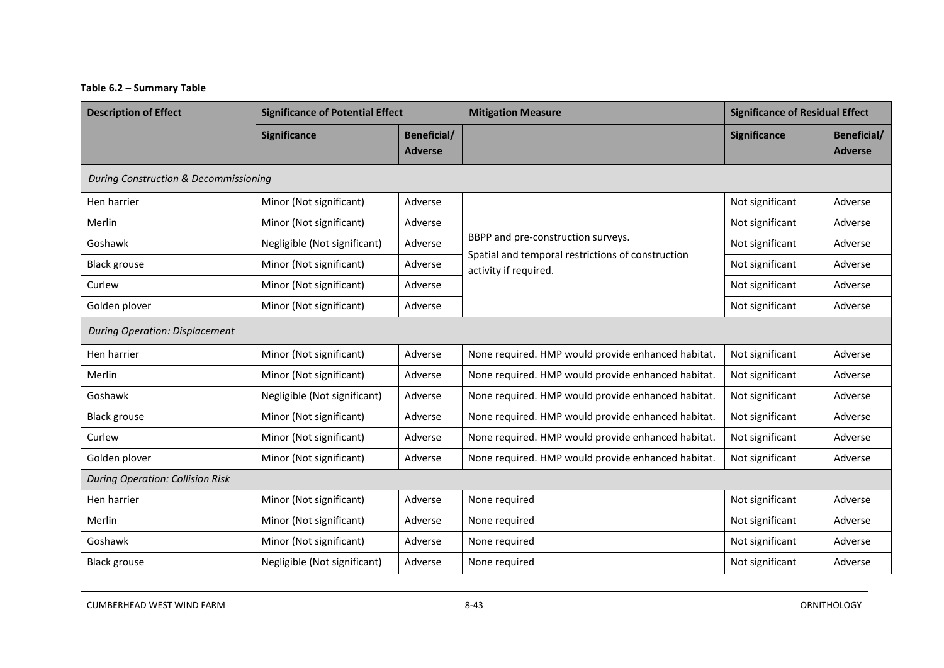#### **Table 6.2 – Summary Table**

| <b>Description of Effect</b>            | <b>Significance of Potential Effect</b> |                                      | <b>Mitigation Measure</b>                                                                                        | <b>Significance of Residual Effect</b> |                                      |
|-----------------------------------------|-----------------------------------------|--------------------------------------|------------------------------------------------------------------------------------------------------------------|----------------------------------------|--------------------------------------|
|                                         | <b>Significance</b>                     | <b>Beneficial/</b><br><b>Adverse</b> |                                                                                                                  | <b>Significance</b>                    | <b>Beneficial/</b><br><b>Adverse</b> |
| During Construction & Decommissioning   |                                         |                                      |                                                                                                                  |                                        |                                      |
| Hen harrier                             | Minor (Not significant)                 | Adverse                              | BBPP and pre-construction surveys.<br>Spatial and temporal restrictions of construction<br>activity if required. | Not significant                        | Adverse                              |
| Merlin                                  | Minor (Not significant)                 | Adverse                              |                                                                                                                  | Not significant                        | Adverse                              |
| Goshawk                                 | Negligible (Not significant)            | Adverse                              |                                                                                                                  | Not significant                        | Adverse                              |
| <b>Black grouse</b>                     | Minor (Not significant)                 | Adverse                              |                                                                                                                  | Not significant                        | Adverse                              |
| Curlew                                  | Minor (Not significant)                 | Adverse                              |                                                                                                                  | Not significant                        | Adverse                              |
| Golden plover                           | Minor (Not significant)                 | Adverse                              |                                                                                                                  | Not significant                        | Adverse                              |
| <b>During Operation: Displacement</b>   |                                         |                                      |                                                                                                                  |                                        |                                      |
| Hen harrier                             | Minor (Not significant)                 | Adverse                              | None required. HMP would provide enhanced habitat.                                                               | Not significant                        | Adverse                              |
| Merlin                                  | Minor (Not significant)                 | Adverse                              | None required. HMP would provide enhanced habitat.                                                               | Not significant                        | Adverse                              |
| Goshawk                                 | Negligible (Not significant)            | Adverse                              | None required. HMP would provide enhanced habitat.                                                               | Not significant                        | Adverse                              |
| <b>Black grouse</b>                     | Minor (Not significant)                 | Adverse                              | None required. HMP would provide enhanced habitat.                                                               | Not significant                        | Adverse                              |
| Curlew                                  | Minor (Not significant)                 | Adverse                              | None required. HMP would provide enhanced habitat.                                                               | Not significant                        | Adverse                              |
| Golden plover                           | Minor (Not significant)                 | Adverse                              | None required. HMP would provide enhanced habitat.                                                               | Not significant                        | Adverse                              |
| <b>During Operation: Collision Risk</b> |                                         |                                      |                                                                                                                  |                                        |                                      |
| Hen harrier                             | Minor (Not significant)                 | Adverse                              | None required                                                                                                    | Not significant                        | Adverse                              |
| Merlin                                  | Minor (Not significant)                 | Adverse                              | None required                                                                                                    | Not significant                        | Adverse                              |
| Goshawk                                 | Minor (Not significant)                 | Adverse                              | None required                                                                                                    | Not significant                        | Adverse                              |
| <b>Black grouse</b>                     | Negligible (Not significant)            | Adverse                              | None required                                                                                                    | Not significant                        | Adverse                              |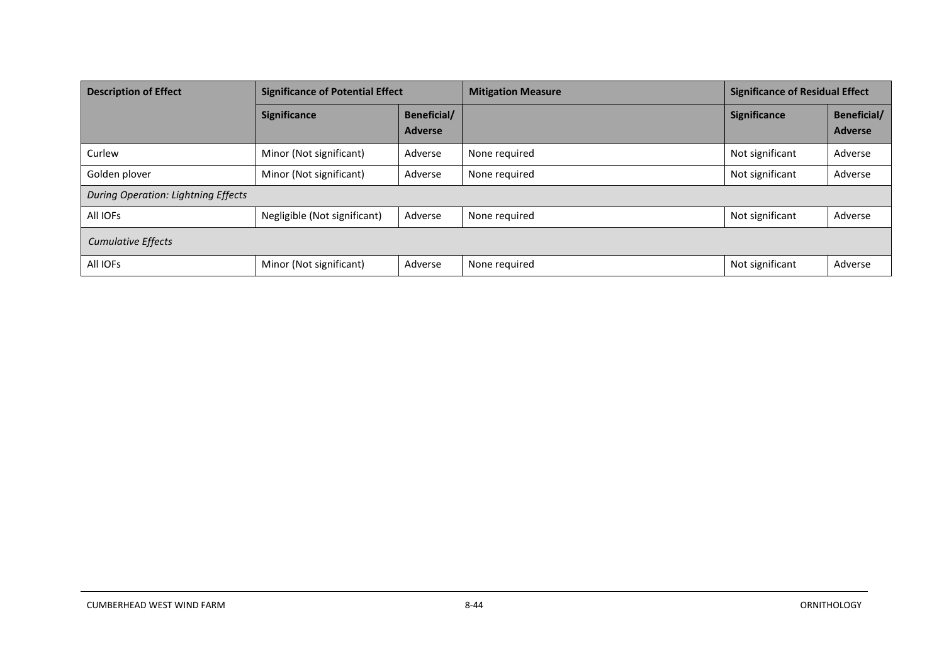| <b>Description of Effect</b>               | <b>Significance of Potential Effect</b> |                               | <b>Mitigation Measure</b> | <b>Significance of Residual Effect</b> |                                      |  |
|--------------------------------------------|-----------------------------------------|-------------------------------|---------------------------|----------------------------------------|--------------------------------------|--|
|                                            | <b>Significance</b>                     | Beneficial/<br><b>Adverse</b> |                           | <b>Significance</b>                    | <b>Beneficial/</b><br><b>Adverse</b> |  |
| Curlew                                     | Minor (Not significant)                 | Adverse                       | None required             | Not significant                        | Adverse                              |  |
| Golden plover                              | Minor (Not significant)                 | Adverse                       | None required             | Not significant                        | Adverse                              |  |
| <b>During Operation: Lightning Effects</b> |                                         |                               |                           |                                        |                                      |  |
| All IOFs                                   | Negligible (Not significant)            | Adverse                       | None required             | Not significant                        | Adverse                              |  |
| <b>Cumulative Effects</b>                  |                                         |                               |                           |                                        |                                      |  |
| All IOFs                                   | Minor (Not significant)                 | Adverse                       | None required             | Not significant                        | Adverse                              |  |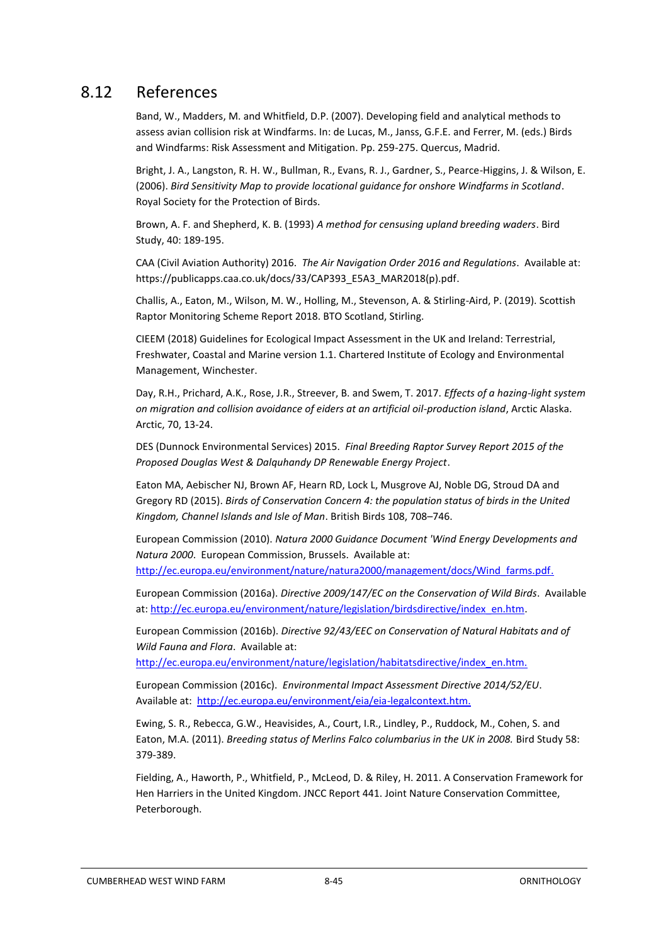### <span id="page-46-0"></span>8.12 References

Band, W., Madders, M. and Whitfield, D.P. (2007). Developing field and analytical methods to assess avian collision risk at Windfarms. In: de Lucas, M., Janss, G.F.E. and Ferrer, M. (eds.) Birds and Windfarms: Risk Assessment and Mitigation. Pp. 259-275. Quercus, Madrid.

Bright, J. A., Langston, R. H. W., Bullman, R., Evans, R. J., Gardner, S., Pearce-Higgins, J. & Wilson, E. (2006). *Bird Sensitivity Map to provide locational guidance for onshore Windfarms in Scotland*. Royal Society for the Protection of Birds.

Brown, A. F. and Shepherd, K. B. (1993) *A method for censusing upland breeding waders*. Bird Study, 40: 189-195.

CAA (Civil Aviation Authority) 2016. *The Air Navigation Order 2016 and Regulations*. Available at: [https://publicapps.caa.co.uk/docs/33/CAP393\\_E5A3\\_MAR2018\(p\).pdf.](https://publicapps.caa.co.uk/docs/33/CAP393_E5A3_MAR2018(p).pdf)

Challis, A., Eaton, M., Wilson, M. W., Holling, M., Stevenson, A. & Stirling-Aird, P. (2019). Scottish Raptor Monitoring Scheme Report 2018. BTO Scotland, Stirling.

CIEEM (2018) Guidelines for Ecological Impact Assessment in the UK and Ireland: Terrestrial, Freshwater, Coastal and Marine version 1.1. Chartered Institute of Ecology and Environmental Management, Winchester.

Day, R.H., Prichard, A.K., Rose, J.R., Streever, B. and Swem, T. 2017. *Effects of a hazing-light system on migration and collision avoidance of eiders at an artificial oil-production island*, Arctic Alaska. Arctic, 70, 13-24.

DES (Dunnock Environmental Services) 2015. *Final Breeding Raptor Survey Report 2015 of the Proposed Douglas West & Dalquhandy DP Renewable Energy Project*.

Eaton MA, Aebischer NJ, Brown AF, Hearn RD, Lock L, Musgrove AJ, Noble DG, Stroud DA and Gregory RD (2015). *Birds of Conservation Concern 4: the population status of birds in the United Kingdom, Channel Islands and Isle of Man*. British Birds 108, 708–746.

European Commission (2010). *Natura 2000 Guidance Document 'Wind Energy Developments and Natura 2000*. European Commission, Brussels. Available at:

[http://ec.europa.eu/environment/nature/natura2000/management/docs/Wind\\_farms.pdf.](http://ec.europa.eu/environment/nature/natura2000/management/docs/Wind_farms.pdf)

European Commission (2016a). *Directive 2009/147/EC on the Conservation of Wild Birds*. Available at: [http://ec.europa.eu/environment/nature/legislation/birdsdirective/index\\_en.htm.](http://ec.europa.eu/environment/nature/legislation/birdsdirective/index_en.htm)

European Commission (2016b). *Directive 92/43/EEC on Conservation of Natural Habitats and of Wild Fauna and Flora*. Available at:

[http://ec.europa.eu/environment/nature/legislation/habitatsdirective/index\\_en.htm.](http://ec.europa.eu/environment/nature/legislation/habitatsdirective/index_en.htm)

European Commission (2016c). *Environmental Impact Assessment Directive 2014/52/EU*. Available at: [http://ec.europa.eu/environment/eia/eia-legalcontext.htm.](http://ec.europa.eu/environment/eia/eia-legalcontext.htm)

Ewing, S. R., Rebecca, G.W., Heavisides, A., Court, I.R., Lindley, P., Ruddock, M., Cohen, S. and Eaton, M.A. (2011). *Breeding status of Merlins Falco columbarius in the UK in 2008.* Bird Study 58: 379-389.

Fielding, A., Haworth, P., Whitfield, P., McLeod, D. & Riley, H. 2011. A Conservation Framework for Hen Harriers in the United Kingdom. JNCC Report 441. Joint Nature Conservation Committee, Peterborough.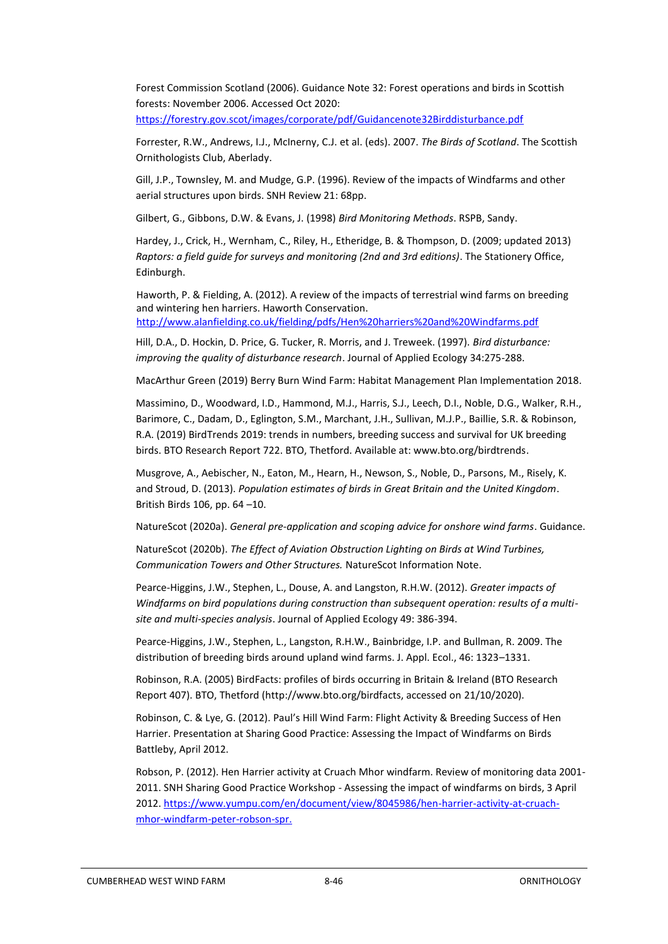Forest Commission Scotland (2006). Guidance Note 32: Forest operations and birds in Scottish forests: November 2006. Accessed Oct 2020:

<https://forestry.gov.scot/images/corporate/pdf/Guidancenote32Birddisturbance.pdf>

Forrester, R.W., Andrews, I.J., McInerny, C.J. et al. (eds). 2007. *The Birds of Scotland*. The Scottish Ornithologists Club, Aberlady.

Gill, J.P., Townsley, M. and Mudge, G.P. (1996). Review of the impacts of Windfarms and other aerial structures upon birds. SNH Review 21: 68pp.

Gilbert, G., Gibbons, D.W. & Evans, J. (1998) *Bird Monitoring Methods*. RSPB, Sandy.

Hardey, J., Crick, H., Wernham, C., Riley, H., Etheridge, B. & Thompson, D. (2009; updated 2013) *Raptors: a field guide for surveys and monitoring (2nd and 3rd editions)*. The Stationery Office, Edinburgh.

Haworth, P. & Fielding, A. (2012). A review of the impacts of terrestrial wind farms on breeding and wintering hen harriers. Haworth Conservation. <http://www.alanfielding.co.uk/fielding/pdfs/Hen%20harriers%20and%20Windfarms.pdf>

Hill, D.A., D. Hockin, D. Price, G. Tucker, R. Morris, and J. Treweek. (1997). *Bird disturbance: improving the quality of disturbance research*. Journal of Applied Ecology 34:275-288.

MacArthur Green (2019) Berry Burn Wind Farm: Habitat Management Plan Implementation 2018.

Massimino, D., Woodward, I.D., Hammond, M.J., Harris, S.J., Leech, D.I., Noble, D.G., Walker, R.H., Barimore, C., Dadam, D., Eglington, S.M., Marchant, J.H., Sullivan, M.J.P., Baillie, S.R. & Robinson, R.A. (2019) BirdTrends 2019: trends in numbers, breeding success and survival for UK breeding birds. BTO Research Report 722. BTO, Thetford. Available at: www.bto.org/birdtrends.

Musgrove, A., Aebischer, N., Eaton, M., Hearn, H., Newson, S., Noble, D., Parsons, M., Risely, K. and Stroud, D. (2013). *Population estimates of birds in Great Britain and the United Kingdom*. British Birds 106, pp. 64 –10.

NatureScot (2020a). *General pre-application and scoping advice for onshore wind farms*. Guidance.

NatureScot (2020b). *The Effect of Aviation Obstruction Lighting on Birds at Wind Turbines, Communication Towers and Other Structures.* NatureScot Information Note.

Pearce-Higgins, J.W., Stephen, L., Douse, A. and Langston, R.H.W. (2012). *Greater impacts of Windfarms on bird populations during construction than subsequent operation: results of a multisite and multi-species analysis*. Journal of Applied Ecology 49: 386-394.

Pearce‐Higgins, J.W., Stephen, L., Langston, R.H.W., Bainbridge, I.P. and Bullman, R. 2009. The distribution of breeding birds around upland wind farms. J. Appl. Ecol., 46: 1323–1331.

Robinson, R.A. (2005) BirdFacts: profiles of birds occurring in Britain & Ireland (BTO Research Report 407). BTO, Thetford (http://www.bto.org/birdfacts, accessed on 21/10/2020).

Robinson, C. & Lye, G. (2012). Paul's Hill Wind Farm: Flight Activity & Breeding Success of Hen Harrier. Presentation at Sharing Good Practice: Assessing the Impact of Windfarms on Birds Battleby, April 2012.

Robson, P. (2012). Hen Harrier activity at Cruach Mhor windfarm. Review of monitoring data 2001- 2011. SNH Sharing Good Practice Workshop - Assessing the impact of windfarms on birds, 3 April 2012. [https://www.yumpu.com/en/document/view/8045986/hen-harrier-activity-at-cruach](https://www.yumpu.com/en/document/view/8045986/hen-harrier-activity-at-cruach-mhor-windfarm-peter-robson-spr)[mhor-windfarm-peter-robson-spr.](https://www.yumpu.com/en/document/view/8045986/hen-harrier-activity-at-cruach-mhor-windfarm-peter-robson-spr)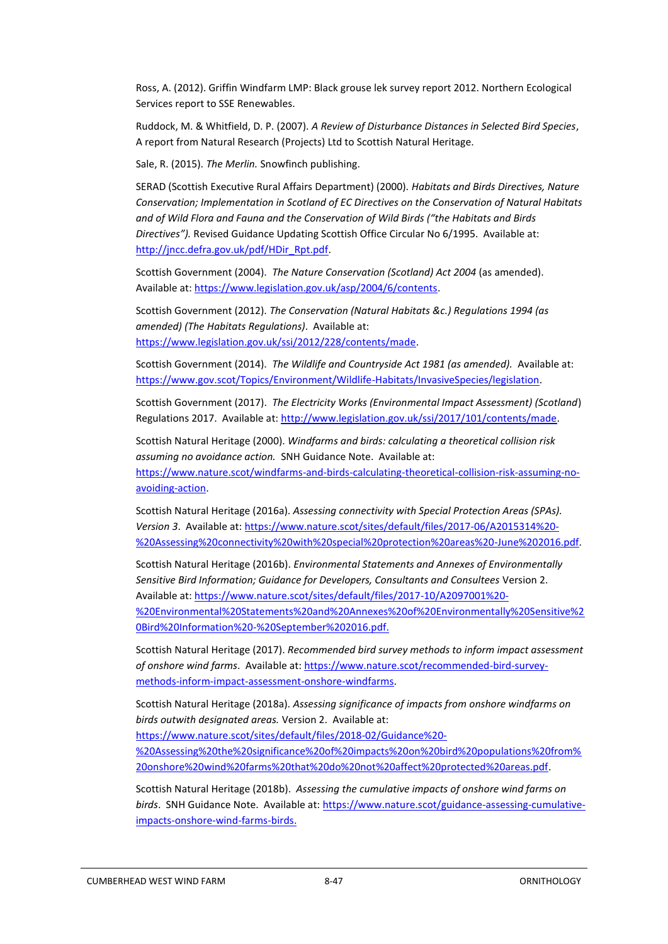Ross, A. (2012). Griffin Windfarm LMP: Black grouse lek survey report 2012. Northern Ecological Services report to SSE Renewables.

Ruddock, M. & Whitfield, D. P. (2007). *A Review of Disturbance Distances in Selected Bird Species*, A report from Natural Research (Projects) Ltd to Scottish Natural Heritage.

Sale, R. (2015). *The Merlin.* Snowfinch publishing.

SERAD (Scottish Executive Rural Affairs Department) (2000). *Habitats and Birds Directives, Nature Conservation; Implementation in Scotland of EC Directives on the Conservation of Natural Habitats and of Wild Flora and Fauna and the Conservation of Wild Birds ("the Habitats and Birds Directives").* Revised Guidance Updating Scottish Office Circular No 6/1995. Available at: [http://jncc.defra.gov.uk/pdf/HDir\\_Rpt.pdf.](http://jncc.defra.gov.uk/pdf/HDir_Rpt.pdf)

Scottish Government (2004). *The Nature Conservation (Scotland) Act 2004* (as amended). Available at[: https://www.legislation.gov.uk/asp/2004/6/contents.](https://www.legislation.gov.uk/asp/2004/6/contents)

Scottish Government (2012). *The Conservation (Natural Habitats &c.) Regulations 1994 (as amended) (The Habitats Regulations)*. Available at: [https://www.legislation.gov.uk/ssi/2012/228/contents/made.](https://www.legislation.gov.uk/ssi/2012/228/contents/made)

Scottish Government (2014). *The Wildlife and Countryside Act 1981 (as amended).* Available at: [https://www.gov.scot/Topics/Environment/Wildlife-Habitats/InvasiveSpecies/legislation.](https://www.gov.scot/Topics/Environment/Wildlife-Habitats/InvasiveSpecies/legislation)

Scottish Government (2017). *The Electricity Works (Environmental Impact Assessment) (Scotland*) Regulations 2017. Available at[: http://www.legislation.gov.uk/ssi/2017/101/contents/made.](http://www.legislation.gov.uk/ssi/2017/101/contents/made)

Scottish Natural Heritage (2000). *Windfarms and birds: calculating a theoretical collision risk assuming no avoidance action.* SNH Guidance Note. Available at: [https://www.nature.scot/windfarms-and-birds-calculating-theoretical-collision-risk-assuming-no](https://www.nature.scot/windfarms-and-birds-calculating-theoretical-collision-risk-assuming-no-avoiding-action)[avoiding-action.](https://www.nature.scot/windfarms-and-birds-calculating-theoretical-collision-risk-assuming-no-avoiding-action)

Scottish Natural Heritage (2016a). *Assessing connectivity with Special Protection Areas (SPAs). Version 3*. Available at: [https://www.nature.scot/sites/default/files/2017-06/A2015314%20-](https://www.nature.scot/sites/default/files/2017-06/A2015314%20-%20Assessing%20connectivity%20with%20special%20protection%20areas%20-June%202016.pdf) [%20Assessing%20connectivity%20with%20special%20protection%20areas%20-June%202016.pdf.](https://www.nature.scot/sites/default/files/2017-06/A2015314%20-%20Assessing%20connectivity%20with%20special%20protection%20areas%20-June%202016.pdf)

Scottish Natural Heritage (2016b). *Environmental Statements and Annexes of Environmentally Sensitive Bird Information; Guidance for Developers, Consultants and Consultees* Version 2. Available at[: https://www.nature.scot/sites/default/files/2017-10/A2097001%20-](https://www.nature.scot/sites/default/files/2017-10/A2097001%20-%20Environmental%20Statements%20and%20Annexes%20of%20Environmentally%20Sensitive%20Bird%20Information%20-%20September%202016.pdf) [%20Environmental%20Statements%20and%20Annexes%20of%20Environmentally%20Sensitive%2](https://www.nature.scot/sites/default/files/2017-10/A2097001%20-%20Environmental%20Statements%20and%20Annexes%20of%20Environmentally%20Sensitive%20Bird%20Information%20-%20September%202016.pdf) [0Bird%20Information%20-%20September%202016.pdf.](https://www.nature.scot/sites/default/files/2017-10/A2097001%20-%20Environmental%20Statements%20and%20Annexes%20of%20Environmentally%20Sensitive%20Bird%20Information%20-%20September%202016.pdf)

Scottish Natural Heritage (2017). *Recommended bird survey methods to inform impact assessment of onshore wind farms*. Available at: [https://www.nature.scot/recommended-bird-survey](https://www.nature.scot/recommended-bird-survey-methods-inform-impact-assessment-onshore-windfarms)[methods-inform-impact-assessment-onshore-windfarms.](https://www.nature.scot/recommended-bird-survey-methods-inform-impact-assessment-onshore-windfarms)

Scottish Natural Heritage (2018a). *Assessing significance of impacts from onshore windfarms on birds outwith designated areas.* Version 2. Available at:

[https://www.nature.scot/sites/default/files/2018-02/Guidance%20-](https://www.nature.scot/sites/default/files/2018-02/Guidance%20-%20Assessing%20the%20significance%20of%20impacts%20on%20bird%20populations%20from%20onshore%20wind%20farms%20that%20do%20not%20affect%20protected%20areas.pdf)

[%20Assessing%20the%20significance%20of%20impacts%20on%20bird%20populations%20from%](https://www.nature.scot/sites/default/files/2018-02/Guidance%20-%20Assessing%20the%20significance%20of%20impacts%20on%20bird%20populations%20from%20onshore%20wind%20farms%20that%20do%20not%20affect%20protected%20areas.pdf) [20onshore%20wind%20farms%20that%20do%20not%20affect%20protected%20areas.pdf.](https://www.nature.scot/sites/default/files/2018-02/Guidance%20-%20Assessing%20the%20significance%20of%20impacts%20on%20bird%20populations%20from%20onshore%20wind%20farms%20that%20do%20not%20affect%20protected%20areas.pdf)

Scottish Natural Heritage (2018b). *Assessing the cumulative impacts of onshore wind farms on birds*. SNH Guidance Note. Available at[: https://www.nature.scot/guidance-assessing-cumulative](https://www.nature.scot/guidance-assessing-cumulative-impacts-onshore-wind-farms-birds)[impacts-onshore-wind-farms-birds.](https://www.nature.scot/guidance-assessing-cumulative-impacts-onshore-wind-farms-birds)

CUMBERHEAD WEST WIND FARM 8-47 ORNITHOLOGY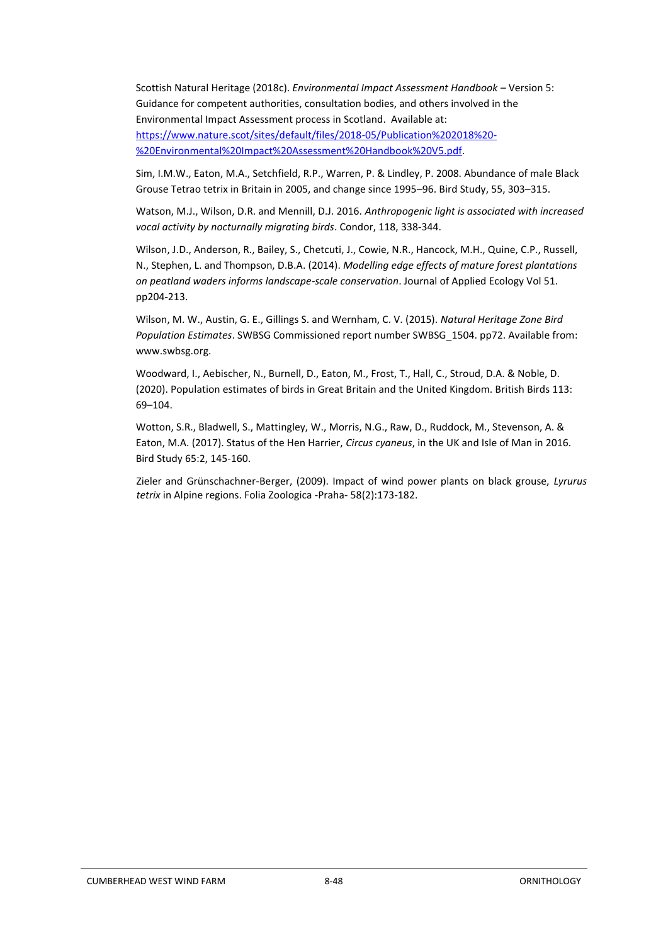Scottish Natural Heritage (2018c). *Environmental Impact Assessment Handbook* – Version 5: Guidance for competent authorities, consultation bodies, and others involved in the Environmental Impact Assessment process in Scotland. Available at: [https://www.nature.scot/sites/default/files/2018-05/Publication%202018%20-](https://www.nature.scot/sites/default/files/2018-05/Publication%202018%20-%20Environmental%20Impact%20Assessment%20Handbook%20V5.pdf) [%20Environmental%20Impact%20Assessment%20Handbook%20V5.pdf.](https://www.nature.scot/sites/default/files/2018-05/Publication%202018%20-%20Environmental%20Impact%20Assessment%20Handbook%20V5.pdf)

Sim, I.M.W., Eaton, M.A., Setchfield, R.P., Warren, P. & Lindley, P. 2008. Abundance of male Black Grouse Tetrao tetrix in Britain in 2005, and change since 1995–96. Bird Study, 55, 303–315.

Watson, M.J., Wilson, D.R. and Mennill, D.J. 2016. *Anthropogenic light is associated with increased vocal activity by nocturnally migrating birds*. Condor, 118, 338-344.

Wilson, J.D., Anderson, R., Bailey, S., Chetcuti, J., Cowie, N.R., Hancock, M.H., Quine, C.P., Russell, N., Stephen, L. and Thompson, D.B.A. (2014). *Modelling edge effects of mature forest plantations on peatland waders informs landscape-scale conservation*. Journal of Applied Ecology Vol 51. pp204-213.

Wilson, M. W., Austin, G. E., Gillings S. and Wernham, C. V. (2015). *Natural Heritage Zone Bird Population Estimates*. SWBSG Commissioned report number SWBSG\_1504. pp72. Available from: www.swbsg.org.

Woodward, I., Aebischer, N., Burnell, D., Eaton, M., Frost, T., Hall, C., Stroud, D.A. & Noble, D. (2020). Population estimates of birds in Great Britain and the United Kingdom. British Birds 113: 69–104.

Wotton, S.R., Bladwell, S., Mattingley, W., Morris, N.G., Raw, D., Ruddock, M., Stevenson, A. & Eaton, M.A. (2017). Status of the Hen Harrier, *Circus cyaneus*, in the UK and Isle of Man in 2016. Bird Study 65:2, 145-160.

Zieler and Grünschachner-Berger, (2009). Impact of wind power plants on black grouse, *Lyrurus tetrix* in Alpine regions. Folia Zoologica -Praha- 58(2):173-182.